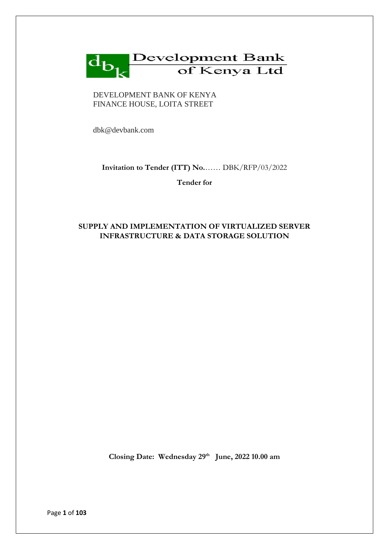

#### DEVELOPMENT BANK OF KENYA FINANCE HOUSE, LOITA STREET

dbk@devbank.com

## **Invitation to Tender (ITT) No.**…… DBK/RFP/03/2022

**Tender for**

# **SUPPLY AND IMPLEMENTATION OF VIRTUALIZED SERVER INFRASTRUCTURE & DATA STORAGE SOLUTION**

**Closing Date: Wednesday 29th June, 2022 10.00 am**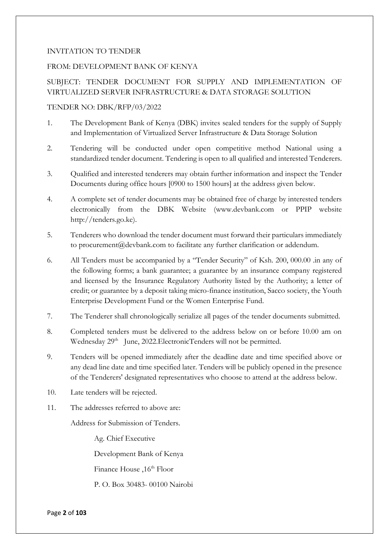### INVITATION TO TENDER

### FROM: DEVELOPMENT BANK OF KENYA

## SUBJECT: TENDER DOCUMENT FOR SUPPLY AND IMPLEMENTATION OF VIRTUALIZED SERVER INFRASTRUCTURE & DATA STORAGE SOLUTION

### TENDER NO: DBK/RFP/03/2022

- 1. The Development Bank of Kenya (DBK) invites sealed tenders for the supply of Supply and Implementation of Virtualized Server Infrastructure & Data Storage Solution
- 2. Tendering will be conducted under open competitive method National using a standardized tender document. Tendering is open to all qualified and interested Tenderers.
- 3. Qualified and interested tenderers may obtain further information and inspect the Tender Documents during office hours [0900 to 1500 hours] at the address given below.
- 4. A complete set of tender documents may be obtained free of charge by interested tenders electronically from the DBK Website (www.devbank.com or PPIP website http://tenders.go.ke).
- 5. Tenderers who download the tender document must forward their particulars immediately to procurement@devbank.com to facilitate any further clarification or addendum.
- 6. All Tenders must be accompanied by a "Tender Security" of Ksh. 200, 000.00 .in any of the following forms; a bank guarantee; a guarantee by an insurance company registered and licensed by the Insurance Regulatory Authority listed by the Authority; a letter of credit; or guarantee by a deposit taking micro-finance institution, Sacco society, the Youth Enterprise Development Fund or the Women Enterprise Fund.
- 7. The Tenderer shall chronologically serialize all pages of the tender documents submitted.
- 8. Completed tenders must be delivered to the address below on or before 10.00 am on Wednesday 29<sup>th</sup> June, 2022. Electronic Tenders will not be permitted.
- 9. Tenders will be opened immediately after the deadline date and time specified above or any dead line date and time specified later. Tenders will be publicly opened in the presence of the Tenderers' designated representatives who choose to attend at the address below.
- 10. Late tenders will be rejected.
- 11. The addresses referred to above are:

Address for Submission of Tenders.

Ag. Chief Executive

Development Bank of Kenya

Finance House , 16<sup>th</sup> Floor

P. O. Box 30483- 00100 Nairobi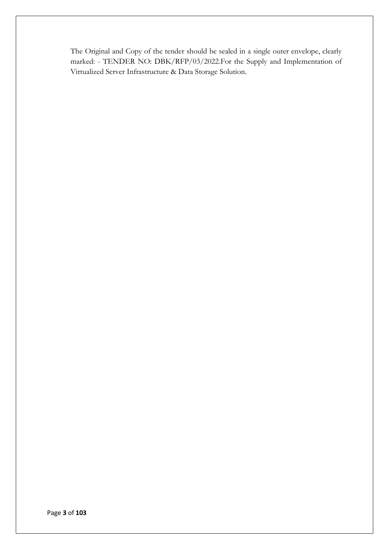The Original and Copy of the tender should be sealed in a single outer envelope, clearly marked: - TENDER NO: DBK/RFP/03/2022.For the Supply and Implementation of Virtualized Server Infrastructure & Data Storage Solution.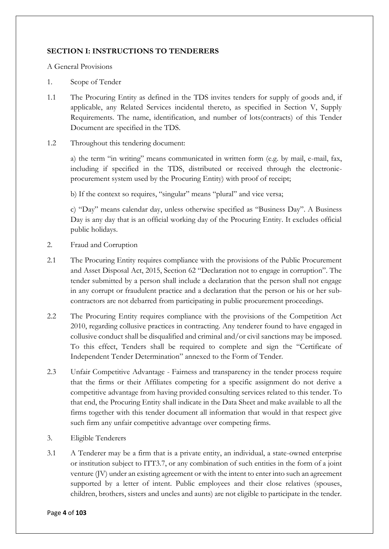## **SECTION I: INSTRUCTIONS TO TENDERERS**

A General Provisions

- 1. Scope of Tender
- 1.1 The Procuring Entity as defined in the TDS invites tenders for supply of goods and, if applicable, any Related Services incidental thereto, as specified in Section V, Supply Requirements. The name, identification, and number of lots(contracts) of this Tender Document are specified in the TDS.
- 1.2 Throughout this tendering document:

a) the term "in writing" means communicated in written form (e.g. by mail, e-mail, fax, including if specified in the TDS, distributed or received through the electronicprocurement system used by the Procuring Entity) with proof of receipt;

b) If the context so requires, "singular" means "plural" and vice versa;

c) "Day" means calendar day, unless otherwise specified as "Business Day". A Business Day is any day that is an official working day of the Procuring Entity. It excludes official public holidays.

- 2. Fraud and Corruption
- 2.1 The Procuring Entity requires compliance with the provisions of the Public Procurement and Asset Disposal Act, 2015, Section 62 "Declaration not to engage in corruption". The tender submitted by a person shall include a declaration that the person shall not engage in any corrupt or fraudulent practice and a declaration that the person or his or her subcontractors are not debarred from participating in public procurement proceedings.
- 2.2 The Procuring Entity requires compliance with the provisions of the Competition Act 2010, regarding collusive practices in contracting. Any tenderer found to have engaged in collusive conduct shall be disqualified and criminal and/or civil sanctions may be imposed. To this effect, Tenders shall be required to complete and sign the "Certificate of Independent Tender Determination" annexed to the Form of Tender.
- 2.3 Unfair Competitive Advantage Fairness and transparency in the tender process require that the firms or their Affiliates competing for a specific assignment do not derive a competitive advantage from having provided consulting services related to this tender. To that end, the Procuring Entity shall indicate in the Data Sheet and make available to all the firms together with this tender document all information that would in that respect give such firm any unfair competitive advantage over competing firms.
- 3. Eligible Tenderers
- 3.1 A Tenderer may be a firm that is a private entity, an individual, a state-owned enterprise or institution subject to ITT3.7, or any combination of such entities in the form of a joint venture (JV) under an existing agreement or with the intent to enter into such an agreement supported by a letter of intent. Public employees and their close relatives (spouses, children, brothers, sisters and uncles and aunts) are not eligible to participate in the tender.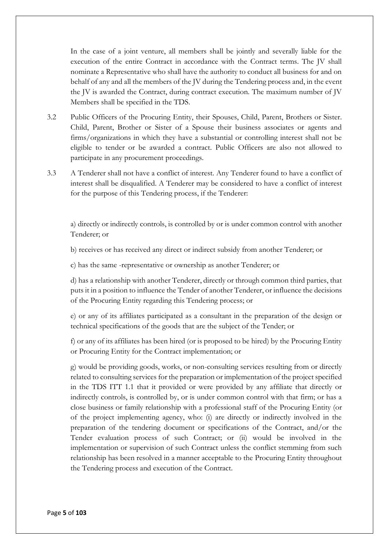In the case of a joint venture, all members shall be jointly and severally liable for the execution of the entire Contract in accordance with the Contract terms. The JV shall nominate a Representative who shall have the authority to conduct all business for and on behalf of any and all the members of the JV during the Tendering process and, in the event the JV is awarded the Contract, during contract execution. The maximum number of JV Members shall be specified in the TDS.

- 3.2 Public Officers of the Procuring Entity, their Spouses, Child, Parent, Brothers or Sister. Child, Parent, Brother or Sister of a Spouse their business associates or agents and firms/organizations in which they have a substantial or controlling interest shall not be eligible to tender or be awarded a contract. Public Officers are also not allowed to participate in any procurement proceedings.
- 3.3 A Tenderer shall not have a conflict of interest. Any Tenderer found to have a conflict of interest shall be disqualified. A Tenderer may be considered to have a conflict of interest for the purpose of this Tendering process, if the Tenderer:

a) directly or indirectly controls, is controlled by or is under common control with another Tenderer; or

b) receives or has received any direct or indirect subsidy from another Tenderer; or

c) has the same -representative or ownership as another Tenderer; or

d) has a relationship with another Tenderer, directly or through common third parties, that puts it in a position to influence the Tender of another Tenderer, or influence the decisions of the Procuring Entity regarding this Tendering process; or

e) or any of its affiliates participated as a consultant in the preparation of the design or technical specifications of the goods that are the subject of the Tender; or

f) or any of its affiliates has been hired (or is proposed to be hired) by the Procuring Entity or Procuring Entity for the Contract implementation; or

g) would be providing goods, works, or non-consulting services resulting from or directly related to consulting services for the preparation or implementation of the project specified in the TDS ITT 1.1 that it provided or were provided by any affiliate that directly or indirectly controls, is controlled by, or is under common control with that firm; or has a close business or family relationship with a professional staff of the Procuring Entity (or of the project implementing agency, who: (i) are directly or indirectly involved in the preparation of the tendering document or specifications of the Contract, and/or the Tender evaluation process of such Contract; or (ii) would be involved in the implementation or supervision of such Contract unless the conflict stemming from such relationship has been resolved in a manner acceptable to the Procuring Entity throughout the Tendering process and execution of the Contract.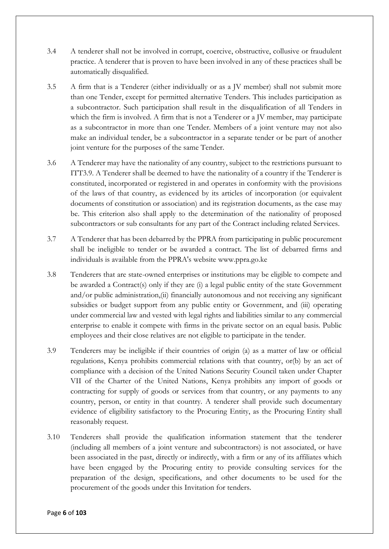- 3.4 A tenderer shall not be involved in corrupt, coercive, obstructive, collusive or fraudulent practice. A tenderer that is proven to have been involved in any of these practices shall be automatically disqualified.
- 3.5 A firm that is a Tenderer (either individually or as a JV member) shall not submit more than one Tender, except for permitted alternative Tenders. This includes participation as a subcontractor. Such participation shall result in the disqualification of all Tenders in which the firm is involved. A firm that is not a Tenderer or a JV member, may participate as a subcontractor in more than one Tender. Members of a joint venture may not also make an individual tender, be a subcontractor in a separate tender or be part of another joint venture for the purposes of the same Tender.
- 3.6 A Tenderer may have the nationality of any country, subject to the restrictions pursuant to ITT3.9. A Tenderer shall be deemed to have the nationality of a country if the Tenderer is constituted, incorporated or registered in and operates in conformity with the provisions of the laws of that country, as evidenced by its articles of incorporation (or equivalent documents of constitution or association) and its registration documents, as the case may be. This criterion also shall apply to the determination of the nationality of proposed subcontractors or sub consultants for any part of the Contract including related Services.
- 3.7 A Tenderer that has been debarred by the PPRA from participating in public procurement shall be ineligible to tender or be awarded a contract. The list of debarred firms and individuals is available from the PPRA's website www.ppra.go.ke
- 3.8 Tenderers that are state-owned enterprises or institutions may be eligible to compete and be awarded a Contract(s) only if they are (i) a legal public entity of the state Government and/or public administration,(ii) financially autonomous and not receiving any significant subsidies or budget support from any public entity or Government, and (iii) operating under commercial law and vested with legal rights and liabilities similar to any commercial enterprise to enable it compete with firms in the private sector on an equal basis. Public employees and their close relatives are not eligible to participate in the tender.
- 3.9 Tenderers may be ineligible if their countries of origin (a) as a matter of law or official regulations, Kenya prohibits commercial relations with that country, or(b) by an act of compliance with a decision of the United Nations Security Council taken under Chapter VII of the Charter of the United Nations, Kenya prohibits any import of goods or contracting for supply of goods or services from that country, or any payments to any country, person, or entity in that country. A tenderer shall provide such documentary evidence of eligibility satisfactory to the Procuring Entity, as the Procuring Entity shall reasonably request.
- 3.10 Tenderers shall provide the qualification information statement that the tenderer (including all members of a joint venture and subcontractors) is not associated, or have been associated in the past, directly or indirectly, with a firm or any of its affiliates which have been engaged by the Procuring entity to provide consulting services for the preparation of the design, specifications, and other documents to be used for the procurement of the goods under this Invitation for tenders.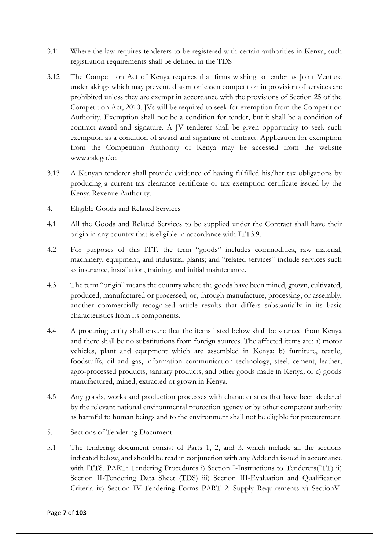- 3.11 Where the law requires tenderers to be registered with certain authorities in Kenya, such registration requirements shall be defined in the TDS
- 3.12 The Competition Act of Kenya requires that firms wishing to tender as Joint Venture undertakings which may prevent, distort or lessen competition in provision of services are prohibited unless they are exempt in accordance with the provisions of Section 25 of the Competition Act, 2010. JVs will be required to seek for exemption from the Competition Authority. Exemption shall not be a condition for tender, but it shall be a condition of contract award and signature. A JV tenderer shall be given opportunity to seek such exemption as a condition of award and signature of contract. Application for exemption from the Competition Authority of Kenya may be accessed from the website www.cak.go.ke.
- 3.13 A Kenyan tenderer shall provide evidence of having fulfilled his/her tax obligations by producing a current tax clearance certificate or tax exemption certificate issued by the Kenya Revenue Authority.
- 4. Eligible Goods and Related Services
- 4.1 All the Goods and Related Services to be supplied under the Contract shall have their origin in any country that is eligible in accordance with ITT3.9.
- 4.2 For purposes of this ITT, the term "goods" includes commodities, raw material, machinery, equipment, and industrial plants; and "related services" include services such as insurance, installation, training, and initial maintenance.
- 4.3 The term "origin" means the country where the goods have been mined, grown, cultivated, produced, manufactured or processed; or, through manufacture, processing, or assembly, another commercially recognized article results that differs substantially in its basic characteristics from its components.
- 4.4 A procuring entity shall ensure that the items listed below shall be sourced from Kenya and there shall be no substitutions from foreign sources. The affected items are: a) motor vehicles, plant and equipment which are assembled in Kenya; b) furniture, textile, foodstuffs, oil and gas, information communication technology, steel, cement, leather, agro-processed products, sanitary products, and other goods made in Kenya; or c) goods manufactured, mined, extracted or grown in Kenya.
- 4.5 Any goods, works and production processes with characteristics that have been declared by the relevant national environmental protection agency or by other competent authority as harmful to human beings and to the environment shall not be eligible for procurement.
- 5. Sections of Tendering Document
- 5.1 The tendering document consist of Parts 1, 2, and 3, which include all the sections indicated below, and should be read in conjunction with any Addenda issued in accordance with ITT8. PART: Tendering Procedures i) Section I-Instructions to Tenderers(ITT) ii) Section II-Tendering Data Sheet (TDS) iii) Section III-Evaluation and Qualification Criteria iv) Section IV-Tendering Forms PART 2: Supply Requirements v) SectionV-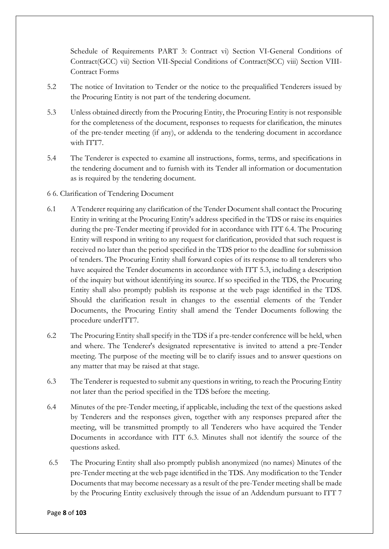Schedule of Requirements PART 3: Contract vi) Section VI-General Conditions of Contract(GCC) vii) Section VII-Special Conditions of Contract(SCC) viii) Section VIII-Contract Forms

- 5.2 The notice of Invitation to Tender or the notice to the prequalified Tenderers issued by the Procuring Entity is not part of the tendering document.
- 5.3 Unless obtained directly from the Procuring Entity, the Procuring Entity is not responsible for the completeness of the document, responses to requests for clarification, the minutes of the pre-tender meeting (if any), or addenda to the tendering document in accordance with ITT7.
- 5.4 The Tenderer is expected to examine all instructions, forms, terms, and specifications in the tendering document and to furnish with its Tender all information or documentation as is required by the tendering document.
- 6 6. Clarification of Tendering Document
- 6.1 A Tenderer requiring any clarification of the Tender Document shall contact the Procuring Entity in writing at the Procuring Entity's address specified in the TDS or raise its enquiries during the pre-Tender meeting if provided for in accordance with ITT 6.4. The Procuring Entity will respond in writing to any request for clarification, provided that such request is received no later than the period specified in the TDS prior to the deadline for submission of tenders. The Procuring Entity shall forward copies of its response to all tenderers who have acquired the Tender documents in accordance with ITT 5.3, including a description of the inquiry but without identifying its source. If so specified in the TDS, the Procuring Entity shall also promptly publish its response at the web page identified in the TDS. Should the clarification result in changes to the essential elements of the Tender Documents, the Procuring Entity shall amend the Tender Documents following the procedure underITT7.
- 6.2 The Procuring Entity shall specify in the TDS if a pre-tender conference will be held, when and where. The Tenderer's designated representative is invited to attend a pre-Tender meeting. The purpose of the meeting will be to clarify issues and to answer questions on any matter that may be raised at that stage.
- 6.3 The Tenderer is requested to submit any questions in writing, to reach the Procuring Entity not later than the period specified in the TDS before the meeting.
- 6.4 Minutes of the pre-Tender meeting, if applicable, including the text of the questions asked by Tenderers and the responses given, together with any responses prepared after the meeting, will be transmitted promptly to all Tenderers who have acquired the Tender Documents in accordance with ITT 6.3. Minutes shall not identify the source of the questions asked.
- 6.5 The Procuring Entity shall also promptly publish anonymized (no names) Minutes of the pre-Tender meeting at the web page identified in the TDS. Any modification to the Tender Documents that may become necessary as a result of the pre-Tender meeting shall be made by the Procuring Entity exclusively through the issue of an Addendum pursuant to ITT 7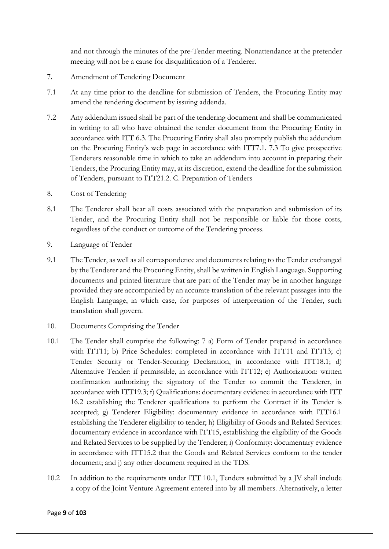and not through the minutes of the pre-Tender meeting. Nonattendance at the pretender meeting will not be a cause for disqualification of a Tenderer.

- 7. Amendment of Tendering Document
- 7.1 At any time prior to the deadline for submission of Tenders, the Procuring Entity may amend the tendering document by issuing addenda.
- 7.2 Any addendum issued shall be part of the tendering document and shall be communicated in writing to all who have obtained the tender document from the Procuring Entity in accordance with ITT 6.3. The Procuring Entity shall also promptly publish the addendum on the Procuring Entity's web page in accordance with ITT7.1. 7.3 To give prospective Tenderers reasonable time in which to take an addendum into account in preparing their Tenders, the Procuring Entity may, at its discretion, extend the deadline for the submission of Tenders, pursuant to ITT21.2. C. Preparation of Tenders
- 8. Cost of Tendering
- 8.1 The Tenderer shall bear all costs associated with the preparation and submission of its Tender, and the Procuring Entity shall not be responsible or liable for those costs, regardless of the conduct or outcome of the Tendering process.
- 9. Language of Tender
- 9.1 The Tender, as well as all correspondence and documents relating to the Tender exchanged by the Tenderer and the Procuring Entity, shall be written in English Language. Supporting documents and printed literature that are part of the Tender may be in another language provided they are accompanied by an accurate translation of the relevant passages into the English Language, in which case, for purposes of interpretation of the Tender, such translation shall govern.
- 10. Documents Comprising the Tender
- 10.1 The Tender shall comprise the following: 7 a) Form of Tender prepared in accordance with ITT11; b) Price Schedules: completed in accordance with ITT11 and ITT13; c) Tender Security or Tender-Securing Declaration, in accordance with ITT18.1; d) Alternative Tender: if permissible, in accordance with ITT12; e) Authorization: written confirmation authorizing the signatory of the Tender to commit the Tenderer, in accordance with ITT19.3; f) Qualifications: documentary evidence in accordance with ITT 16.2 establishing the Tenderer qualifications to perform the Contract if its Tender is accepted; g) Tenderer Eligibility: documentary evidence in accordance with ITT16.1 establishing the Tenderer eligibility to tender; h) Eligibility of Goods and Related Services: documentary evidence in accordance with ITT15, establishing the eligibility of the Goods and Related Services to be supplied by the Tenderer; i) Conformity: documentary evidence in accordance with ITT15.2 that the Goods and Related Services conform to the tender document; and j) any other document required in the TDS.
- 10.2 In addition to the requirements under ITT 10.1, Tenders submitted by a JV shall include a copy of the Joint Venture Agreement entered into by all members. Alternatively, a letter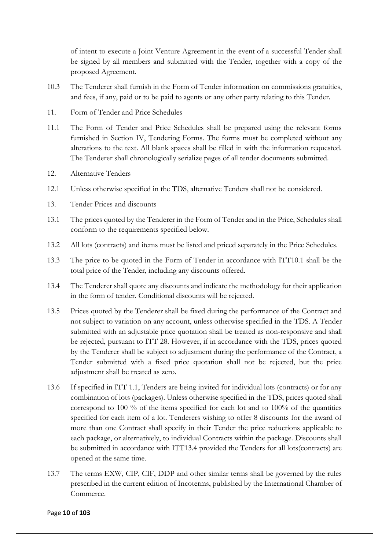of intent to execute a Joint Venture Agreement in the event of a successful Tender shall be signed by all members and submitted with the Tender, together with a copy of the proposed Agreement.

- 10.3 The Tenderer shall furnish in the Form of Tender information on commissions gratuities, and fees, if any, paid or to be paid to agents or any other party relating to this Tender.
- 11. Form of Tender and Price Schedules
- 11.1 The Form of Tender and Price Schedules shall be prepared using the relevant forms furnished in Section IV, Tendering Forms. The forms must be completed without any alterations to the text. All blank spaces shall be filled in with the information requested. The Tenderer shall chronologically serialize pages of all tender documents submitted.
- 12. Alternative Tenders
- 12.1 Unless otherwise specified in the TDS, alternative Tenders shall not be considered.
- 13. Tender Prices and discounts
- 13.1 The prices quoted by the Tenderer in the Form of Tender and in the Price, Schedules shall conform to the requirements specified below.
- 13.2 All lots (contracts) and items must be listed and priced separately in the Price Schedules.
- 13.3 The price to be quoted in the Form of Tender in accordance with ITT10.1 shall be the total price of the Tender, including any discounts offered.
- 13.4 The Tenderer shall quote any discounts and indicate the methodology for their application in the form of tender. Conditional discounts will be rejected.
- 13.5 Prices quoted by the Tenderer shall be fixed during the performance of the Contract and not subject to variation on any account, unless otherwise specified in the TDS. A Tender submitted with an adjustable price quotation shall be treated as non-responsive and shall be rejected, pursuant to ITT 28. However, if in accordance with the TDS, prices quoted by the Tenderer shall be subject to adjustment during the performance of the Contract, a Tender submitted with a fixed price quotation shall not be rejected, but the price adjustment shall be treated as zero.
- 13.6 If specified in ITT 1.1, Tenders are being invited for individual lots (contracts) or for any combination of lots (packages). Unless otherwise specified in the TDS, prices quoted shall correspond to 100 % of the items specified for each lot and to 100% of the quantities specified for each item of a lot. Tenderers wishing to offer 8 discounts for the award of more than one Contract shall specify in their Tender the price reductions applicable to each package, or alternatively, to individual Contracts within the package. Discounts shall be submitted in accordance with ITT13.4 provided the Tenders for all lots(contracts) are opened at the same time.
- 13.7 The terms EXW, CIP, CIF, DDP and other similar terms shall be governed by the rules prescribed in the current edition of Incoterms, published by the International Chamber of Commerce.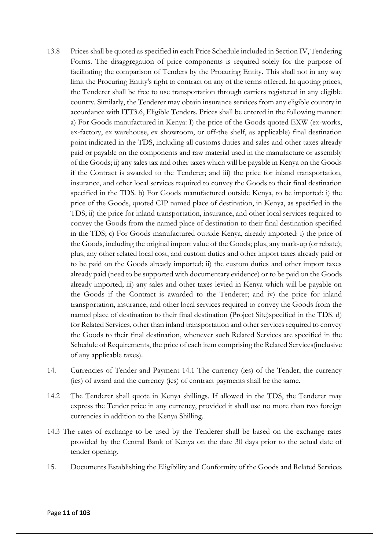- 13.8 Prices shall be quoted as specified in each Price Schedule included in Section IV, Tendering Forms. The disaggregation of price components is required solely for the purpose of facilitating the comparison of Tenders by the Procuring Entity. This shall not in any way limit the Procuring Entity's right to contract on any of the terms offered. In quoting prices, the Tenderer shall be free to use transportation through carriers registered in any eligible country. Similarly, the Tenderer may obtain insurance services from any eligible country in accordance with ITT3.6, Eligible Tenders. Prices shall be entered in the following manner: a) For Goods manufactured in Kenya: I) the price of the Goods quoted EXW (ex-works, ex-factory, ex warehouse, ex showroom, or off-the shelf, as applicable) final destination point indicated in the TDS, including all customs duties and sales and other taxes already paid or payable on the components and raw material used in the manufacture or assembly of the Goods; ii) any sales tax and other taxes which will be payable in Kenya on the Goods if the Contract is awarded to the Tenderer; and iii) the price for inland transportation, insurance, and other local services required to convey the Goods to their final destination specified in the TDS. b) For Goods manufactured outside Kenya, to be imported: i) the price of the Goods, quoted CIP named place of destination, in Kenya, as specified in the TDS; ii) the price for inland transportation, insurance, and other local services required to convey the Goods from the named place of destination to their final destination specified in the TDS; c) For Goods manufactured outside Kenya, already imported: i) the price of the Goods, including the original import value of the Goods; plus, any mark-up (or rebate); plus, any other related local cost, and custom duties and other import taxes already paid or to be paid on the Goods already imported; ii) the custom duties and other import taxes already paid (need to be supported with documentary evidence) or to be paid on the Goods already imported; iii) any sales and other taxes levied in Kenya which will be payable on the Goods if the Contract is awarded to the Tenderer; and iv) the price for inland transportation, insurance, and other local services required to convey the Goods from the named place of destination to their final destination (Project Site)specified in the TDS. d) for Related Services, other than inland transportation and other services required to convey the Goods to their final destination, whenever such Related Services are specified in the Schedule of Requirements, the price of each item comprising the Related Services(inclusive of any applicable taxes).
- 14. Currencies of Tender and Payment 14.1 The currency (ies) of the Tender, the currency (ies) of award and the currency (ies) of contract payments shall be the same.
- 14.2 The Tenderer shall quote in Kenya shillings. If allowed in the TDS, the Tenderer may express the Tender price in any currency, provided it shall use no more than two foreign currencies in addition to the Kenya Shilling.
- 14.3 The rates of exchange to be used by the Tenderer shall be based on the exchange rates provided by the Central Bank of Kenya on the date 30 days prior to the actual date of tender opening.
- 15. Documents Establishing the Eligibility and Conformity of the Goods and Related Services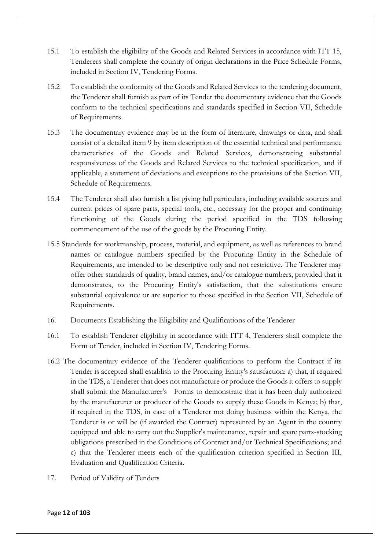- 15.1 To establish the eligibility of the Goods and Related Services in accordance with ITT 15, Tenderers shall complete the country of origin declarations in the Price Schedule Forms, included in Section IV, Tendering Forms.
- 15.2 To establish the conformity of the Goods and Related Services to the tendering document, the Tenderer shall furnish as part of its Tender the documentary evidence that the Goods conform to the technical specifications and standards specified in Section VII, Schedule of Requirements.
- 15.3 The documentary evidence may be in the form of literature, drawings or data, and shall consist of a detailed item 9 by item description of the essential technical and performance characteristics of the Goods and Related Services, demonstrating substantial responsiveness of the Goods and Related Services to the technical specification, and if applicable, a statement of deviations and exceptions to the provisions of the Section VII, Schedule of Requirements.
- 15.4 The Tenderer shall also furnish a list giving full particulars, including available sources and current prices of spare parts, special tools, etc., necessary for the proper and continuing functioning of the Goods during the period specified in the TDS following commencement of the use of the goods by the Procuring Entity.
- 15.5 Standards for workmanship, process, material, and equipment, as well as references to brand names or catalogue numbers specified by the Procuring Entity in the Schedule of Requirements, are intended to be descriptive only and not restrictive. The Tenderer may offer other standards of quality, brand names, and/or catalogue numbers, provided that it demonstrates, to the Procuring Entity's satisfaction, that the substitutions ensure substantial equivalence or are superior to those specified in the Section VII, Schedule of Requirements.
- 16. Documents Establishing the Eligibility and Qualifications of the Tenderer
- 16.1 To establish Tenderer eligibility in accordance with ITT 4, Tenderers shall complete the Form of Tender, included in Section IV, Tendering Forms.
- 16.2 The documentary evidence of the Tenderer qualifications to perform the Contract if its Tender is accepted shall establish to the Procuring Entity's satisfaction: a) that, if required in the TDS, a Tenderer that does not manufacture or produce the Goods it offers to supply shall submit the Manufacturer's Forms to demonstrate that it has been duly authorized by the manufacturer or producer of the Goods to supply these Goods in Kenya; b) that, if required in the TDS, in case of a Tenderer not doing business within the Kenya, the Tenderer is or will be (if awarded the Contract) represented by an Agent in the country equipped and able to carry out the Supplier's maintenance, repair and spare parts-stocking obligations prescribed in the Conditions of Contract and/or Technical Specifications; and c) that the Tenderer meets each of the qualification criterion specified in Section III, Evaluation and Qualification Criteria.
- 17. Period of Validity of Tenders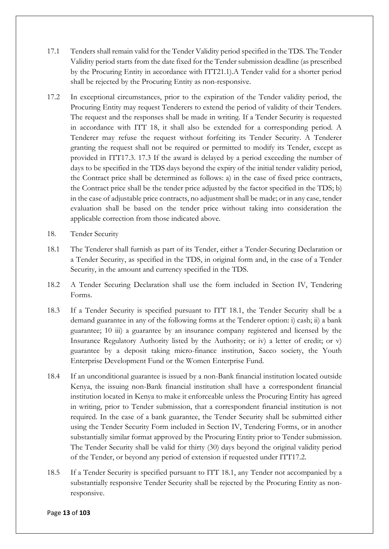- 17.1 Tenders shall remain valid for the Tender Validity period specified in the TDS. The Tender Validity period starts from the date fixed for the Tender submission deadline (as prescribed by the Procuring Entity in accordance with ITT21.1).A Tender valid for a shorter period shall be rejected by the Procuring Entity as non-responsive.
- 17.2 In exceptional circumstances, prior to the expiration of the Tender validity period, the Procuring Entity may request Tenderers to extend the period of validity of their Tenders. The request and the responses shall be made in writing. If a Tender Security is requested in accordance with ITT 18, it shall also be extended for a corresponding period. A Tenderer may refuse the request without forfeiting its Tender Security. A Tenderer granting the request shall not be required or permitted to modify its Tender, except as provided in ITT17.3. 17.3 If the award is delayed by a period exceeding the number of days to be specified in the TDS days beyond the expiry of the initial tender validity period, the Contract price shall be determined as follows: a) in the case of fixed price contracts, the Contract price shall be the tender price adjusted by the factor specified in the TDS; b) in the case of adjustable price contracts, no adjustment shall be made; or in any case, tender evaluation shall be based on the tender price without taking into consideration the applicable correction from those indicated above.
- 18. Tender Security
- 18.1 The Tenderer shall furnish as part of its Tender, either a Tender-Securing Declaration or a Tender Security, as specified in the TDS, in original form and, in the case of a Tender Security, in the amount and currency specified in the TDS.
- 18.2 A Tender Securing Declaration shall use the form included in Section IV, Tendering Forms.
- 18.3 If a Tender Security is specified pursuant to ITT 18.1, the Tender Security shall be a demand guarantee in any of the following forms at the Tenderer option: i) cash; ii) a bank guarantee; 10 iii) a guarantee by an insurance company registered and licensed by the Insurance Regulatory Authority listed by the Authority; or iv) a letter of credit; or v) guarantee by a deposit taking micro-finance institution, Sacco society, the Youth Enterprise Development Fund or the Women Enterprise Fund.
- 18.4 If an unconditional guarantee is issued by a non-Bank financial institution located outside Kenya, the issuing non-Bank financial institution shall have a correspondent financial institution located in Kenya to make it enforceable unless the Procuring Entity has agreed in writing, prior to Tender submission, that a correspondent financial institution is not required. In the case of a bank guarantee, the Tender Security shall be submitted either using the Tender Security Form included in Section IV, Tendering Forms, or in another substantially similar format approved by the Procuring Entity prior to Tender submission. The Tender Security shall be valid for thirty (30) days beyond the original validity period of the Tender, or beyond any period of extension if requested under ITT17.2.
- 18.5 If a Tender Security is specified pursuant to ITT 18.1, any Tender not accompanied by a substantially responsive Tender Security shall be rejected by the Procuring Entity as nonresponsive.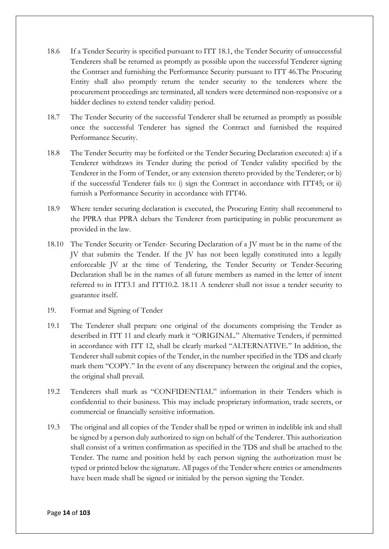- 18.6 If a Tender Security is specified pursuant to ITT 18.1, the Tender Security of unsuccessful Tenderers shall be returned as promptly as possible upon the successful Tenderer signing the Contract and furnishing the Performance Security pursuant to ITT 46.The Procuring Entity shall also promptly return the tender security to the tenderers where the procurement proceedings are terminated, all tenders were determined non-responsive or a bidder declines to extend tender validity period.
- 18.7 The Tender Security of the successful Tenderer shall be returned as promptly as possible once the successful Tenderer has signed the Contract and furnished the required Performance Security.
- 18.8 The Tender Security may be forfeited or the Tender Securing Declaration executed: a) if a Tenderer withdraws its Tender during the period of Tender validity specified by the Tenderer in the Form of Tender, or any extension thereto provided by the Tenderer; or b) if the successful Tenderer fails to: i) sign the Contract in accordance with ITT45; or ii) furnish a Performance Security in accordance with ITT46.
- 18.9 Where tender securing declaration is executed, the Procuring Entity shall recommend to the PPRA that PPRA debars the Tenderer from participating in public procurement as provided in the law.
- 18.10 The Tender Security or Tender- Securing Declaration of a JV must be in the name of the JV that submits the Tender. If the JV has not been legally constituted into a legally enforceable JV at the time of Tendering, the Tender Security or Tender-Securing Declaration shall be in the names of all future members as named in the letter of intent referred to in ITT3.1 and ITT10.2. 18.11 A tenderer shall not issue a tender security to guarantee itself.
- 19. Format and Signing of Tender
- 19.1 The Tenderer shall prepare one original of the documents comprising the Tender as described in ITT 11 and clearly mark it "ORIGINAL." Alternative Tenders, if permitted in accordance with ITT 12, shall be clearly marked "ALTERNATIVE." In addition, the Tenderer shall submit copies of the Tender, in the number specified in the TDS and clearly mark them "COPY." In the event of any discrepancy between the original and the copies, the original shall prevail.
- 19.2 Tenderers shall mark as "CONFIDENTIAL" information in their Tenders which is confidential to their business. This may include proprietary information, trade secrets, or commercial or financially sensitive information.
- 19.3 The original and all copies of the Tender shall be typed or written in indelible ink and shall be signed by a person duly authorized to sign on behalf of the Tenderer. This authorization shall consist of a written confirmation as specified in the TDS and shall be attached to the Tender. The name and position held by each person signing the authorization must be typed or printed below the signature. All pages of the Tender where entries or amendments have been made shall be signed or initialed by the person signing the Tender.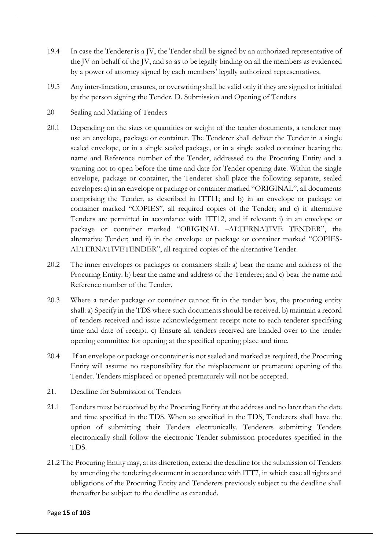- 19.4 In case the Tenderer is a JV, the Tender shall be signed by an authorized representative of the JV on behalf of the JV, and so as to be legally binding on all the members as evidenced by a power of attorney signed by each members' legally authorized representatives.
- 19.5 Any inter-lineation, erasures, or overwriting shall be valid only if they are signed or initialed by the person signing the Tender. D. Submission and Opening of Tenders
- 20 Sealing and Marking of Tenders
- 20.1 Depending on the sizes or quantities or weight of the tender documents, a tenderer may use an envelope, package or container. The Tenderer shall deliver the Tender in a single sealed envelope, or in a single sealed package, or in a single sealed container bearing the name and Reference number of the Tender, addressed to the Procuring Entity and a warning not to open before the time and date for Tender opening date. Within the single envelope, package or container, the Tenderer shall place the following separate, sealed envelopes: a) in an envelope or package or container marked "ORIGINAL", all documents comprising the Tender, as described in ITT11; and b) in an envelope or package or container marked "COPIES", all required copies of the Tender; and c) if alternative Tenders are permitted in accordance with ITT12, and if relevant: i) in an envelope or package or container marked "ORIGINAL –ALTERNATIVE TENDER", the alternative Tender; and ii) in the envelope or package or container marked "COPIES-ALTERNATIVETENDER", all required copies of the alternative Tender.
- 20.2 The inner envelopes or packages or containers shall: a) bear the name and address of the Procuring Entity. b) bear the name and address of the Tenderer; and c) bear the name and Reference number of the Tender.
- 20.3 Where a tender package or container cannot fit in the tender box, the procuring entity shall: a) Specify in the TDS where such documents should be received. b) maintain a record of tenders received and issue acknowledgement receipt note to each tenderer specifying time and date of receipt. c) Ensure all tenders received are handed over to the tender opening committee for opening at the specified opening place and time.
- 20.4 If an envelope or package or container is not sealed and marked as required, the Procuring Entity will assume no responsibility for the misplacement or premature opening of the Tender. Tenders misplaced or opened prematurely will not be accepted.
- 21. Deadline for Submission of Tenders
- 21.1 Tenders must be received by the Procuring Entity at the address and no later than the date and time specified in the TDS. When so specified in the TDS, Tenderers shall have the option of submitting their Tenders electronically. Tenderers submitting Tenders electronically shall follow the electronic Tender submission procedures specified in the TDS.
- 21.2 The Procuring Entity may, at its discretion, extend the deadline for the submission of Tenders by amending the tendering document in accordance with ITT7, in which case all rights and obligations of the Procuring Entity and Tenderers previously subject to the deadline shall thereafter be subject to the deadline as extended.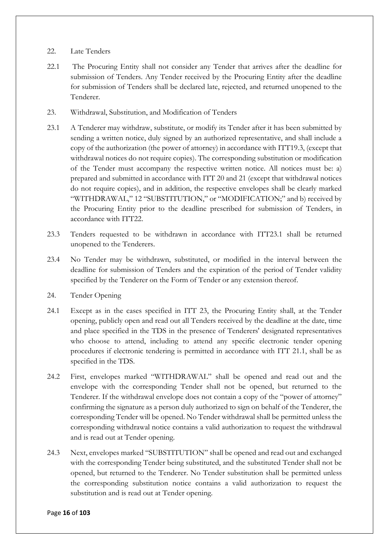### 22. Late Tenders

- 22.1 The Procuring Entity shall not consider any Tender that arrives after the deadline for submission of Tenders. Any Tender received by the Procuring Entity after the deadline for submission of Tenders shall be declared late, rejected, and returned unopened to the Tenderer.
- 23. Withdrawal, Substitution, and Modification of Tenders
- 23.1 A Tenderer may withdraw, substitute, or modify its Tender after it has been submitted by sending a written notice, duly signed by an authorized representative, and shall include a copy of the authorization (the power of attorney) in accordance with ITT19.3, (except that withdrawal notices do not require copies). The corresponding substitution or modification of the Tender must accompany the respective written notice. All notices must be: a) prepared and submitted in accordance with ITT 20 and 21 (except that withdrawal notices do not require copies), and in addition, the respective envelopes shall be clearly marked "WITHDRAWAL," 12 "SUBSTITUTION," or "MODIFICATION;" and b) received by the Procuring Entity prior to the deadline prescribed for submission of Tenders, in accordance with ITT22.
- 23.3 Tenders requested to be withdrawn in accordance with ITT23.1 shall be returned unopened to the Tenderers.
- 23.4 No Tender may be withdrawn, substituted, or modified in the interval between the deadline for submission of Tenders and the expiration of the period of Tender validity specified by the Tenderer on the Form of Tender or any extension thereof.
- 24. Tender Opening
- 24.1 Except as in the cases specified in ITT 23, the Procuring Entity shall, at the Tender opening, publicly open and read out all Tenders received by the deadline at the date, time and place specified in the TDS in the presence of Tenderers' designated representatives who choose to attend, including to attend any specific electronic tender opening procedures if electronic tendering is permitted in accordance with ITT 21.1, shall be as specified in the TDS.
- 24.2 First, envelopes marked "WITHDRAWAL" shall be opened and read out and the envelope with the corresponding Tender shall not be opened, but returned to the Tenderer. If the withdrawal envelope does not contain a copy of the "power of attorney" confirming the signature as a person duly authorized to sign on behalf of the Tenderer, the corresponding Tender will be opened. No Tender withdrawal shall be permitted unless the corresponding withdrawal notice contains a valid authorization to request the withdrawal and is read out at Tender opening.
- 24.3 Next, envelopes marked "SUBSTITUTION" shall be opened and read out and exchanged with the corresponding Tender being substituted, and the substituted Tender shall not be opened, but returned to the Tenderer. No Tender substitution shall be permitted unless the corresponding substitution notice contains a valid authorization to request the substitution and is read out at Tender opening.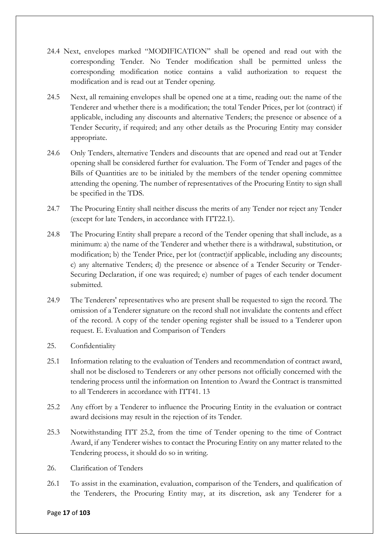- 24.4 Next, envelopes marked "MODIFICATION" shall be opened and read out with the corresponding Tender. No Tender modification shall be permitted unless the corresponding modification notice contains a valid authorization to request the modification and is read out at Tender opening.
- 24.5 Next, all remaining envelopes shall be opened one at a time, reading out: the name of the Tenderer and whether there is a modification; the total Tender Prices, per lot (contract) if applicable, including any discounts and alternative Tenders; the presence or absence of a Tender Security, if required; and any other details as the Procuring Entity may consider appropriate.
- 24.6 Only Tenders, alternative Tenders and discounts that are opened and read out at Tender opening shall be considered further for evaluation. The Form of Tender and pages of the Bills of Quantities are to be initialed by the members of the tender opening committee attending the opening. The number of representatives of the Procuring Entity to sign shall be specified in the TDS.
- 24.7 The Procuring Entity shall neither discuss the merits of any Tender nor reject any Tender (except for late Tenders, in accordance with ITT22.1).
- 24.8 The Procuring Entity shall prepare a record of the Tender opening that shall include, as a minimum: a) the name of the Tenderer and whether there is a withdrawal, substitution, or modification; b) the Tender Price, per lot (contract)if applicable, including any discounts; c) any alternative Tenders; d) the presence or absence of a Tender Security or Tender-Securing Declaration, if one was required; e) number of pages of each tender document submitted.
- 24.9 The Tenderers' representatives who are present shall be requested to sign the record. The omission of a Tenderer signature on the record shall not invalidate the contents and effect of the record. A copy of the tender opening register shall be issued to a Tenderer upon request. E. Evaluation and Comparison of Tenders
- 25. Confidentiality
- 25.1 Information relating to the evaluation of Tenders and recommendation of contract award, shall not be disclosed to Tenderers or any other persons not officially concerned with the tendering process until the information on Intention to Award the Contract is transmitted to all Tenderers in accordance with ITT41. 13
- 25.2 Any effort by a Tenderer to influence the Procuring Entity in the evaluation or contract award decisions may result in the rejection of its Tender.
- 25.3 Notwithstanding ITT 25.2, from the time of Tender opening to the time of Contract Award, if any Tenderer wishes to contact the Procuring Entity on any matter related to the Tendering process, it should do so in writing.
- 26. Clarification of Tenders
- 26.1 To assist in the examination, evaluation, comparison of the Tenders, and qualification of the Tenderers, the Procuring Entity may, at its discretion, ask any Tenderer for a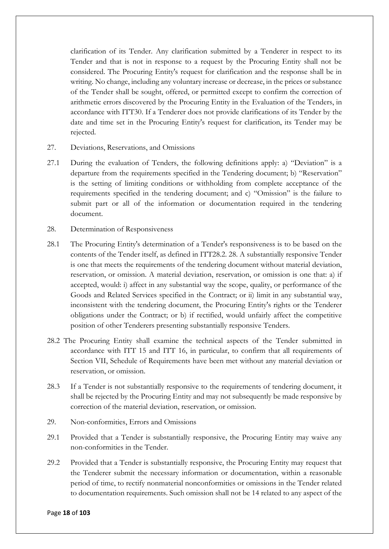clarification of its Tender. Any clarification submitted by a Tenderer in respect to its Tender and that is not in response to a request by the Procuring Entity shall not be considered. The Procuring Entity's request for clarification and the response shall be in writing. No change, including any voluntary increase or decrease, in the prices or substance of the Tender shall be sought, offered, or permitted except to confirm the correction of arithmetic errors discovered by the Procuring Entity in the Evaluation of the Tenders, in accordance with ITT30. If a Tenderer does not provide clarifications of its Tender by the date and time set in the Procuring Entity's request for clarification, its Tender may be rejected.

- 27. Deviations, Reservations, and Omissions
- 27.1 During the evaluation of Tenders, the following definitions apply: a) "Deviation" is a departure from the requirements specified in the Tendering document; b) "Reservation" is the setting of limiting conditions or withholding from complete acceptance of the requirements specified in the tendering document; and c) "Omission" is the failure to submit part or all of the information or documentation required in the tendering document.
- 28. Determination of Responsiveness
- 28.1 The Procuring Entity's determination of a Tender's responsiveness is to be based on the contents of the Tender itself, as defined in ITT28.2. 28. A substantially responsive Tender is one that meets the requirements of the tendering document without material deviation, reservation, or omission. A material deviation, reservation, or omission is one that: a) if accepted, would: i) affect in any substantial way the scope, quality, or performance of the Goods and Related Services specified in the Contract; or ii) limit in any substantial way, inconsistent with the tendering document, the Procuring Entity's rights or the Tenderer obligations under the Contract; or b) if rectified, would unfairly affect the competitive position of other Tenderers presenting substantially responsive Tenders.
- 28.2 The Procuring Entity shall examine the technical aspects of the Tender submitted in accordance with ITT 15 and ITT 16, in particular, to confirm that all requirements of Section VII, Schedule of Requirements have been met without any material deviation or reservation, or omission.
- 28.3 If a Tender is not substantially responsive to the requirements of tendering document, it shall be rejected by the Procuring Entity and may not subsequently be made responsive by correction of the material deviation, reservation, or omission.
- 29. Non-conformities, Errors and Omissions
- 29.1 Provided that a Tender is substantially responsive, the Procuring Entity may waive any non-conformities in the Tender.
- 29.2 Provided that a Tender is substantially responsive, the Procuring Entity may request that the Tenderer submit the necessary information or documentation, within a reasonable period of time, to rectify nonmaterial nonconformities or omissions in the Tender related to documentation requirements. Such omission shall not be 14 related to any aspect of the

#### Page **18** of **103**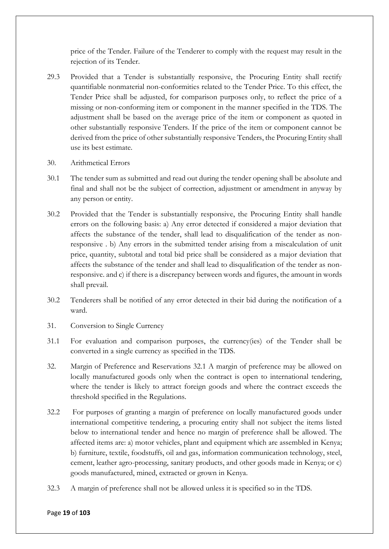price of the Tender. Failure of the Tenderer to comply with the request may result in the rejection of its Tender.

- 29.3 Provided that a Tender is substantially responsive, the Procuring Entity shall rectify quantifiable nonmaterial non-conformities related to the Tender Price. To this effect, the Tender Price shall be adjusted, for comparison purposes only, to reflect the price of a missing or non-conforming item or component in the manner specified in the TDS. The adjustment shall be based on the average price of the item or component as quoted in other substantially responsive Tenders. If the price of the item or component cannot be derived from the price of other substantially responsive Tenders, the Procuring Entity shall use its best estimate.
- 30. Arithmetical Errors
- 30.1 The tender sum as submitted and read out during the tender opening shall be absolute and final and shall not be the subject of correction, adjustment or amendment in anyway by any person or entity.
- 30.2 Provided that the Tender is substantially responsive, the Procuring Entity shall handle errors on the following basis: a) Any error detected if considered a major deviation that affects the substance of the tender, shall lead to disqualification of the tender as nonresponsive . b) Any errors in the submitted tender arising from a miscalculation of unit price, quantity, subtotal and total bid price shall be considered as a major deviation that affects the substance of the tender and shall lead to disqualification of the tender as nonresponsive. and c) if there is a discrepancy between words and figures, the amount in words shall prevail.
- 30.2 Tenderers shall be notified of any error detected in their bid during the notification of a ward.
- 31. Conversion to Single Currency
- 31.1 For evaluation and comparison purposes, the currency(ies) of the Tender shall be converted in a single currency as specified in the TDS.
- 32. Margin of Preference and Reservations 32.1 A margin of preference may be allowed on locally manufactured goods only when the contract is open to international tendering, where the tender is likely to attract foreign goods and where the contract exceeds the threshold specified in the Regulations.
- 32.2 For purposes of granting a margin of preference on locally manufactured goods under international competitive tendering, a procuring entity shall not subject the items listed below to international tender and hence no margin of preference shall be allowed. The affected items are: a) motor vehicles, plant and equipment which are assembled in Kenya; b) furniture, textile, foodstuffs, oil and gas, information communication technology, steel, cement, leather agro-processing, sanitary products, and other goods made in Kenya; or c) goods manufactured, mined, extracted or grown in Kenya.
- 32.3 A margin of preference shall not be allowed unless it is specified so in the TDS.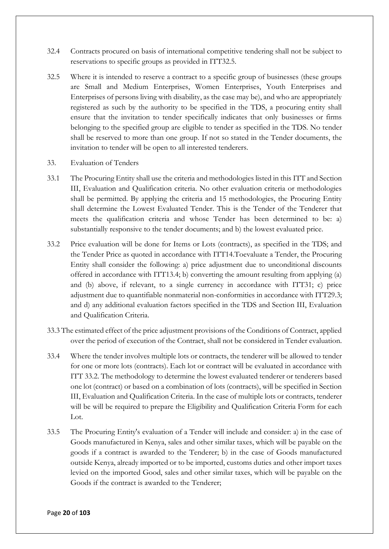- 32.4 Contracts procured on basis of international competitive tendering shall not be subject to reservations to specific groups as provided in ITT32.5.
- 32.5 Where it is intended to reserve a contract to a specific group of businesses (these groups are Small and Medium Enterprises, Women Enterprises, Youth Enterprises and Enterprises of persons living with disability, as the case may be), and who are appropriately registered as such by the authority to be specified in the TDS, a procuring entity shall ensure that the invitation to tender specifically indicates that only businesses or firms belonging to the specified group are eligible to tender as specified in the TDS. No tender shall be reserved to more than one group. If not so stated in the Tender documents, the invitation to tender will be open to all interested tenderers.
- 33. Evaluation of Tenders
- 33.1 The Procuring Entity shall use the criteria and methodologies listed in this ITT and Section III, Evaluation and Qualification criteria. No other evaluation criteria or methodologies shall be permitted. By applying the criteria and 15 methodologies, the Procuring Entity shall determine the Lowest Evaluated Tender. This is the Tender of the Tenderer that meets the qualification criteria and whose Tender has been determined to be: a) substantially responsive to the tender documents; and b) the lowest evaluated price.
- 33.2 Price evaluation will be done for Items or Lots (contracts), as specified in the TDS; and the Tender Price as quoted in accordance with ITT14.Toevaluate a Tender, the Procuring Entity shall consider the following: a) price adjustment due to unconditional discounts offered in accordance with ITT13.4; b) converting the amount resulting from applying (a) and (b) above, if relevant, to a single currency in accordance with ITT31; c) price adjustment due to quantifiable nonmaterial non-conformities in accordance with ITT29.3; and d) any additional evaluation factors specified in the TDS and Section III, Evaluation and Qualification Criteria.
- 33.3 The estimated effect of the price adjustment provisions of the Conditions of Contract, applied over the period of execution of the Contract, shall not be considered in Tender evaluation.
- 33.4 Where the tender involves multiple lots or contracts, the tenderer will be allowed to tender for one or more lots (contracts). Each lot or contract will be evaluated in accordance with ITT 33.2. The methodology to determine the lowest evaluated tenderer or tenderers based one lot (contract) or based on a combination of lots (contracts), will be specified in Section III, Evaluation and Qualification Criteria. In the case of multiple lots or contracts, tenderer will be will be required to prepare the Eligibility and Qualification Criteria Form for each Lot.
- 33.5 The Procuring Entity's evaluation of a Tender will include and consider: a) in the case of Goods manufactured in Kenya, sales and other similar taxes, which will be payable on the goods if a contract is awarded to the Tenderer; b) in the case of Goods manufactured outside Kenya, already imported or to be imported, customs duties and other import taxes levied on the imported Good, sales and other similar taxes, which will be payable on the Goods if the contract is awarded to the Tenderer;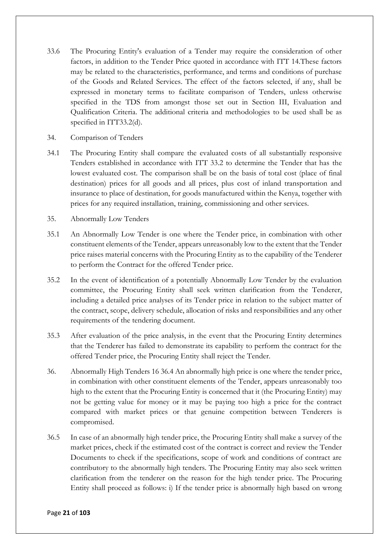- 33.6 The Procuring Entity's evaluation of a Tender may require the consideration of other factors, in addition to the Tender Price quoted in accordance with ITT 14.These factors may be related to the characteristics, performance, and terms and conditions of purchase of the Goods and Related Services. The effect of the factors selected, if any, shall be expressed in monetary terms to facilitate comparison of Tenders, unless otherwise specified in the TDS from amongst those set out in Section III, Evaluation and Qualification Criteria. The additional criteria and methodologies to be used shall be as specified in ITT33.2(d).
- 34. Comparison of Tenders
- 34.1 The Procuring Entity shall compare the evaluated costs of all substantially responsive Tenders established in accordance with ITT 33.2 to determine the Tender that has the lowest evaluated cost. The comparison shall be on the basis of total cost (place of final destination) prices for all goods and all prices, plus cost of inland transportation and insurance to place of destination, for goods manufactured within the Kenya, together with prices for any required installation, training, commissioning and other services.
- 35. Abnormally Low Tenders
- 35.1 An Abnormally Low Tender is one where the Tender price, in combination with other constituent elements of the Tender, appears unreasonably low to the extent that the Tender price raises material concerns with the Procuring Entity as to the capability of the Tenderer to perform the Contract for the offered Tender price.
- 35.2 In the event of identification of a potentially Abnormally Low Tender by the evaluation committee, the Procuring Entity shall seek written clarification from the Tenderer, including a detailed price analyses of its Tender price in relation to the subject matter of the contract, scope, delivery schedule, allocation of risks and responsibilities and any other requirements of the tendering document.
- 35.3 After evaluation of the price analysis, in the event that the Procuring Entity determines that the Tenderer has failed to demonstrate its capability to perform the contract for the offered Tender price, the Procuring Entity shall reject the Tender.
- 36. Abnormally High Tenders 16 36.4 An abnormally high price is one where the tender price, in combination with other constituent elements of the Tender, appears unreasonably too high to the extent that the Procuring Entity is concerned that it (the Procuring Entity) may not be getting value for money or it may be paying too high a price for the contract compared with market prices or that genuine competition between Tenderers is compromised.
- 36.5 In case of an abnormally high tender price, the Procuring Entity shall make a survey of the market prices, check if the estimated cost of the contract is correct and review the Tender Documents to check if the specifications, scope of work and conditions of contract are contributory to the abnormally high tenders. The Procuring Entity may also seek written clarification from the tenderer on the reason for the high tender price. The Procuring Entity shall proceed as follows: i) If the tender price is abnormally high based on wrong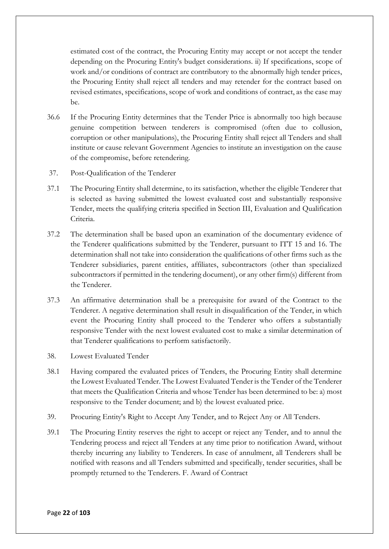estimated cost of the contract, the Procuring Entity may accept or not accept the tender depending on the Procuring Entity's budget considerations. ii) If specifications, scope of work and/or conditions of contract are contributory to the abnormally high tender prices, the Procuring Entity shall reject all tenders and may retender for the contract based on revised estimates, specifications, scope of work and conditions of contract, as the case may be.

- 36.6 If the Procuring Entity determines that the Tender Price is abnormally too high because genuine competition between tenderers is compromised (often due to collusion, corruption or other manipulations), the Procuring Entity shall reject all Tenders and shall institute or cause relevant Government Agencies to institute an investigation on the cause of the compromise, before retendering.
- 37. Post-Qualification of the Tenderer
- 37.1 The Procuring Entity shall determine, to its satisfaction, whether the eligible Tenderer that is selected as having submitted the lowest evaluated cost and substantially responsive Tender, meets the qualifying criteria specified in Section III, Evaluation and Qualification Criteria.
- 37.2 The determination shall be based upon an examination of the documentary evidence of the Tenderer qualifications submitted by the Tenderer, pursuant to ITT 15 and 16. The determination shall not take into consideration the qualifications of other firms such as the Tenderer subsidiaries, parent entities, affiliates, subcontractors (other than specialized subcontractors if permitted in the tendering document), or any other firm(s) different from the Tenderer.
- 37.3 An affirmative determination shall be a prerequisite for award of the Contract to the Tenderer. A negative determination shall result in disqualification of the Tender, in which event the Procuring Entity shall proceed to the Tenderer who offers a substantially responsive Tender with the next lowest evaluated cost to make a similar determination of that Tenderer qualifications to perform satisfactorily.
- 38. Lowest Evaluated Tender
- 38.1 Having compared the evaluated prices of Tenders, the Procuring Entity shall determine the Lowest Evaluated Tender. The Lowest Evaluated Tender is the Tender of the Tenderer that meets the Qualification Criteria and whose Tender has been determined to be: a) most responsive to the Tender document; and b) the lowest evaluated price.
- 39. Procuring Entity's Right to Accept Any Tender, and to Reject Any or All Tenders.
- 39.1 The Procuring Entity reserves the right to accept or reject any Tender, and to annul the Tendering process and reject all Tenders at any time prior to notification Award, without thereby incurring any liability to Tenderers. In case of annulment, all Tenderers shall be notified with reasons and all Tenders submitted and specifically, tender securities, shall be promptly returned to the Tenderers. F. Award of Contract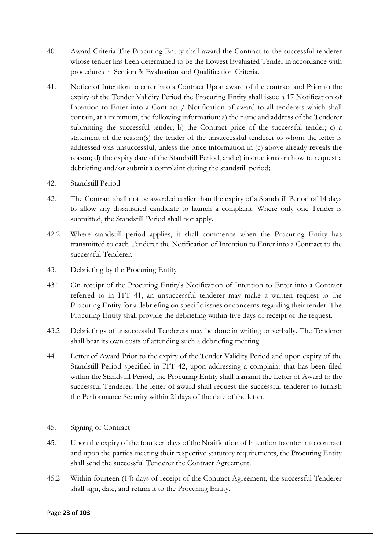- 40. Award Criteria The Procuring Entity shall award the Contract to the successful tenderer whose tender has been determined to be the Lowest Evaluated Tender in accordance with procedures in Section 3: Evaluation and Qualification Criteria.
- 41. Notice of Intention to enter into a Contract Upon award of the contract and Prior to the expiry of the Tender Validity Period the Procuring Entity shall issue a 17 Notification of Intention to Enter into a Contract / Notification of award to all tenderers which shall contain, at a minimum, the following information: a) the name and address of the Tenderer submitting the successful tender; b) the Contract price of the successful tender; c) a statement of the reason(s) the tender of the unsuccessful tenderer to whom the letter is addressed was unsuccessful, unless the price information in (c) above already reveals the reason; d) the expiry date of the Standstill Period; and e) instructions on how to request a debriefing and/or submit a complaint during the standstill period;
- 42. Standstill Period
- 42.1 The Contract shall not be awarded earlier than the expiry of a Standstill Period of 14 days to allow any dissatisfied candidate to launch a complaint. Where only one Tender is submitted, the Standstill Period shall not apply.
- 42.2 Where standstill period applies, it shall commence when the Procuring Entity has transmitted to each Tenderer the Notification of Intention to Enter into a Contract to the successful Tenderer.
- 43. Debriefing by the Procuring Entity
- 43.1 On receipt of the Procuring Entity's Notification of Intention to Enter into a Contract referred to in ITT 41, an unsuccessful tenderer may make a written request to the Procuring Entity for a debriefing on specific issues or concerns regarding their tender. The Procuring Entity shall provide the debriefing within five days of receipt of the request.
- 43.2 Debriefings of unsuccessful Tenderers may be done in writing or verbally. The Tenderer shall bear its own costs of attending such a debriefing meeting.
- 44. Letter of Award Prior to the expiry of the Tender Validity Period and upon expiry of the Standstill Period specified in ITT 42, upon addressing a complaint that has been filed within the Standstill Period, the Procuring Entity shall transmit the Letter of Award to the successful Tenderer. The letter of award shall request the successful tenderer to furnish the Performance Security within 21days of the date of the letter.
- 45. Signing of Contract
- 45.1 Upon the expiry of the fourteen days of the Notification of Intention to enter into contract and upon the parties meeting their respective statutory requirements, the Procuring Entity shall send the successful Tenderer the Contract Agreement.
- 45.2 Within fourteen (14) days of receipt of the Contract Agreement, the successful Tenderer shall sign, date, and return it to the Procuring Entity.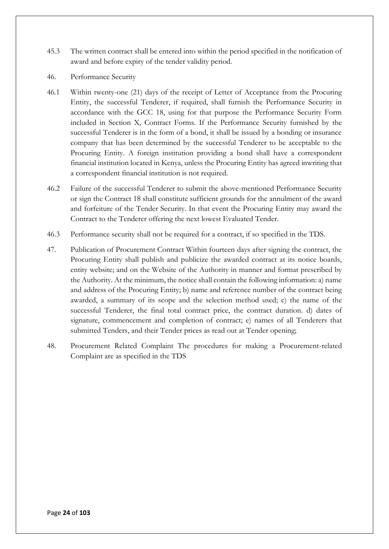- 45.3 The written contract shall be entered into within the period specified in the notification of award and before expiry of the tender validity period.
- 46. Performance Security
- 46.1 Within twenty-one (21) days of the receipt of Letter of Acceptance from the Procuring Entity, the successful Tenderer, if required, shall furnish the Performance Security in accordance with the GCC 18, using for that purpose the Performance Security Form included in Section X, Contract Forms. If the Performance Security furnished by the successful Tenderer is in the form of a bond, it shall be issued by a bonding or insurance company that has been determined by the successful Tenderer to be acceptable to the Procuring Entity. A foreign institution providing a bond shall have a correspondent financial institution located in Kenya, unless the Procuring Entity has agreed inwriting that a correspondent financial institution is not required.
- 46.2 Failure of the successful Tenderer to submit the above-mentioned Performance Security or sign the Contract 18 shall constitute sufficient grounds for the annulment of the award and forfeiture of the Tender Security. In that event the Procuring Entity may award the Contract to the Tenderer offering the next lowest Evaluated Tender.
- 46.3 Performance security shall not be required for a contract, if so specified in the TDS.
- 47. Publication of Procurement Contract Within fourteen days after signing the contract, the Procuring Entity shall publish and publicize the awarded contract at its notice boards, entity website; and on the Website of the Authority in manner and format prescribed by the Authority. At the minimum, the notice shall contain the following information: a) name and address of the Procuring Entity; b) name and reference number of the contract being awarded, a summary of its scope and the selection method used; c) the name of the successful Tenderer, the final total contract price, the contract duration. d) dates of signature, commencement and completion of contract; e) names of all Tenderers that submitted Tenders, and their Tender prices as read out at Tender opening;
- 48. Procurement Related Complaint The procedures for making a Procurement-related Complaint are as specified in the TDS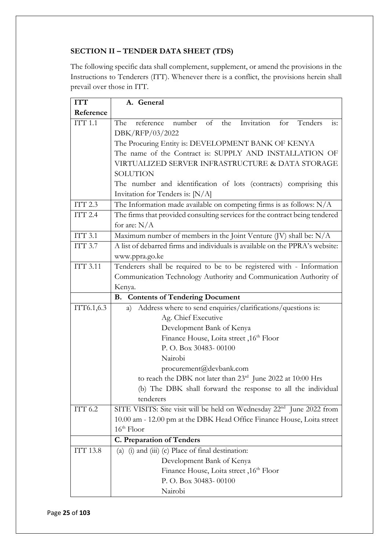## **SECTION II – TENDER DATA SHEET (TDS)**

The following specific data shall complement, supplement, or amend the provisions in the Instructions to Tenderers (ITT). Whenever there is a conflict, the provisions herein shall prevail over those in ITT.

| <b>ITT</b>      | A. General                                                                             |  |  |  |
|-----------------|----------------------------------------------------------------------------------------|--|--|--|
| Reference       |                                                                                        |  |  |  |
| ITT1.1          | reference number of the Invitation for Tenders<br>is:<br>The                           |  |  |  |
|                 | DBK/RFP/03/2022                                                                        |  |  |  |
|                 | The Procuring Entity is: DEVELOPMENT BANK OF KENYA                                     |  |  |  |
|                 | The name of the Contract is: SUPPLY AND INSTALLATION OF                                |  |  |  |
|                 | VIRTUALIZED SERVER INFRASTRUCTURE & DATA STORAGE                                       |  |  |  |
|                 | <b>SOLUTION</b>                                                                        |  |  |  |
|                 | The number and identification of lots (contracts) comprising this                      |  |  |  |
|                 | Invitation for Tenders is: [N/A]                                                       |  |  |  |
| ITT 2.3         | The Information made available on competing firms is as follows: N/A                   |  |  |  |
| ITT 2.4         | The firms that provided consulting services for the contract being tendered            |  |  |  |
|                 | for are: $N/A$                                                                         |  |  |  |
| ITT 3.1         | Maximum number of members in the Joint Venture (JV) shall be: N/A                      |  |  |  |
| ITT 3.7         | A list of debarred firms and individuals is available on the PPRA's website:           |  |  |  |
|                 | www.ppra.go.ke                                                                         |  |  |  |
| <b>ITT 3.11</b> | Tenderers shall be required to be to be registered with - Information                  |  |  |  |
|                 | Communication Technology Authority and Communication Authority of                      |  |  |  |
|                 | Kenya.                                                                                 |  |  |  |
|                 | <b>B.</b> Contents of Tendering Document                                               |  |  |  |
| ITT6.1,6.3      | Address where to send enquiries/clarifications/questions is:<br>a)                     |  |  |  |
|                 | Ag. Chief Executive                                                                    |  |  |  |
|                 | Development Bank of Kenya                                                              |  |  |  |
|                 | Finance House, Loita street, 16th Floor                                                |  |  |  |
|                 | P.O. Box 30483-00100                                                                   |  |  |  |
|                 | Nairobi                                                                                |  |  |  |
|                 | procurement@devbank.com                                                                |  |  |  |
|                 | to reach the DBK not later than 23rd June 2022 at 10:00 Hrs                            |  |  |  |
|                 | (b) The DBK shall forward the response to all the individual                           |  |  |  |
|                 | tenderers                                                                              |  |  |  |
| ITT 6.2         | SITE VISITS: Site visit will be held on Wednesday 22 <sup>nd</sup> June 2022 from      |  |  |  |
|                 | 10.00 am - 12.00 pm at the DBK Head Office Finance House, Loita street<br>$16th$ Floor |  |  |  |
|                 |                                                                                        |  |  |  |
|                 | <b>C. Preparation of Tenders</b>                                                       |  |  |  |
| ITT 13.8        | (i) and (iii) (c) Place of final destination:<br>(a)                                   |  |  |  |
|                 | Development Bank of Kenya                                                              |  |  |  |
|                 | Finance House, Loita street, 16th Floor<br>P. O. Box 30483-00100                       |  |  |  |
|                 | Nairobi                                                                                |  |  |  |
|                 |                                                                                        |  |  |  |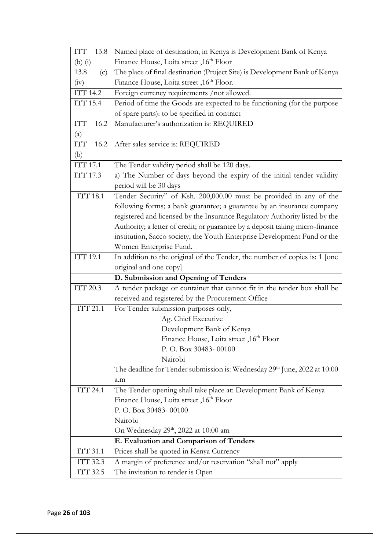| ITT<br>13.8        | Named place of destination, in Kenya is Development Bank of Kenya             |
|--------------------|-------------------------------------------------------------------------------|
| $(b)$ $(i)$        | Finance House, Loita street, 16th Floor                                       |
| 13.8<br>(c)        | The place of final destination (Project Site) is Development Bank of Kenya    |
| (iv)               | Finance House, Loita street, 16th Floor.                                      |
| <b>ITT 14.2</b>    | Foreign currency requirements / not allowed.                                  |
| ITT 15.4           | Period of time the Goods are expected to be functioning (for the purpose      |
|                    | of spare parts): to be specified in contract                                  |
| <b>ITT</b><br>16.2 | Manufacturer's authorization is: REQUIRED                                     |
| (a)                |                                                                               |
| <b>ITT</b><br>16.2 | After sales service is: REQUIRED                                              |
| (b)                |                                                                               |
| ITT 17.1           | The Tender validity period shall be 120 days.                                 |
| ITT 17.3           | a) The Number of days beyond the expiry of the initial tender validity        |
|                    | period will be 30 days                                                        |
| <b>ITT 18.1</b>    | Tender Security" of Ksh. 200,000.00 must be provided in any of the            |
|                    | following forms; a bank guarantee; a guarantee by an insurance company        |
|                    | registered and licensed by the Insurance Regulatory Authority listed by the   |
|                    | Authority; a letter of credit; or guarantee by a deposit taking micro-finance |
|                    | institution, Sacco society, the Youth Enterprise Development Fund or the      |
|                    | Women Enterprise Fund.                                                        |
| <b>ITT 19.1</b>    | In addition to the original of the Tender, the number of copies is: 1 [one    |
|                    | original and one copy]                                                        |
|                    | D. Submission and Opening of Tenders                                          |
| ITT 20.3           | A tender package or container that cannot fit in the tender box shall be      |
|                    | received and registered by the Procurement Office                             |
| <b>ITT 21.1</b>    | For Tender submission purposes only,                                          |
|                    | Ag. Chief Executive                                                           |
|                    | Development Bank of Kenya                                                     |
|                    | Finance House, Loita street, 16th Floor<br>P. O. Box 30483-00100              |
|                    | Nairobi                                                                       |
|                    | The deadline for Tender submission is: Wednesday $29th$ June, 2022 at 10:00   |
|                    | a.m                                                                           |
| <b>ITT 24.1</b>    | The Tender opening shall take place at: Development Bank of Kenya             |
|                    | Finance House, Loita street , 16th Floor                                      |
|                    | P.O. Box 30483-00100                                                          |
|                    | Nairobi                                                                       |
|                    | On Wednesday 29 <sup>th</sup> , 2022 at 10:00 am                              |
|                    | E. Evaluation and Comparison of Tenders                                       |
| <b>ITT 31.1</b>    | Prices shall be quoted in Kenya Currency                                      |
| ITT 32.3           | A margin of preference and/or reservation "shall not" apply                   |
| ITT 32.5           | The invitation to tender is Open                                              |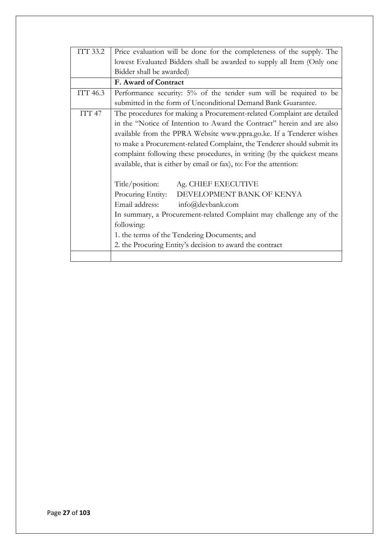| ITT 33.2      | Price evaluation will be done for the completeness of the supply. The   |  |  |  |
|---------------|-------------------------------------------------------------------------|--|--|--|
|               | lowest Evaluated Bidders shall be awarded to supply all Item (Only one  |  |  |  |
|               | Bidder shall be awarded)                                                |  |  |  |
|               | F. Award of Contract                                                    |  |  |  |
| ITT 46.3      | Performance security: 5% of the tender sum will be required to be       |  |  |  |
|               | submitted in the form of Unconditional Demand Bank Guarantee.           |  |  |  |
| <b>ITT 47</b> | The procedures for making a Procurement-related Complaint are detailed  |  |  |  |
|               | in the "Notice of Intention to Award the Contract" herein and are also  |  |  |  |
|               | available from the PPRA Website www.ppra.go.ke. If a Tenderer wishes    |  |  |  |
|               | to make a Procurement-related Complaint, the Tenderer should submit its |  |  |  |
|               | complaint following these procedures, in writing (by the quickest means |  |  |  |
|               | available, that is either by email or fax), to: For the attention:      |  |  |  |
|               | Title/position:<br>Ag. CHIEF EXECUTIVE                                  |  |  |  |
|               | Procuring Entity:<br>DEVELOPMENT BANK OF KENYA                          |  |  |  |
|               | Email address: info@devbank.com                                         |  |  |  |
|               |                                                                         |  |  |  |
|               | In summary, a Procurement-related Complaint may challenge any of the    |  |  |  |
|               | following:                                                              |  |  |  |
|               | 1. the terms of the Tendering Documents; and                            |  |  |  |
|               | 2. the Procuring Entity's decision to award the contract                |  |  |  |
|               |                                                                         |  |  |  |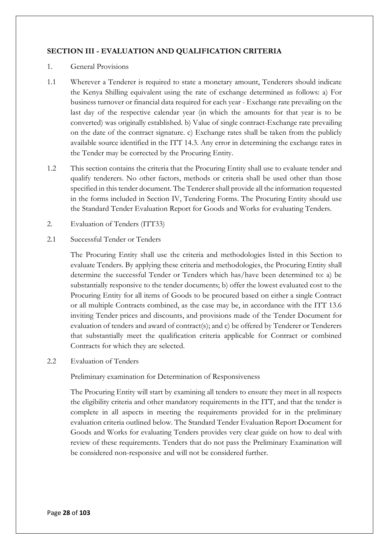## **SECTION III - EVALUATION AND QUALIFICATION CRITERIA**

#### 1. General Provisions

- 1.1 Wherever a Tenderer is required to state a monetary amount, Tenderers should indicate the Kenya Shilling equivalent using the rate of exchange determined as follows: a) For business turnover or financial data required for each year - Exchange rate prevailing on the last day of the respective calendar year (in which the amounts for that year is to be converted) was originally established. b) Value of single contract-Exchange rate prevailing on the date of the contract signature. c) Exchange rates shall be taken from the publicly available source identified in the ITT 14.3. Any error in determining the exchange rates in the Tender may be corrected by the Procuring Entity.
- 1.2 This section contains the criteria that the Procuring Entity shall use to evaluate tender and qualify tenderers. No other factors, methods or criteria shall be used other than those specified in this tender document. The Tenderer shall provide all the information requested in the forms included in Section IV, Tendering Forms. The Procuring Entity should use the Standard Tender Evaluation Report for Goods and Works for evaluating Tenders.
- 2. Evaluation of Tenders (ITT33)
- 2.1 Successful Tender or Tenders

The Procuring Entity shall use the criteria and methodologies listed in this Section to evaluate Tenders. By applying these criteria and methodologies, the Procuring Entity shall determine the successful Tender or Tenders which has/have been determined to: a) be substantially responsive to the tender documents; b) offer the lowest evaluated cost to the Procuring Entity for all items of Goods to be procured based on either a single Contract or all multiple Contracts combined, as the case may be, in accordance with the ITT 13.6 inviting Tender prices and discounts, and provisions made of the Tender Document for evaluation of tenders and award of contract(s); and c) be offered by Tenderer or Tenderers that substantially meet the qualification criteria applicable for Contract or combined Contracts for which they are selected.

2.2 Evaluation of Tenders

Preliminary examination for Determination of Responsiveness

The Procuring Entity will start by examining all tenders to ensure they meet in all respects the eligibility criteria and other mandatory requirements in the ITT, and that the tender is complete in all aspects in meeting the requirements provided for in the preliminary evaluation criteria outlined below. The Standard Tender Evaluation Report Document for Goods and Works for evaluating Tenders provides very clear guide on how to deal with review of these requirements. Tenders that do not pass the Preliminary Examination will be considered non-responsive and will not be considered further.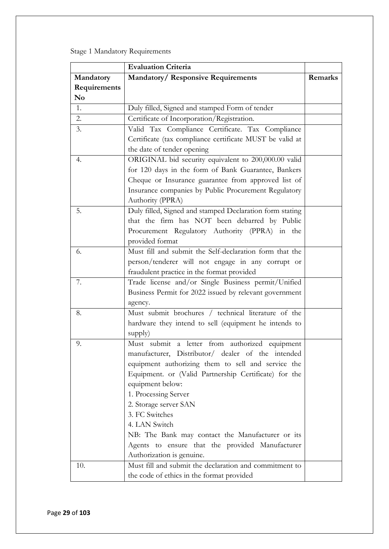Stage 1 Mandatory Requirements

|                | <b>Evaluation Criteria</b>                               |         |
|----------------|----------------------------------------------------------|---------|
| Mandatory      | <b>Mandatory/ Responsive Requirements</b>                | Remarks |
| Requirements   |                                                          |         |
| N <sub>0</sub> |                                                          |         |
| 1.             | Duly filled, Signed and stamped Form of tender           |         |
| 2.             | Certificate of Incorporation/Registration.               |         |
| 3.             | Valid Tax Compliance Certificate. Tax Compliance         |         |
|                | Certificate (tax compliance certificate MUST be valid at |         |
|                | the date of tender opening                               |         |
| 4.             | ORIGINAL bid security equivalent to 200,000.00 valid     |         |
|                | for 120 days in the form of Bank Guarantee, Bankers      |         |
|                | Cheque or Insurance guarantee from approved list of      |         |
|                | Insurance companies by Public Procurement Regulatory     |         |
|                | Authority (PPRA)                                         |         |
| 5.             | Duly filled, Signed and stamped Declaration form stating |         |
|                | that the firm has NOT been debarred by Public            |         |
|                | Procurement Regulatory Authority (PPRA) in the           |         |
|                | provided format                                          |         |
| 6.             | Must fill and submit the Self-declaration form that the  |         |
|                | person/tenderer will not engage in any corrupt or        |         |
|                | fraudulent practice in the format provided               |         |
| 7.             | Trade license and/or Single Business permit/Unified      |         |
|                | Business Permit for 2022 issued by relevant government   |         |
|                | agency.                                                  |         |
| 8.             | Must submit brochures / technical literature of the      |         |
|                | hardware they intend to sell (equipment he intends to    |         |
|                | supply)                                                  |         |
| 9.             | Must submit a letter from authorized equipment           |         |
|                | manufacturer, Distributor/ dealer of the intended        |         |
|                | equipment authorizing them to sell and service the       |         |
|                | Equipment. or (Valid Partnership Certificate) for the    |         |
|                | equipment below:                                         |         |
|                | 1. Processing Server                                     |         |
|                | 2. Storage server SAN                                    |         |
|                | 3. FC Switches                                           |         |
|                | 4. LAN Switch                                            |         |
|                | NB: The Bank may contact the Manufacturer or its         |         |
|                | Agents to ensure that the provided Manufacturer          |         |
|                | Authorization is genuine.                                |         |
| 10.            | Must fill and submit the declaration and commitment to   |         |
|                | the code of ethics in the format provided                |         |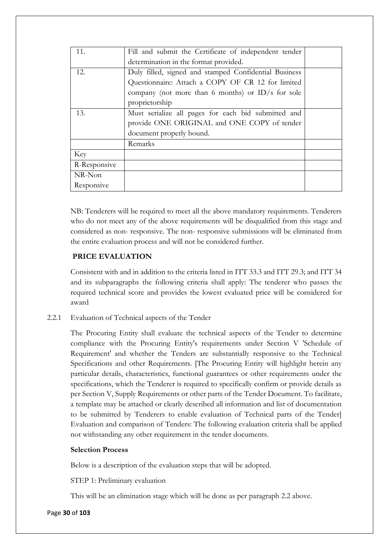| 11.          | Fill and submit the Certificate of independent tender |  |
|--------------|-------------------------------------------------------|--|
|              | determination in the format provided.                 |  |
| 12.          | Duly filled, signed and stamped Confidential Business |  |
|              | Questionnaire: Attach a COPY OF CR 12 for limited     |  |
|              | company (not more than 6 months) or ID/s for sole     |  |
|              | proprietorship                                        |  |
| 13.          | Must serialize all pages for each bid submitted and   |  |
|              | provide ONE ORIGINAL and ONE COPY of tender           |  |
|              | document properly bound.                              |  |
|              | Remarks                                               |  |
| Key          |                                                       |  |
| R-Responsive |                                                       |  |
| NR-Non       |                                                       |  |
| Responsive   |                                                       |  |

NB: Tenderers will be required to meet all the above mandatory requirements. Tenderers who do not meet any of the above requirements will be disqualified from this stage and considered as non- responsive. The non- responsive submissions will be eliminated from the entire evaluation process and will not be considered further.

## **PRICE EVALUATION**

Consistent with and in addition to the criteria listed in ITT 33.3 and ITT 29.3; and ITT 34 and its subparagraphs the following criteria shall apply: The tenderer who passes the required technical score and provides the lowest evaluated price will be considered for award

2.2.1 Evaluation of Technical aspects of the Tender

The Procuring Entity shall evaluate the technical aspects of the Tender to determine compliance with the Procuring Entity's requirements under Section V 'Schedule of Requirement' and whether the Tenders are substantially responsive to the Technical Specifications and other Requirements. [The Procuring Entity will highlight herein any particular details, characteristics, functional guarantees or other requirements under the specifications, which the Tenderer is required to specifically confirm or provide details as per Section V, Supply Requirements or other parts of the Tender Document. To facilitate, a template may be attached or clearly described all information and list of documentation to be submitted by Tenderers to enable evaluation of Technical parts of the Tender] Evaluation and comparison of Tenders: The following evaluation criteria shall be applied not withstanding any other requirement in the tender documents.

## **Selection Process**

Below is a description of the evaluation steps that will be adopted.

STEP 1: Preliminary evaluation

This will be an elimination stage which will be done as per paragraph 2.2 above.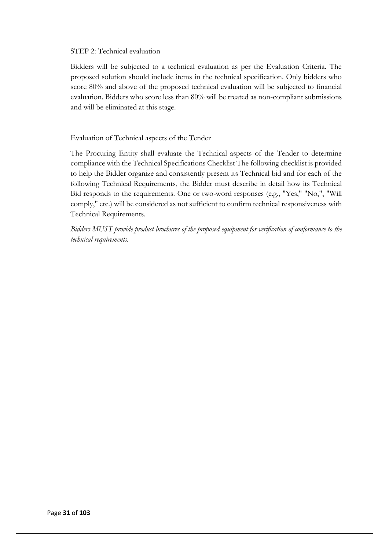#### STEP 2: Technical evaluation

Bidders will be subjected to a technical evaluation as per the Evaluation Criteria. The proposed solution should include items in the technical specification. Only bidders who score 80% and above of the proposed technical evaluation will be subjected to financial evaluation. Bidders who score less than 80% will be treated as non-compliant submissions and will be eliminated at this stage.

### Evaluation of Technical aspects of the Tender

The Procuring Entity shall evaluate the Technical aspects of the Tender to determine compliance with the Technical Specifications Checklist The following checklist is provided to help the Bidder organize and consistently present its Technical bid and for each of the following Technical Requirements, the Bidder must describe in detail how its Technical Bid responds to the requirements. One or two-word responses (e.g., "Yes," "No,", "Will comply," etc.) will be considered as not sufficient to confirm technical responsiveness with Technical Requirements.

*Bidders MUST provide product brochures of the proposed equipment for verification of conformance to the technical requirements.*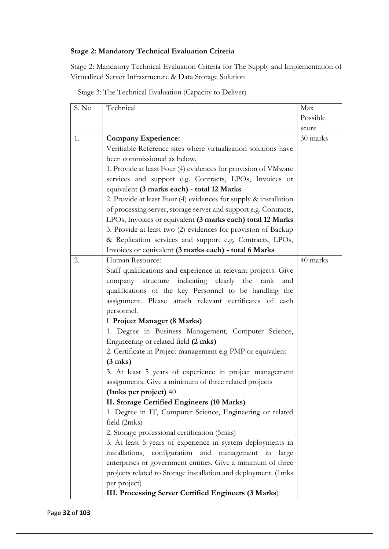## **Stage 2: Mandatory Technical Evaluation Criteria**

Stage 2: Mandatory Technical Evaluation Criteria for The Supply and Implementation of Virtualized Server Infrastructure & Data Storage Solution

Stage 3: The Technical Evaluation (Capacity to Deliver)

| S. No | Technical                                                        | Max      |
|-------|------------------------------------------------------------------|----------|
|       |                                                                  | Possible |
|       |                                                                  | score    |
| 1.    | <b>Company Experience:</b>                                       | 30 marks |
|       | Verifiable Reference sites where virtualization solutions have   |          |
|       | been commissioned as below.                                      |          |
|       | 1. Provide at least Four (4) evidences for provision of VMware   |          |
|       | services and support e.g. Contracts, LPOs, Invoices or           |          |
|       | equivalent (3 marks each) - total 12 Marks                       |          |
|       | 2. Provide at least Four (4) evidences for supply & installation |          |
|       | of processing server, storage server and support e.g. Contracts, |          |
|       | LPOs, Invoices or equivalent (3 marks each) total 12 Marks       |          |
|       | 3. Provide at least two (2) evidences for provision of Backup    |          |
|       | & Replication services and support e.g. Contracts, LPOs,         |          |
|       | Invoices or equivalent (3 marks each) - total 6 Marks            |          |
| 2.    | Human Resource:                                                  | 40 marks |
|       | Staff qualifications and experience in relevant projects. Give   |          |
|       | indicating clearly the<br>company structure<br>rank<br>and       |          |
|       | qualifications of the key Personnel to be handling the           |          |
|       | assignment. Please attach relevant certificates of each          |          |
|       | personnel.                                                       |          |
|       | I. Project Manager (8 Marks)                                     |          |
|       | 1. Degree in Business Management, Computer Science,              |          |
|       | Engineering or related field (2 mks)                             |          |
|       | 2. Certificate in Project management e.g PMP or equivalent       |          |
|       | $(3$ mks)                                                        |          |
|       | 3. At least 5 years of experience in project management          |          |
|       | assignments. Give a minimum of three related projects            |          |
|       | (1 mks per project) $40$                                         |          |
|       | II. Storage Certified Engineers (10 Marks)                       |          |
|       | 1. Degree in IT, Computer Science, Engineering or related        |          |
|       | field (2mks)                                                     |          |
|       | 2. Storage professional certification (5mks)                     |          |
|       | 3. At least 5 years of experience in system deployments in       |          |
|       | installations, configuration and management in<br>large          |          |
|       | enterprises or government entities. Give a minimum of three      |          |
|       | projects related to Storage installation and deployment. (1mks   |          |
|       | per project)                                                     |          |
|       | III. Processing Server Certified Engineers (3 Marks)             |          |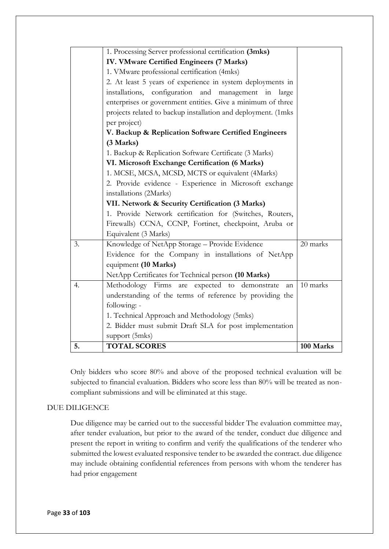|    | 1. Processing Server professional certification (3mks)        |           |
|----|---------------------------------------------------------------|-----------|
|    | IV. VMware Certified Engineers (7 Marks)                      |           |
|    | 1. VMware professional certification (4mks)                   |           |
|    | 2. At least 5 years of experience in system deployments in    |           |
|    | installations, configuration and management in large          |           |
|    | enterprises or government entities. Give a minimum of three   |           |
|    | projects related to backup installation and deployment. (1mks |           |
|    | per project)                                                  |           |
|    | V. Backup & Replication Software Certified Engineers          |           |
|    | (3 Marks)                                                     |           |
|    | 1. Backup & Replication Software Certificate (3 Marks)        |           |
|    | VI. Microsoft Exchange Certification (6 Marks)                |           |
|    | 1. MCSE, MCSA, MCSD, MCTS or equivalent (4Marks)              |           |
|    | 2. Provide evidence - Experience in Microsoft exchange        |           |
|    | installations (2Marks)                                        |           |
|    | VII. Network & Security Certification (3 Marks)               |           |
|    | 1. Provide Network certification for (Switches, Routers,      |           |
|    | Firewalls) CCNA, CCNP, Fortinet, checkpoint, Aruba or         |           |
|    | Equivalent (3 Marks)                                          |           |
| 3. | Knowledge of NetApp Storage - Provide Evidence                | 20 marks  |
|    | Evidence for the Company in installations of NetApp           |           |
|    | equipment (10 Marks)                                          |           |
|    | NetApp Certificates for Technical person (10 Marks)           |           |
| 4. | Methodology Firms are expected to demonstrate<br>an           | 10 marks  |
|    | understanding of the terms of reference by providing the      |           |
|    | following: -                                                  |           |
|    | 1. Technical Approach and Methodology (5mks)                  |           |
|    | 2. Bidder must submit Draft SLA for post implementation       |           |
|    | support (5mks)                                                |           |
| 5. | <b>TOTAL SCORES</b>                                           | 100 Marks |

Only bidders who score 80% and above of the proposed technical evaluation will be subjected to financial evaluation. Bidders who score less than 80% will be treated as noncompliant submissions and will be eliminated at this stage.

### DUE DILIGENCE

Due diligence may be carried out to the successful bidder The evaluation committee may, after tender evaluation, but prior to the award of the tender, conduct due diligence and present the report in writing to confirm and verify the qualifications of the tenderer who submitted the lowest evaluated responsive tender to be awarded the contract. due diligence may include obtaining confidential references from persons with whom the tenderer has had prior engagement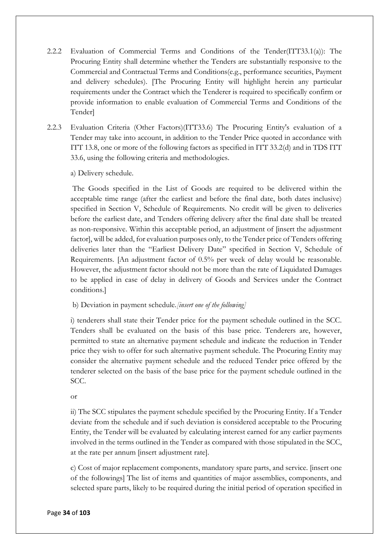- 2.2.2 Evaluation of Commercial Terms and Conditions of the Tender(ITT33.1(a)): The Procuring Entity shall determine whether the Tenders are substantially responsive to the Commercial and Contractual Terms and Conditions(e.g., performance securities, Payment and delivery schedules). [The Procuring Entity will highlight herein any particular requirements under the Contract which the Tenderer is required to specifically confirm or provide information to enable evaluation of Commercial Terms and Conditions of the Tender]
- 2.2.3 Evaluation Criteria (Other Factors)(ITT33.6) The Procuring Entity's evaluation of a Tender may take into account, in addition to the Tender Price quoted in accordance with ITT 13.8, one or more of the following factors as specified in ITT 33.2(d) and in TDS ITT 33.6, using the following criteria and methodologies.

a) Delivery schedule.

The Goods specified in the List of Goods are required to be delivered within the acceptable time range (after the earliest and before the final date, both dates inclusive) specified in Section V, Schedule of Requirements. No credit will be given to deliveries before the earliest date, and Tenders offering delivery after the final date shall be treated as non-responsive. Within this acceptable period, an adjustment of [insert the adjustment factor], will be added, for evaluation purposes only, to the Tender price of Tenders offering deliveries later than the "Earliest Delivery Date" specified in Section V, Schedule of Requirements. [An adjustment factor of 0.5% per week of delay would be reasonable. However, the adjustment factor should not be more than the rate of Liquidated Damages to be applied in case of delay in delivery of Goods and Services under the Contract conditions.]

b) Deviation in payment schedule.*[insert one of the following]* 

i) tenderers shall state their Tender price for the payment schedule outlined in the SCC. Tenders shall be evaluated on the basis of this base price. Tenderers are, however, permitted to state an alternative payment schedule and indicate the reduction in Tender price they wish to offer for such alternative payment schedule. The Procuring Entity may consider the alternative payment schedule and the reduced Tender price offered by the tenderer selected on the basis of the base price for the payment schedule outlined in the SCC.

or

ii) The SCC stipulates the payment schedule specified by the Procuring Entity. If a Tender deviate from the schedule and if such deviation is considered acceptable to the Procuring Entity, the Tender will be evaluated by calculating interest earned for any earlier payments involved in the terms outlined in the Tender as compared with those stipulated in the SCC, at the rate per annum [insert adjustment rate].

c) Cost of major replacement components, mandatory spare parts, and service. [insert one of the followings] The list of items and quantities of major assemblies, components, and selected spare parts, likely to be required during the initial period of operation specified in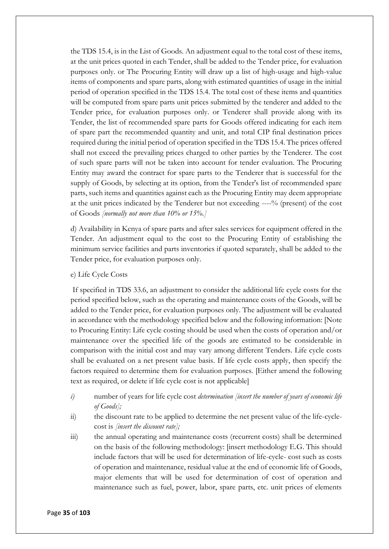the TDS 15.4, is in the List of Goods. An adjustment equal to the total cost of these items, at the unit prices quoted in each Tender, shall be added to the Tender price, for evaluation purposes only. or The Procuring Entity will draw up a list of high-usage and high-value items of components and spare parts, along with estimated quantities of usage in the initial period of operation specified in the TDS 15.4. The total cost of these items and quantities will be computed from spare parts unit prices submitted by the tenderer and added to the Tender price, for evaluation purposes only. or Tenderer shall provide along with its Tender, the list of recommended spare parts for Goods offered indicating for each item of spare part the recommended quantity and unit, and total CIP final destination prices required during the initial period of operation specified in the TDS 15.4. The prices offered shall not exceed the prevailing prices charged to other parties by the Tenderer. The cost of such spare parts will not be taken into account for tender evaluation. The Procuring Entity may award the contract for spare parts to the Tenderer that is successful for the supply of Goods, by selecting at its option, from the Tender's list of recommended spare parts, such items and quantities against each as the Procuring Entity may deem appropriate at the unit prices indicated by the Tenderer but not exceeding ----% (present) of the cost of Goods *[normally not more than 10% or 15%.]*

d) Availability in Kenya of spare parts and after sales services for equipment offered in the Tender. An adjustment equal to the cost to the Procuring Entity of establishing the minimum service facilities and parts inventories if quoted separately, shall be added to the Tender price, for evaluation purposes only.

#### e) Life Cycle Costs

If specified in TDS 33.6, an adjustment to consider the additional life cycle costs for the period specified below, such as the operating and maintenance costs of the Goods, will be added to the Tender price, for evaluation purposes only. The adjustment will be evaluated in accordance with the methodology specified below and the following information: [Note to Procuring Entity: Life cycle costing should be used when the costs of operation and/or maintenance over the specified life of the goods are estimated to be considerable in comparison with the initial cost and may vary among different Tenders. Life cycle costs shall be evaluated on a net present value basis. If life cycle costs apply, then specify the factors required to determine them for evaluation purposes. [Either amend the following text as required, or delete if life cycle cost is not applicable]

- *i)* number of years for life cycle cost *determination [insert the number of years of economic life of Goods];*
- ii) the discount rate to be applied to determine the net present value of the life-cyclecost is *[insert the discount rate];*
- iii) the annual operating and maintenance costs (recurrent costs) shall be determined on the basis of the following methodology: [insert methodology E.G. This should include factors that will be used for determination of life-cycle- cost such as costs of operation and maintenance, residual value at the end of economic life of Goods, major elements that will be used for determination of cost of operation and maintenance such as fuel, power, labor, spare parts, etc. unit prices of elements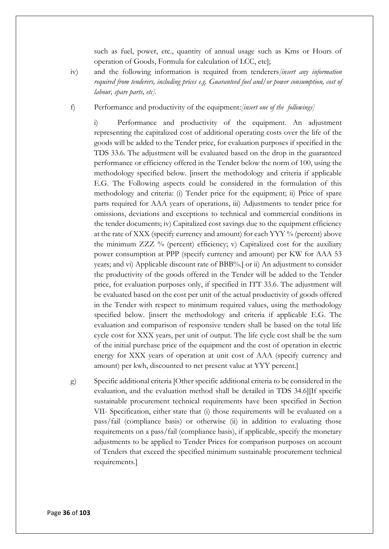such as fuel, power, etc., quantity of annual usage such as Kms or Hours of operation of Goods, Formula for calculation of LCC, etc];

iv) and the following information is required from tenderers*[insert any information required from tenderers, including prices e.g. Guaranteed fuel and/or power consumption, cost of labour, spare parts, etc].* 

f) Performance and productivity of the equipment*:[insert one of the followings]*

i) Performance and productivity of the equipment. An adjustment representing the capitalized cost of additional operating costs over the life of the goods will be added to the Tender price, for evaluation purposes if specified in the TDS 33.6. The adjustment will be evaluated based on the drop in the guaranteed performance or efficiency offered in the Tender below the norm of 100, using the methodology specified below. [insert the methodology and criteria if applicable E.G. The Following aspects could be considered in the formulation of this methodology and criteria: (i) Tender price for the equipment; ii) Price of spare parts required for AAA years of operations, iii) Adjustments to tender price for omissions, deviations and exceptions to technical and commercial conditions in the tender documents; iv) Capitalized cost savings due to the equipment efficiency at the rate of XXX (specify currency and amount) for each YYY % (percent) above the minimum ZZZ  $\%$  (percent) efficiency; v) Capitalized cost for the auxiliary power consumption at PPP (specify currency and amount) per KW for AAA 53 years; and vi) Applicable discount rate of BBB%.] or ii) An adjustment to consider the productivity of the goods offered in the Tender will be added to the Tender price, for evaluation purposes only, if specified in ITT 33.6. The adjustment will be evaluated based on the cost per unit of the actual productivity of goods offered in the Tender with respect to minimum required values, using the methodology specified below. [insert the methodology and criteria if applicable E.G. The evaluation and comparison of responsive tenders shall be based on the total life cycle cost for XXX years, per unit of output. The life cycle cost shall be the sum of the initial purchase price of the equipment and the cost of operation in electric energy for XXX years of operation at unit cost of AAA (specify currency and amount) per kwh, discounted to net present value at YYY percent.]

g) Specific additional criteria [Other specific additional criteria to be considered in the evaluation, and the evaluation method shall be detailed in TDS 34.6][If specific sustainable procurement technical requirements have been specified in Section VII- Specification, either state that (i) those requirements will be evaluated on a pass/fail (compliance basis) or otherwise (ii) in addition to evaluating those requirements on a pass/fail (compliance basis), if applicable, specify the monetary adjustments to be applied to Tender Prices for comparison purposes on account of Tenders that exceed the specified minimum sustainable procurement technical requirements.]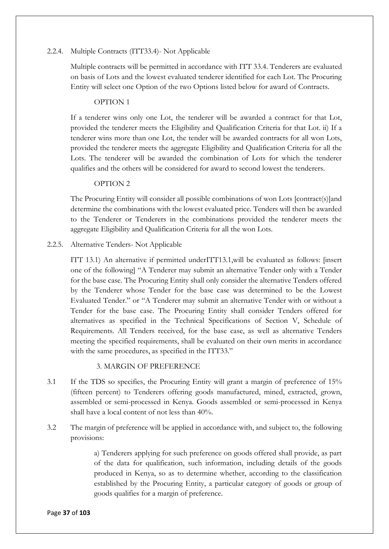## 2.2.4. Multiple Contracts (ITT33.4)- Not Applicable

Multiple contracts will be permitted in accordance with ITT 33.4. Tenderers are evaluated on basis of Lots and the lowest evaluated tenderer identified for each Lot. The Procuring Entity will select one Option of the two Options listed below for award of Contracts.

#### OPTION 1

If a tenderer wins only one Lot, the tenderer will be awarded a contract for that Lot, provided the tenderer meets the Eligibility and Qualification Criteria for that Lot. ii) If a tenderer wins more than one Lot, the tender will be awarded contracts for all won Lots, provided the tenderer meets the aggregate Eligibility and Qualification Criteria for all the Lots. The tenderer will be awarded the combination of Lots for which the tenderer qualifies and the others will be considered for award to second lowest the tenderers.

## OPTION 2

The Procuring Entity will consider all possible combinations of won Lots [contract(s)]and determine the combinations with the lowest evaluated price. Tenders will then be awarded to the Tenderer or Tenderers in the combinations provided the tenderer meets the aggregate Eligibility and Qualification Criteria for all the won Lots.

## 2.2.5. Alternative Tenders- Not Applicable

ITT 13.1) An alternative if permitted underITT13.1,will be evaluated as follows: [insert one of the following] "A Tenderer may submit an alternative Tender only with a Tender for the base case. The Procuring Entity shall only consider the alternative Tenders offered by the Tenderer whose Tender for the base case was determined to be the Lowest Evaluated Tender." or "A Tenderer may submit an alternative Tender with or without a Tender for the base case. The Procuring Entity shall consider Tenders offered for alternatives as specified in the Technical Specifications of Section V, Schedule of Requirements. All Tenders received, for the base case, as well as alternative Tenders meeting the specified requirements, shall be evaluated on their own merits in accordance with the same procedures, as specified in the ITT33."

#### 3. MARGIN OF PREFERENCE

- 3.1 If the TDS so specifies, the Procuring Entity will grant a margin of preference of 15% (fifteen percent) to Tenderers offering goods manufactured, mined, extracted, grown, assembled or semi-processed in Kenya. Goods assembled or semi-processed in Kenya shall have a local content of not less than 40%.
- 3.2 The margin of preference will be applied in accordance with, and subject to, the following provisions:

a) Tenderers applying for such preference on goods offered shall provide, as part of the data for qualification, such information, including details of the goods produced in Kenya, so as to determine whether, according to the classification established by the Procuring Entity, a particular category of goods or group of goods qualifies for a margin of preference.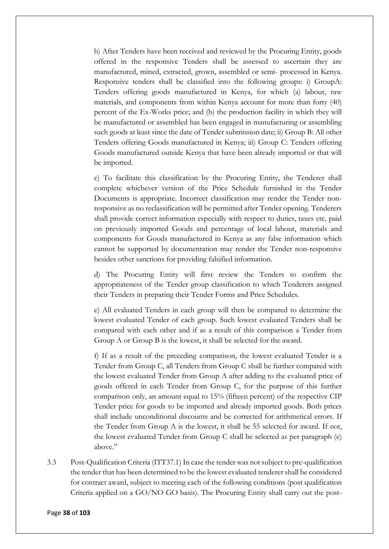b) After Tenders have been received and reviewed by the Procuring Entity, goods offered in the responsive Tenders shall be assessed to ascertain they are manufactured, mined, extracted, grown, assembled or semi- processed in Kenya. Responsive tenders shall be classified into the following groups: i) GroupA: Tenders offering goods manufactured in Kenya, for which (a) labour, raw materials, and components from within Kenya account for more than forty (40) percent of the Ex-Works price; and (b) the production facility in which they will be manufactured or assembled has been engaged in manufacturing or assembling such goods at least since the date of Tender submission date; ii) Group B: All other Tenders offering Goods manufactured in Kenya; iii) Group C: Tenders offering Goods manufactured outside Kenya that have been already imported or that will be imported.

c) To facilitate this classification by the Procuring Entity, the Tenderer shall complete whichever version of the Price Schedule furnished in the Tender Documents is appropriate. Incorrect classification may render the Tender nonresponsive as no reclassification will be permitted after Tender opening. Tenderers shall provide correct information especially with respect to duties, taxes etc. paid on previously imported Goods and percentage of local labour, materials and components for Goods manufactured in Kenya as any false information which cannot be supported by documentation may render the Tender non-responsive besides other sanctions for providing falsified information.

d) The Procuring Entity will first review the Tenders to confirm the appropriateness of the Tender group classification to which Tenderers assigned their Tenders in preparing their Tender Forms and Price Schedules.

e) All evaluated Tenders in each group will then be compared to determine the lowest evaluated Tender of each group. Such lowest evaluated Tenders shall be compared with each other and if as a result of this comparison a Tender from Group A or Group B is the lowest, it shall be selected for the award.

f) If as a result of the preceding comparison, the lowest evaluated Tender is a Tender from Group C, all Tenders from Group C shall be further compared with the lowest evaluated Tender from Group A after adding to the evaluated price of goods offered in each Tender from Group C, for the purpose of this further comparison only, an amount equal to 15% (fifteen percent) of the respective CIP Tender price for goods to be imported and already imported goods. Both prices shall include unconditional discounts and be corrected for arithmetical errors. If the Tender from Group A is the lowest, it shall be 55 selected for award. If not, the lowest evaluated Tender from Group C shall be selected as per paragraph (e) above"

3.3 Post-Qualification Criteria (ITT37.1) In case the tender was not subject to pre-qualification the tender that has been determined to be the lowest evaluated tenderer shall be considered for contract award, subject to meeting each of the following conditions (post qualification Criteria applied on a GO/NO GO basis). The Procuring Entity shall carry out the post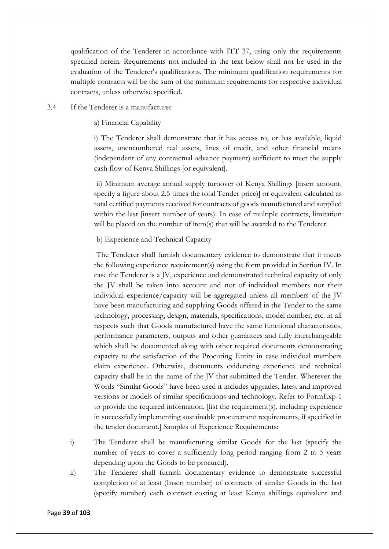qualification of the Tenderer in accordance with ITT 37, using only the requirements specified herein. Requirements not included in the text below shall not be used in the evaluation of the Tenderer's qualifications. The minimum qualification requirements for multiple contracts will be the sum of the minimum requirements for respective individual contracts, unless otherwise specified.

## 3.4 If the Tenderer is a manufacturer

a) Financial Capability

i) The Tenderer shall demonstrate that it has access to, or has available, liquid assets, unencumbered real assets, lines of credit, and other financial means (independent of any contractual advance payment) sufficient to meet the supply cash flow of Kenya Shillings [or equivalent].

ii) Minimum average annual supply turnover of Kenya Shillings [insert amount, specify a figure about 2.5 times the total Tender price)] or equivalent calculated as total certified payments received for contracts of goods manufactured and supplied within the last [insert number of years). In case of multiple contracts, limitation will be placed on the number of item(s) that will be awarded to the Tenderer.

b) Experience and Technical Capacity

The Tenderer shall furnish documentary evidence to demonstrate that it meets the following experience requirement(s) using the form provided in Section IV. In case the Tenderer is a JV, experience and demonstrated technical capacity of only the JV shall be taken into account and not of individual members nor their individual experience/capacity will be aggregated unless all members of the JV have been manufacturing and supplying Goods offered in the Tender to the same technology, processing, design, materials, specifications, model number, etc. in all respects such that Goods manufactured have the same functional characteristics, performance parameters, outputs and other guarantees and fully interchangeable which shall be documented along with other required documents demonstrating capacity to the satisfaction of the Procuring Entity in case individual members claim experience. Otherwise, documents evidencing experience and technical capacity shall be in the name of the JV that submitted the Tender. Wherever the Words "Similar Goods" have been used it includes upgrades, latest and improved versions or models of similar specifications and technology. Refer to FormExp-1 to provide the required information. [list the requirement(s), including experience in successfully implementing sustainable procurement requirements, if specified in the tender document.] Samples of Experience Requirements:

- i) The Tenderer shall be manufacturing similar Goods for the last (specify the number of years to cover a sufficiently long period ranging from 2 to 5 years depending upon the Goods to be procured).
- ii) The Tenderer shall furnish documentary evidence to demonstrate successful completion of at least (Insert number) of contracts of similar Goods in the last (specify number) each contract costing at least Kenya shillings equivalent and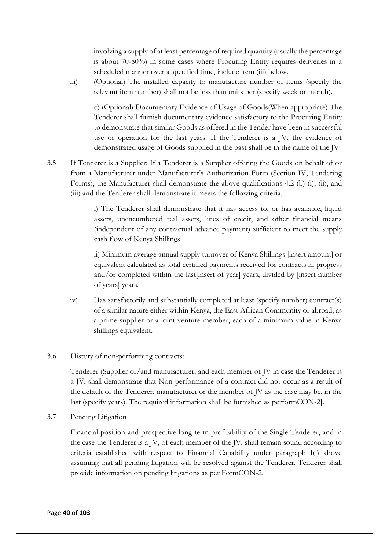involving a supply of at least percentage of required quantity (usually the percentage is about 70-80%) in some cases where Procuring Entity requires deliveries in a scheduled manner over a specified time, include item (iii) below.

iii) (Optional) The installed capacity to manufacture number of items (specify the relevant item number) shall not be less than units per (specify week or month).

c) (Optional) Documentary Evidence of Usage of Goods(When appropriate) The Tenderer shall furnish documentary evidence satisfactory to the Procuring Entity to demonstrate that similar Goods as offered in the Tender have been in successful use or operation for the last years. If the Tenderer is a JV, the evidence of demonstrated usage of Goods supplied in the past shall be in the name of the JV.

3.5 If Tenderer is a Supplier: If a Tenderer is a Supplier offering the Goods on behalf of or from a Manufacturer under Manufacturer's Authorization Form (Section IV, Tendering Forms), the Manufacturer shall demonstrate the above qualifications 4.2 (b) (i), (ii), and (iii) and the Tenderer shall demonstrate it meets the following criteria.

> i) The Tenderer shall demonstrate that it has access to, or has available, liquid assets, unencumbered real assets, lines of credit, and other financial means (independent of any contractual advance payment) sufficient to meet the supply cash flow of Kenya Shillings

> ii) Minimum average annual supply turnover of Kenya Shillings [insert amount] or equivalent calculated as total certified payments received for contracts in progress and/or completed within the last[insert of year] years, divided by [insert number of years] years.

- iv) Has satisfactorily and substantially completed at least (specify number) contract(s) of a similar nature either within Kenya, the East African Community or abroad, as a prime supplier or a joint venture member, each of a minimum value in Kenya shillings equivalent.
- 3.6 History of non-performing contracts:

Tenderer (Supplier or/and manufacturer, and each member of JV in case the Tenderer is a JV, shall demonstrate that Non-performance of a contract did not occur as a result of the default of the Tenderer, manufacturer or the member of JV as the case may be, in the last (specify years). The required information shall be furnished as performCON-2].

3.7 Pending Litigation

Financial position and prospective long-term profitability of the Single Tenderer, and in the case the Tenderer is a JV, of each member of the JV, shall remain sound according to criteria established with respect to Financial Capability under paragraph I(i) above assuming that all pending litigation will be resolved against the Tenderer. Tenderer shall provide information on pending litigations as per FormCON-2.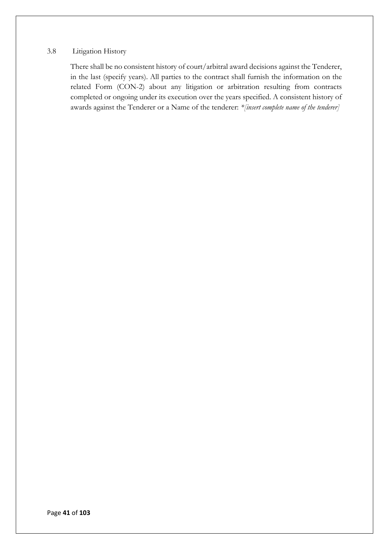#### 3.8 Litigation History

There shall be no consistent history of court/arbitral award decisions against the Tenderer, in the last (specify years). All parties to the contract shall furnish the information on the related Form (CON-2) about any litigation or arbitration resulting from contracts completed or ongoing under its execution over the years specified. A consistent history of awards against the Tenderer or a Name of the tenderer: *\*[insert complete name of the tenderer]*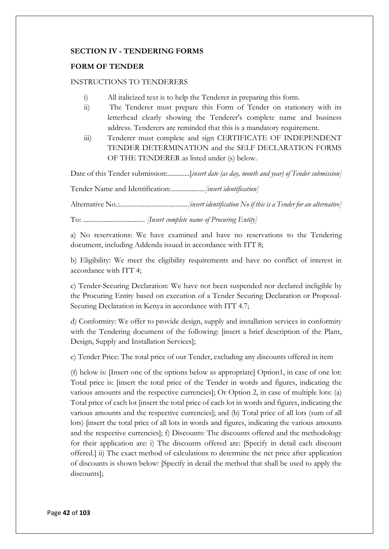## **SECTION IV - TENDERING FORMS**

## **FORM OF TENDER**

#### INSTRUCTIONS TO TENDERERS

- i) All italicized text is to help the Tenderer in preparing this form.
- ii) The Tenderer must prepare this Form of Tender on stationery with its letterhead clearly showing the Tenderer's complete name and business address. Tenderers are reminded that this is a mandatory requirement.
- iii) Tenderer must complete and sign CERTIFICATE OF INDEPENDENT TENDER DETERMINATION and the SELF DECLARATION FORMS OF THE TENDERER as listed under (s) below.

Date of this Tender submission:.............[*insert date (as day, month and year) of Tender submission]* 

Tender Name and Identification:....................*[insert identification]* 

Alternative No*.:........................................[insert identification No if this is a Tender for an alternative]* 

To: .................................... *[Insert complete name of Procuring Entity]*

a) No reservations: We have examined and have no reservations to the Tendering document, including Addenda issued in accordance with ITT 8;

b) Eligibility: We meet the eligibility requirements and have no conflict of interest in accordance with ITT 4;

c) Tender-Securing Declaration: We have not been suspended nor declared ineligible by the Procuring Entity based on execution of a Tender Securing Declaration or Proposal-Securing Declaration in Kenya in accordance with ITT 4.7;

d) Conformity: We offer to provide design, supply and installation services in conformity with the Tendering document of the following: [insert a brief description of the Plant, Design, Supply and Installation Services];

e) Tender Price: The total price of our Tender, excluding any discounts offered in item

(f) below is: [Insert one of the options below as appropriate] Option1, in case of one lot: Total price is: [insert the total price of the Tender in words and figures, indicating the various amounts and the respective currencies]; Or Option 2, in case of multiple lots: (a) Total price of each lot [insert the total price of each lot in words and figures, indicating the various amounts and the respective currencies]; and (b) Total price of all lots (sum of all lots) [insert the total price of all lots in words and figures, indicating the various amounts and the respective currencies]; f) Discounts: The discounts offered and the methodology for their application are: i) The discounts offered are: [Specify in detail each discount offered.] ii) The exact method of calculations to determine the net price after application of discounts is shown below: [Specify in detail the method that shall be used to apply the discounts];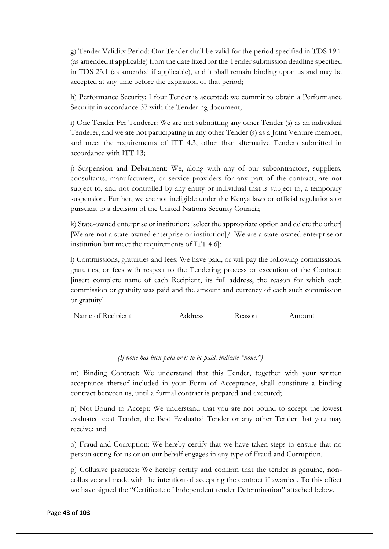g) Tender Validity Period: Our Tender shall be valid for the period specified in TDS 19.1 (as amended if applicable) from the date fixed for the Tender submission deadline specified in TDS 23.1 (as amended if applicable), and it shall remain binding upon us and may be accepted at any time before the expiration of that period;

h) Performance Security: I four Tender is accepted; we commit to obtain a Performance Security in accordance 37 with the Tendering document;

i) One Tender Per Tenderer: We are not submitting any other Tender (s) as an individual Tenderer, and we are not participating in any other Tender (s) as a Joint Venture member, and meet the requirements of ITT 4.3, other than alternative Tenders submitted in accordance with ITT 13;

j) Suspension and Debarment: We, along with any of our subcontractors, suppliers, consultants, manufacturers, or service providers for any part of the contract, are not subject to, and not controlled by any entity or individual that is subject to, a temporary suspension. Further, we are not ineligible under the Kenya laws or official regulations or pursuant to a decision of the United Nations Security Council;

k) State-owned enterprise or institution: [select the appropriate option and delete the other] [We are not a state owned enterprise or institution]/ [We are a state-owned enterprise or institution but meet the requirements of ITT 4.6];

l) Commissions, gratuities and fees: We have paid, or will pay the following commissions, gratuities, or fees with respect to the Tendering process or execution of the Contract: [insert complete name of each Recipient, its full address, the reason for which each commission or gratuity was paid and the amount and currency of each such commission or gratuity]

| Name of Recipient | Address | Reason | Amount |
|-------------------|---------|--------|--------|
|                   |         |        |        |
|                   |         |        |        |
|                   |         |        |        |

*(If none has been paid or is to be paid, indicate "none.")* 

m) Binding Contract: We understand that this Tender, together with your written acceptance thereof included in your Form of Acceptance, shall constitute a binding contract between us, until a formal contract is prepared and executed;

n) Not Bound to Accept: We understand that you are not bound to accept the lowest evaluated cost Tender, the Best Evaluated Tender or any other Tender that you may receive; and

o) Fraud and Corruption: We hereby certify that we have taken steps to ensure that no person acting for us or on our behalf engages in any type of Fraud and Corruption.

p) Collusive practices: We hereby certify and confirm that the tender is genuine, noncollusive and made with the intention of accepting the contract if awarded. To this effect we have signed the "Certificate of Independent tender Determination" attached below.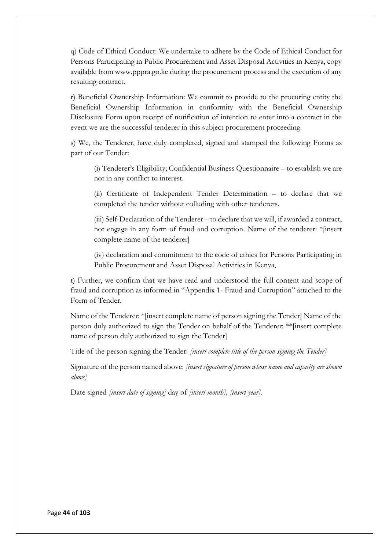q) Code of Ethical Conduct: We undertake to adhere by the Code of Ethical Conduct for Persons Participating in Public Procurement and Asset Disposal Activities in Kenya, copy available from www.pppra.go.ke during the procurement process and the execution of any resulting contract.

r) Beneficial Ownership Information: We commit to provide to the procuring entity the Beneficial Ownership Information in conformity with the Beneficial Ownership Disclosure Form upon receipt of notification of intention to enter into a contract in the event we are the successful tenderer in this subject procurement proceeding.

s) We, the Tenderer, have duly completed, signed and stamped the following Forms as part of our Tender:

(i) Tenderer's Eligibility; Confidential Business Questionnaire – to establish we are not in any conflict to interest.

(ii) Certificate of Independent Tender Determination – to declare that we completed the tender without colluding with other tenderers.

(iii) Self-Declaration of the Tenderer – to declare that we will, if awarded a contract, not engage in any form of fraud and corruption. Name of the tenderer: \*[insert complete name of the tenderer]

(iv) declaration and commitment to the code of ethics for Persons Participating in Public Procurement and Asset Disposal Activities in Kenya,

t) Further, we confirm that we have read and understood the full content and scope of fraud and corruption as informed in "Appendix 1- Fraud and Corruption" attached to the Form of Tender.

Name of the Tenderer: \*[insert complete name of person signing the Tender] Name of the person duly authorized to sign the Tender on behalf of the Tenderer: \*\*[insert complete name of person duly authorized to sign the Tender]

Title of the person signing the Tender: *[insert complete title of the person signing the Tender]* 

Signature of the person named above: *[insert signature of person whose name and capacity are shown above]* 

Date signed *[insert date of signing]* day of *[insert month], [insert year].*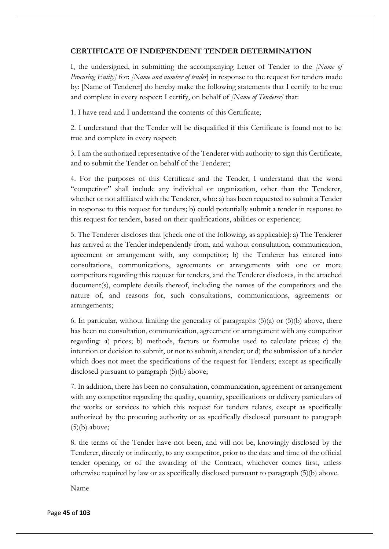## **CERTIFICATE OF INDEPENDENT TENDER DETERMINATION**

I, the undersigned, in submitting the accompanying Letter of Tender to the *[Name of Procuring Entity]* for: *[Name and number of tender*] in response to the request for tenders made by: [Name of Tenderer] do hereby make the following statements that I certify to be true and complete in every respect: I certify, on behalf of *[Name of Tenderer]* that:

1. I have read and I understand the contents of this Certificate;

2. I understand that the Tender will be disqualified if this Certificate is found not to be true and complete in every respect;

3. I am the authorized representative of the Tenderer with authority to sign this Certificate, and to submit the Tender on behalf of the Tenderer;

4. For the purposes of this Certificate and the Tender, I understand that the word "competitor" shall include any individual or organization, other than the Tenderer, whether or not affiliated with the Tenderer, who: a) has been requested to submit a Tender in response to this request for tenders; b) could potentially submit a tender in response to this request for tenders, based on their qualifications, abilities or experience;

5. The Tenderer discloses that [check one of the following, as applicable]: a) The Tenderer has arrived at the Tender independently from, and without consultation, communication, agreement or arrangement with, any competitor; b) the Tenderer has entered into consultations, communications, agreements or arrangements with one or more competitors regarding this request for tenders, and the Tenderer discloses, in the attached document(s), complete details thereof, including the names of the competitors and the nature of, and reasons for, such consultations, communications, agreements or arrangements;

6. In particular, without limiting the generality of paragraphs  $(5)(a)$  or  $(5)(b)$  above, there has been no consultation, communication, agreement or arrangement with any competitor regarding: a) prices; b) methods, factors or formulas used to calculate prices; c) the intention or decision to submit, or not to submit, a tender; or d) the submission of a tender which does not meet the specifications of the request for Tenders; except as specifically disclosed pursuant to paragraph (5)(b) above;

7. In addition, there has been no consultation, communication, agreement or arrangement with any competitor regarding the quality, quantity, specifications or delivery particulars of the works or services to which this request for tenders relates, except as specifically authorized by the procuring authority or as specifically disclosed pursuant to paragraph  $(5)(b)$  above;

8. the terms of the Tender have not been, and will not be, knowingly disclosed by the Tenderer, directly or indirectly, to any competitor, prior to the date and time of the official tender opening, or of the awarding of the Contract, whichever comes first, unless otherwise required by law or as specifically disclosed pursuant to paragraph (5)(b) above.

Name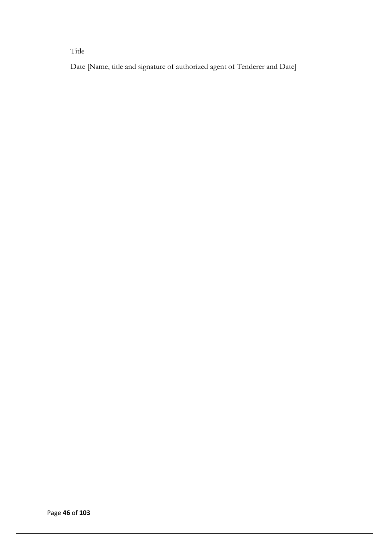Title

Date [Name, title and signature of authorized agent of Tenderer and Date]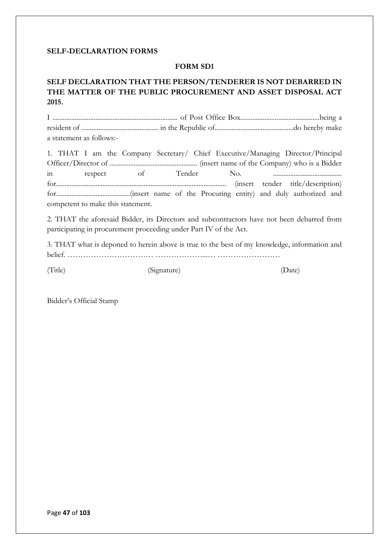#### **SELF-DECLARATION FORMS**

## **FORM SD1**

# **SELF DECLARATION THAT THE PERSON/TENDERER IS NOT DEBARRED IN THE MATTER OF THE PUBLIC PROCUREMENT AND ASSET DISPOSAL ACT 2015.**

I ......................................................................... of Post Office Box..............................................being a resident of ............................................. in the Republic of..............................................do hereby make a statement as follows:-

1. THAT I am the Company Secretary/ Chief Executive/Managing Director/Principal Officer/Director of ................................................... (insert name of the Company) who is a Bidder in respect of Tender No. ........................................ for................................................................................................... (insert tender title/description) for...........................................(insert name of the Procuring entity) and duly authorized and competent to make this statement.

2. THAT the aforesaid Bidder, its Directors and subcontractors have not been debarred from participating in procurement proceeding under Part IV of the Act.

3. THAT what is deponed to herein above is true to the best of my knowledge, information and belief. …………………………… ………………...… ……………………

(Title) (Signature) (Date)

Bidder's Official Stamp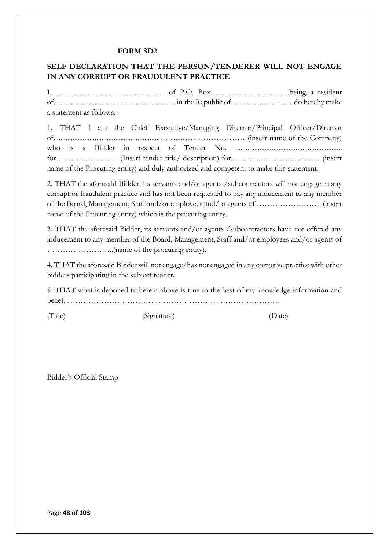#### **FORM SD2**

# **SELF DECLARATION THAT THE PERSON/TENDERER WILL NOT ENGAGE IN ANY CORRUPT OR FRAUDULENT PRACTICE**

I, ………………………………….... of P.O. Box..............................................being a resident of....................................................................... in the Republic of ................................... do hereby make a statement as follows:-

1. THAT I am the Chief Executive/Managing Director/Principal Officer/Director of..............................................................……....…………………… (insert name of the Company) who is a Bidder in respect of Tender No. .............................................................. for.................................... (Insert tender title/ description) for.................................................... (insert name of the Procuring entity) and duly authorized and competent to make this statement.

2. THAT the aforesaid Bidder, its servants and/or agents /subcontractors will not engage in any corrupt or fraudulent practice and has not been requested to pay any inducement to any member of the Board, Management, Staff and/or employees and/or agents of ……………………..(insert name of the Procuring entity) which is the procuring entity.

3. THAT the aforesaid Bidder, its servants and/or agents /subcontractors have not offered any inducement to any member of the Board, Management, Staff and/or employees and/or agents of ……………………..(name of the procuring entity).

4. THAT the aforesaid Bidder will not engage/has not engaged in any corrosive practice with other bidders participating in the subject tender.

5. THAT what is deponed to herein above is true to the best of my knowledge information and belief. …………………………… ………………...… ……………………

(Title) (Signature) (Date)

Bidder's Official Stamp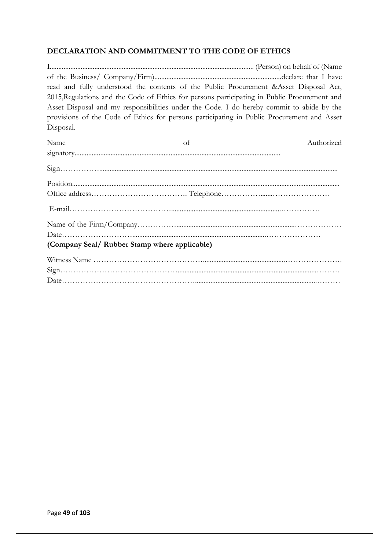# **DECLARATION AND COMMITMENT TO THE CODE OF ETHICS**

I....................................................................................................................... (Person) on behalf of (Name of the Business/ Company/Firm)..........................................................................declare that I have read and fully understood the contents of the Public Procurement &Asset Disposal Act, 2015,Regulations and the Code of Ethics for persons participating in Public Procurement and Asset Disposal and my responsibilities under the Code. I do hereby commit to abide by the provisions of the Code of Ethics for persons participating in Public Procurement and Asset Disposal.

| Name                                          | of | Authorized |
|-----------------------------------------------|----|------------|
|                                               |    |            |
|                                               |    |            |
| $\frac{position_{\ldots}}{test_{\ldots}}$     |    |            |
|                                               |    |            |
|                                               |    |            |
|                                               |    |            |
|                                               |    |            |
| (Company Seal/ Rubber Stamp where applicable) |    |            |
|                                               |    |            |
|                                               |    |            |
|                                               |    |            |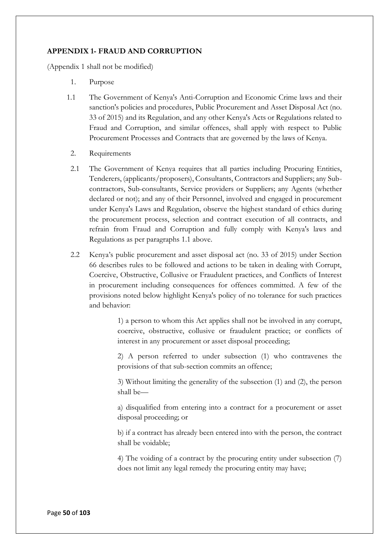## **APPENDIX 1- FRAUD AND CORRUPTION**

(Appendix 1 shall not be modified)

- 1. Purpose
- 1.1 The Government of Kenya's Anti-Corruption and Economic Crime laws and their sanction's policies and procedures, Public Procurement and Asset Disposal Act (no. 33 of 2015) and its Regulation, and any other Kenya's Acts or Regulations related to Fraud and Corruption, and similar offences, shall apply with respect to Public Procurement Processes and Contracts that are governed by the laws of Kenya.
	- 2. Requirements
	- 2.1 The Government of Kenya requires that all parties including Procuring Entities, Tenderers, (applicants/proposers), Consultants, Contractors and Suppliers; any Subcontractors, Sub-consultants, Service providers or Suppliers; any Agents (whether declared or not); and any of their Personnel, involved and engaged in procurement under Kenya's Laws and Regulation, observe the highest standard of ethics during the procurement process, selection and contract execution of all contracts, and refrain from Fraud and Corruption and fully comply with Kenya's laws and Regulations as per paragraphs 1.1 above.
	- 2.2 Kenya's public procurement and asset disposal act (no. 33 of 2015) under Section 66 describes rules to be followed and actions to be taken in dealing with Corrupt, Coercive, Obstructive, Collusive or Fraudulent practices, and Conflicts of Interest in procurement including consequences for offences committed. A few of the provisions noted below highlight Kenya's policy of no tolerance for such practices and behavior:

1) a person to whom this Act applies shall not be involved in any corrupt, coercive, obstructive, collusive or fraudulent practice; or conflicts of interest in any procurement or asset disposal proceeding;

2) A person referred to under subsection (1) who contravenes the provisions of that sub-section commits an offence;

3) Without limiting the generality of the subsection (1) and (2), the person shall be—

a) disqualified from entering into a contract for a procurement or asset disposal proceeding; or

b) if a contract has already been entered into with the person, the contract shall be voidable;

4) The voiding of a contract by the procuring entity under subsection (7) does not limit any legal remedy the procuring entity may have;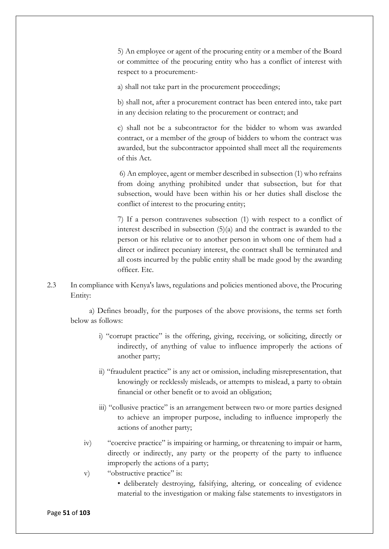5) An employee or agent of the procuring entity or a member of the Board or committee of the procuring entity who has a conflict of interest with respect to a procurement:-

a) shall not take part in the procurement proceedings;

b) shall not, after a procurement contract has been entered into, take part in any decision relating to the procurement or contract; and

c) shall not be a subcontractor for the bidder to whom was awarded contract, or a member of the group of bidders to whom the contract was awarded, but the subcontractor appointed shall meet all the requirements of this Act.

6) An employee, agent or member described in subsection (1) who refrains from doing anything prohibited under that subsection, but for that subsection, would have been within his or her duties shall disclose the conflict of interest to the procuring entity;

7) If a person contravenes subsection (1) with respect to a conflict of interest described in subsection (5)(a) and the contract is awarded to the person or his relative or to another person in whom one of them had a direct or indirect pecuniary interest, the contract shall be terminated and all costs incurred by the public entity shall be made good by the awarding officer. Etc.

2.3 In compliance with Kenya's laws, regulations and policies mentioned above, the Procuring Entity:

a) Defines broadly, for the purposes of the above provisions, the terms set forth below as follows:

- i) "corrupt practice" is the offering, giving, receiving, or soliciting, directly or indirectly, of anything of value to influence improperly the actions of another party;
- ii) "fraudulent practice" is any act or omission, including misrepresentation, that knowingly or recklessly misleads, or attempts to mislead, a party to obtain financial or other benefit or to avoid an obligation;
- iii) "collusive practice" is an arrangement between two or more parties designed to achieve an improper purpose, including to influence improperly the actions of another party;
- iv) "coercive practice" is impairing or harming, or threatening to impair or harm, directly or indirectly, any party or the property of the party to influence improperly the actions of a party;
- v) "obstructive practice" is:
	- deliberately destroying, falsifying, altering, or concealing of evidence material to the investigation or making false statements to investigators in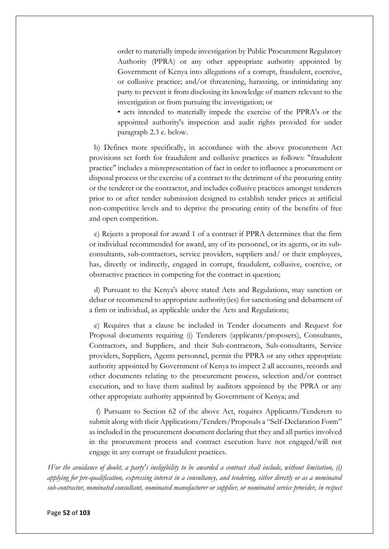order to materially impede investigation by Public Procurement Regulatory Authority (PPRA) or any other appropriate authority appointed by Government of Kenya into allegations of a corrupt, fraudulent, coercive, or collusive practice; and/or threatening, harassing, or intimidating any party to prevent it from disclosing its knowledge of matters relevant to the investigation or from pursuing the investigation; or

• acts intended to materially impede the exercise of the PPRA's or the appointed authority's inspection and audit rights provided for under paragraph 2.3 e. below.

b) Defines more specifically, in accordance with the above procurement Act provisions set forth for fraudulent and collusive practices as follows: "fraudulent practice" includes a misrepresentation of fact in order to influence a procurement or disposal process or the exercise of a contract to the detriment of the procuring entity or the tenderer or the contractor, and includes collusive practices amongst tenderers prior to or after tender submission designed to establish tender prices at artificial non-competitive levels and to deprive the procuring entity of the benefits of free and open competition.

c) Rejects a proposal for award 1 of a contract if PPRA determines that the firm or individual recommended for award, any of its personnel, or its agents, or its subconsultants, sub-contractors, service providers, suppliers and/ or their employees, has, directly or indirectly, engaged in corrupt, fraudulent, collusive, coercive, or obstructive practices in competing for the contract in question;

d) Pursuant to the Kenya's above stated Acts and Regulations, may sanction or debar or recommend to appropriate authority(ies) for sanctioning and debarment of a firm or individual, as applicable under the Acts and Regulations;

e) Requires that a clause be included in Tender documents and Request for Proposal documents requiring (i) Tenderers (applicants/proposers), Consultants, Contractors, and Suppliers, and their Sub-contractors, Sub-consultants, Service providers, Suppliers, Agents personnel, permit the PPRA or any other appropriate authority appointed by Government of Kenya to inspect 2 all accounts, records and other documents relating to the procurement process, selection and/or contract execution, and to have them audited by auditors appointed by the PPRA or any other appropriate authority appointed by Government of Kenya; and

f) Pursuant to Section 62 of the above Act, requires Applicants/Tenderers to submit along with their Applications/Tenders/Proposals a "Self-Declaration Form" as included in the procurement document declaring that they and all parties involved in the procurement process and contract execution have not engaged/will not engage in any corrupt or fraudulent practices.

*1For the avoidance of doubt, a party's ineligibility to be awarded a contract shall include, without limitation, (i) applying for pre-qualification, expressing interest in a consultancy, and tendering, either directly or as a nominated sub-contractor, nominated consultant, nominated manufacturer or supplier, or nominated service provider, in respect*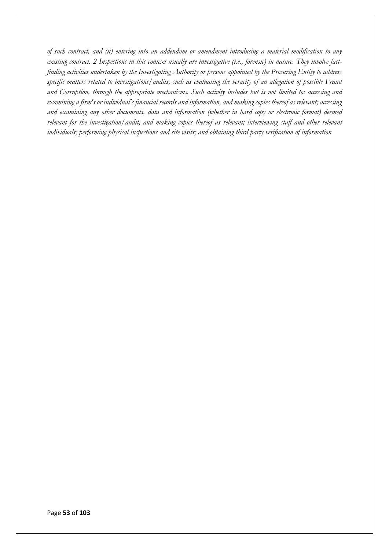*of such contract, and (ii) entering into an addendum or amendment introducing a material modification to any existing contract. 2 Inspections in this context usually are investigative (i.e., forensic) in nature. They involve factfinding activities undertaken by the Investigating Authority or persons appointed by the Procuring Entity to address specific matters related to investigations/audits, such as evaluating the veracity of an allegation of possible Fraud and Corruption, through the appropriate mechanisms. Such activity includes but is not limited to: accessing and examining a firm's or individual's financial records and information, and making copies thereof as relevant; accessing and examining any other documents, data and information (whether in hard copy or electronic format) deemed relevant for the investigation/audit, and making copies thereof as relevant; interviewing staff and other relevant individuals; performing physical inspections and site visits; and obtaining third party verification of information*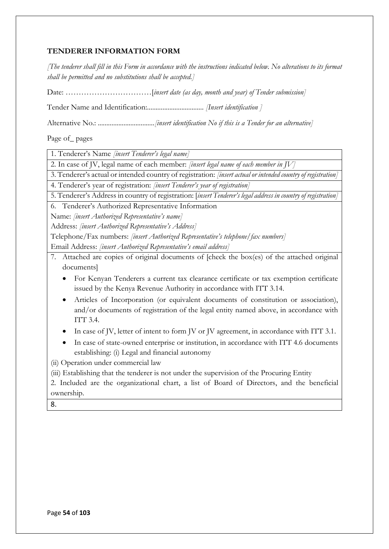# **TENDERER INFORMATION FORM**

*[The tenderer shall fill in this Form in accordance with the instructions indicated below. No alterations to its format shall be permitted and no substitutions shall be accepted.]*

Date: ……………………………[*insert date (as day, month and year) of Tender submission]*

Tender Name and Identification:................................. *[Insert identification ]*

Alternative No.: *.................................[insert identification No if this is a Tender for an alternative]*

Page of\_ pages

1. Tenderer's Name *[insert Tenderer's legal name]*

2. In case of JV, legal name of each member: *[insert legal name of each member in JV]*

3. Tenderer's actual or intended country of registration: *[insert actual or intended country of registration]*

4. Tenderer's year of registration: *[insert Tenderer's year of registration]*

5. Tenderer's Address in country of registration: [*insert Tenderer's legal address in country of registration]*

6. Tenderer's Authorized Representative Information

Name: *[insert Authorized Representative's name]*

Address: *[insert Authorized Representative's Address]*

Telephone/Fax numbers: *[insert Authorized Representative's telephone/fax numbers]*

Email Address: *[insert Authorized Representative's email address]*

- 7. Attached are copies of original documents of [check the box(es) of the attached original documents]
	- For Kenyan Tenderers a current tax clearance certificate or tax exemption certificate issued by the Kenya Revenue Authority in accordance with ITT 3.14.
	- Articles of Incorporation (or equivalent documents of constitution or association), and/or documents of registration of the legal entity named above, in accordance with ITT  $3.4$ .
	- In case of JV, letter of intent to form JV or JV agreement, in accordance with ITT 3.1.
	- In case of state-owned enterprise or institution, in accordance with ITT 4.6 documents establishing: (i) Legal and financial autonomy
- (ii) Operation under commercial law

(iii) Establishing that the tenderer is not under the supervision of the Procuring Entity

2. Included are the organizational chart, a list of Board of Directors, and the beneficial ownership.

8.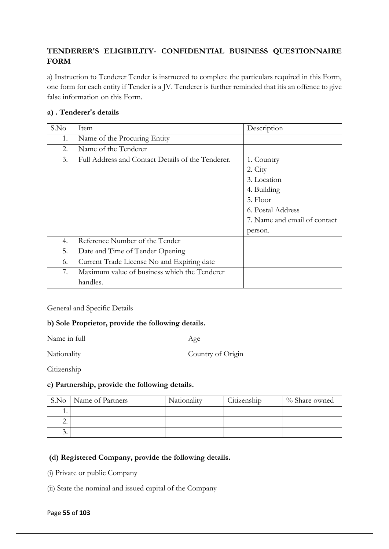# **TENDERER'S ELIGIBILITY- CONFIDENTIAL BUSINESS QUESTIONNAIRE FORM**

a) Instruction to Tenderer Tender is instructed to complete the particulars required in this Form, one form for each entity if Tender is a JV. Tenderer is further reminded that itis an offence to give false information on this Form.

# **a) . Tenderer's details**

| S.No | Item                                              | Description                  |
|------|---------------------------------------------------|------------------------------|
| 1.   | Name of the Procuring Entity                      |                              |
| 2.   | Name of the Tenderer                              |                              |
| 3.   | Full Address and Contact Details of the Tenderer. | 1. Country                   |
|      |                                                   | 2. City                      |
|      |                                                   | 3. Location                  |
|      |                                                   | 4. Building                  |
|      |                                                   | 5. Floor                     |
|      |                                                   | 6. Postal Address            |
|      |                                                   | 7. Name and email of contact |
|      |                                                   | person.                      |
| 4.   | Reference Number of the Tender                    |                              |
| 5.   | Date and Time of Tender Opening                   |                              |
| 6.   | Current Trade License No and Expiring date        |                              |
| 7.   | Maximum value of business which the Tenderer      |                              |
|      | handles.                                          |                              |

General and Specific Details

# **b) Sole Proprietor, provide the following details.**

Name in full Age

Nationality Country of Origin

**Citizenship** 

# **c) Partnership, provide the following details.**

| S.No     | Name of Partners | Nationality | Citizenship | % Share owned |
|----------|------------------|-------------|-------------|---------------|
|          |                  |             |             |               |
| <u>.</u> |                  |             |             |               |
| .        |                  |             |             |               |

# **(d) Registered Company, provide the following details.**

(i) Private or public Company

(ii) State the nominal and issued capital of the Company

#### Page **55** of **103**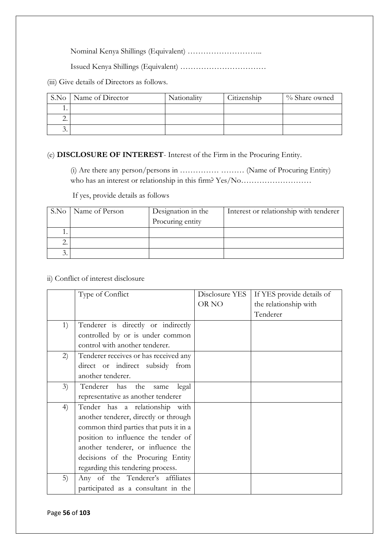Nominal Kenya Shillings (Equivalent) ………………………..

Issued Kenya Shillings (Equivalent) ……………………………

(iii) Give details of Directors as follows.

| S.No | Name of Director | Nationality | Citizenship | % Share owned |
|------|------------------|-------------|-------------|---------------|
|      |                  |             |             |               |
| ـ.   |                  |             |             |               |
| . .  |                  |             |             |               |

# (e) **DISCLOSURE OF INTEREST**- Interest of the Firm in the Procuring Entity.

(i) Are there any person/persons in …………… ……… (Name of Procuring Entity) who has an interest or relationship in this firm? Yes/No…………………………………………………………………

If yes, provide details as follows

|    | S.No   Name of Person | Designation in the | Interest or relationship with tenderer |
|----|-----------------------|--------------------|----------------------------------------|
|    |                       | Procuring entity   |                                        |
|    |                       |                    |                                        |
| ـ. |                       |                    |                                        |
| Э. |                       |                    |                                        |

## ii) Conflict of interest disclosure

|    | Type of Conflict                       | Disclosure YES | If YES provide details of |
|----|----------------------------------------|----------------|---------------------------|
|    |                                        | OR NO          | the relationship with     |
|    |                                        |                | Tenderer                  |
| 1) | Tenderer is directly or indirectly     |                |                           |
|    | controlled by or is under common       |                |                           |
|    | control with another tenderer.         |                |                           |
| 2) | Tenderer receives or has received any  |                |                           |
|    | direct or indirect subsidy from        |                |                           |
|    | another tenderer.                      |                |                           |
| 3) | Tenderer has the<br>legal<br>same      |                |                           |
|    | representative as another tenderer     |                |                           |
| 4) | Tender has a relationship with         |                |                           |
|    | another tenderer, directly or through  |                |                           |
|    | common third parties that puts it in a |                |                           |
|    | position to influence the tender of    |                |                           |
|    | another tenderer, or influence the     |                |                           |
|    | decisions of the Procuring Entity      |                |                           |
|    | regarding this tendering process.      |                |                           |
| 5) | Any of the Tenderer's affiliates       |                |                           |
|    | participated as a consultant in the    |                |                           |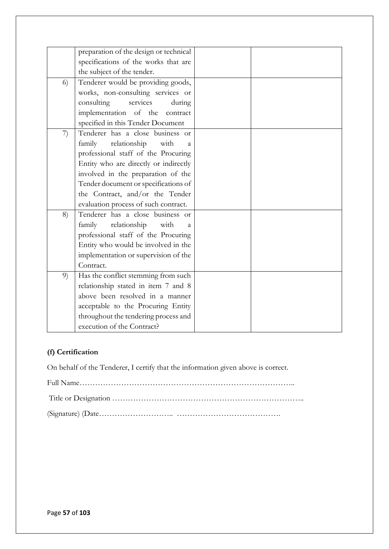|    | preparation of the design or technical         |  |
|----|------------------------------------------------|--|
|    | specifications of the works that are           |  |
|    | the subject of the tender.                     |  |
| 6) | Tenderer would be providing goods,             |  |
|    | works, non-consulting services or              |  |
|    | services<br>consulting<br>during               |  |
|    | implementation of the contract                 |  |
|    | specified in this Tender Document              |  |
| 7) | Tenderer has a close business or               |  |
|    | relationship with<br>family<br>$\mathbf{a}$    |  |
|    | professional staff of the Procuring            |  |
|    | Entity who are directly or indirectly          |  |
|    | involved in the preparation of the             |  |
|    | Tender document or specifications of           |  |
|    | the Contract, and/or the Tender                |  |
|    | evaluation process of such contract.           |  |
| 8) | Tenderer has a close business or               |  |
|    | family<br>relationship<br>with<br>$\mathbf{a}$ |  |
|    | professional staff of the Procuring            |  |
|    | Entity who would be involved in the            |  |
|    | implementation or supervision of the           |  |
|    | Contract.                                      |  |
| 9) | Has the conflict stemming from such            |  |
|    | relationship stated in item 7 and 8            |  |
|    | above been resolved in a manner                |  |
|    | acceptable to the Procuring Entity             |  |
|    | throughout the tendering process and           |  |
|    | execution of the Contract?                     |  |
|    |                                                |  |

# **(f) Certification**

On behalf of the Tenderer, I certify that the information given above is correct.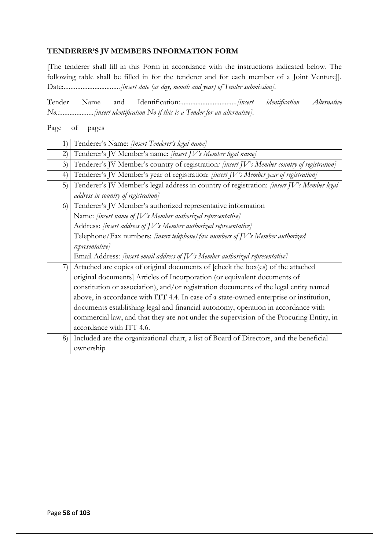## **TENDERER'S JV MEMBERS INFORMATION FORM**

[The tenderer shall fill in this Form in accordance with the instructions indicated below. The following table shall be filled in for the tenderer and for each member of a Joint Venture]]. Date:................................*.[insert date (as day, month and year) of Tender submission].*

Tender Name and Identification:.................................*[insert identification Alternative No.:....................[insert identification No if this is a Tender for an alternative].* 

Page of pages

| $\left( \begin{matrix} 1 \end{matrix} \right)$ | Tenderer's Name: [insert Tenderer's legal name]                                              |  |  |  |  |  |  |
|------------------------------------------------|----------------------------------------------------------------------------------------------|--|--|--|--|--|--|
| 2)                                             | Tenderer's JV Member's name: [insert JV's Member legal name]                                 |  |  |  |  |  |  |
| 3)                                             | Tenderer's JV Member's country of registration: [insert JV's Member country of registration] |  |  |  |  |  |  |
| 4)                                             | Tenderer's JV Member's year of registration: [insert JV's Member year of registration]       |  |  |  |  |  |  |
| 5)                                             | Tenderer's JV Member's legal address in country of registration: [insert JV's Member legal   |  |  |  |  |  |  |
|                                                | address in country of registration]                                                          |  |  |  |  |  |  |
| 6)                                             | Tenderer's JV Member's authorized representative information                                 |  |  |  |  |  |  |
|                                                | Name: [insert name of JV's Member authorized representative]                                 |  |  |  |  |  |  |
|                                                | Address: [insert address of JV's Member authorized representative]                           |  |  |  |  |  |  |
|                                                | Telephone/Fax numbers: [insert telephone] fax numbers of JV's Member authorized              |  |  |  |  |  |  |
|                                                | representative]                                                                              |  |  |  |  |  |  |
|                                                | Email Address: [insert email address of JV's Member authorized representative]               |  |  |  |  |  |  |
| 7)                                             | Attached are copies of original documents of [check the box(es) of the attached              |  |  |  |  |  |  |
|                                                | original documents] Articles of Incorporation (or equivalent documents of                    |  |  |  |  |  |  |
|                                                | constitution or association), and/or registration documents of the legal entity named        |  |  |  |  |  |  |
|                                                | above, in accordance with ITT 4.4. In case of a state-owned enterprise or institution,       |  |  |  |  |  |  |
|                                                | documents establishing legal and financial autonomy, operation in accordance with            |  |  |  |  |  |  |
|                                                | commercial law, and that they are not under the supervision of the Procuring Entity, in      |  |  |  |  |  |  |
|                                                | accordance with ITT 4.6.                                                                     |  |  |  |  |  |  |
| 8)                                             | Included are the organizational chart, a list of Board of Directors, and the beneficial      |  |  |  |  |  |  |
|                                                | ownership                                                                                    |  |  |  |  |  |  |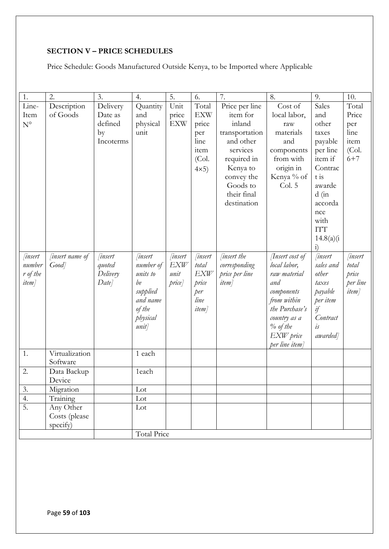# **SECTION V – PRICE SCHEDULES**

Price Schedule: Goods Manufactured Outside Kenya, to be Imported where Applicable

| 1.               | $\overline{2}$ .       | $\overline{3}$ . | 4.             | 5.            | 6.            | 7.                      | 8.                      | 9.                  | 10.                     |
|------------------|------------------------|------------------|----------------|---------------|---------------|-------------------------|-------------------------|---------------------|-------------------------|
| Line-            | Description            | Delivery         | Quantity       | Unit          | Total         | Price per line          | Cost of                 | Sales               | Total                   |
| Item             | of Goods               | Date as          | and            | price         | <b>EXW</b>    | item for                | local labor,            | and                 | Price                   |
| $N^{\circ}$      |                        | defined          | physical       | <b>EXW</b>    | price         | inland                  | raw                     | other               | per                     |
|                  |                        | by               | unit           |               | per           | transportation          | materials               | taxes               | line                    |
|                  |                        | Incoterms        |                |               | line          | and other               | and                     | payable             | item                    |
|                  |                        |                  |                |               | item<br>(Col. | services<br>required in | components<br>from with | per line<br>item if | (Col.<br>$6 + 7$        |
|                  |                        |                  |                |               |               | Kenya to                | origin in               | Contrac             |                         |
|                  |                        |                  |                |               | $4\times5$    | convey the              | Kenya % of              | $t$ is              |                         |
|                  |                        |                  |                |               |               | Goods to                | Col. 5                  | awarde              |                         |
|                  |                        |                  |                |               |               | their final             |                         | $d$ (in             |                         |
|                  |                        |                  |                |               |               | destination             |                         | accorda             |                         |
|                  |                        |                  |                |               |               |                         |                         | nce                 |                         |
|                  |                        |                  |                |               |               |                         |                         | with                |                         |
|                  |                        |                  |                |               |               |                         |                         | <b>ITT</b>          |                         |
|                  |                        |                  |                |               |               |                         |                         | 14.8(a)(i)          |                         |
|                  |                        |                  |                |               |               |                         |                         | $\overline{1}$      |                         |
| <i> insert</i>   | <i>finsert name of</i> | <i>insert</i>    | <i>insert</i>  | <i>insert</i> | <i>insert</i> | <i>insert the</i>       | <i>Tnsert cost of</i>   | <i>insert</i>       | <i>insert</i>           |
| number           | Good                   | quoted           | number of      | <b>EXW</b>    | total         | corresponding           | local labor,            | sales and           | total                   |
| r of the         |                        | Delivery         | units to<br>be | unit          | <b>EXW</b>    | price per line          | raw material<br>and     | other               | price                   |
| <i>item</i> ]    |                        | Date]            | supplied       | price]        | price<br>per  | <i>item</i>             | components              | taxes<br>payable    | per line<br><i>item</i> |
|                  |                        |                  | and name       |               | line          |                         | from within             | per item            |                         |
|                  |                        |                  | of the         |               | <i>item</i>   |                         | the Purchase's          | if                  |                         |
|                  |                        |                  | physical       |               |               |                         | country as a            | Contract            |                         |
|                  |                        |                  | unit]          |               |               |                         | $\%$ of the             | is                  |                         |
|                  |                        |                  |                |               |               |                         | EXW price               | awarded]            |                         |
|                  |                        |                  |                |               |               |                         | per line item]          |                     |                         |
| 1.               | Virtualization         |                  | 1 each         |               |               |                         |                         |                     |                         |
|                  | Software               |                  |                |               |               |                         |                         |                     |                         |
| 2.               | Data Backup            |                  | 1each          |               |               |                         |                         |                     |                         |
|                  | Device                 |                  |                |               |               |                         |                         |                     |                         |
| 3.               | Migration              |                  | Lot            |               |               |                         |                         |                     |                         |
| 4.               | Training               |                  | Lot            |               |               |                         |                         |                     |                         |
| $\overline{5}$ . | Any Other              |                  | Lot            |               |               |                         |                         |                     |                         |
|                  | Costs (please          |                  |                |               |               |                         |                         |                     |                         |
|                  | specify)               |                  |                |               |               |                         |                         |                     |                         |
|                  |                        |                  | Total Price    |               |               |                         |                         |                     |                         |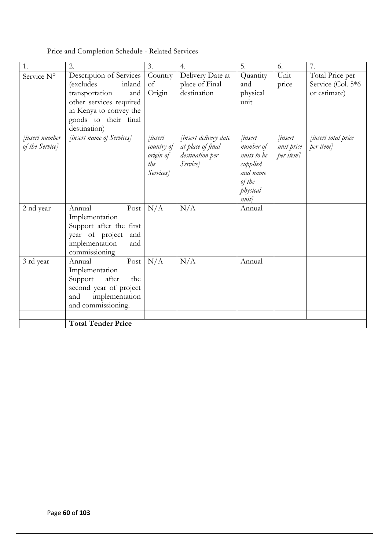| 1.                                      | 2.                                                                                                                                                                   | 3.                                                            | 4.                                                                               | 5.                                                                                               | 6.                                       | 7.                                                   |
|-----------------------------------------|----------------------------------------------------------------------------------------------------------------------------------------------------------------------|---------------------------------------------------------------|----------------------------------------------------------------------------------|--------------------------------------------------------------------------------------------------|------------------------------------------|------------------------------------------------------|
| Service N°                              | Description of Services<br>inland<br>(excludes<br>transportation<br>and<br>other services required<br>in Kenya to convey the<br>goods to their final<br>destination) | Country<br>of<br>Origin                                       | Delivery Date at<br>place of Final<br>destination                                | Quantity<br>and<br>physical<br>unit                                                              | Unit<br>price                            | Total Price per<br>Service (Col. 5*6<br>or estimate) |
| <i>insert number</i><br>of the Service] | [insert name of Services]                                                                                                                                            | <i>linsert</i><br>country of<br>origin of<br>the<br>Services] | <i>finsert delivery date</i><br>at place of final<br>destination per<br>Service] | <i>insert</i><br>number of<br>units to be<br>supplied<br>and name<br>of the<br>physical<br>unit] | <i>insert</i><br>unit price<br>per item] | <i>insert total price</i><br>per item]               |
| 2 nd year                               | Annual<br>Post<br>Implementation<br>Support after the first<br>year of project<br>and<br>implementation<br>and<br>commissioning                                      | N/A                                                           | N/A                                                                              | Annual                                                                                           |                                          |                                                      |
| 3 rd year                               | Post<br>Annual<br>Implementation<br>after<br>Support<br>the<br>second year of project<br>implementation<br>and<br>and commissioning.                                 | N/A                                                           | N/A                                                                              | Annual                                                                                           |                                          |                                                      |
|                                         | <b>Total Tender Price</b>                                                                                                                                            |                                                               |                                                                                  |                                                                                                  |                                          |                                                      |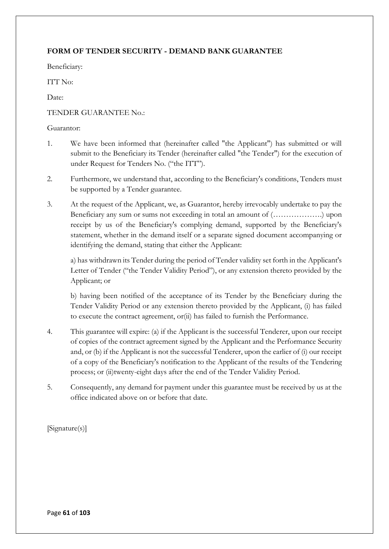# **FORM OF TENDER SECURITY - DEMAND BANK GUARANTEE**

Beneficiary:

ITT No:

Date:

## TENDER GUARANTEE No.:

## Guarantor:

- 1. We have been informed that (hereinafter called "the Applicant") has submitted or will submit to the Beneficiary its Tender (hereinafter called "the Tender") for the execution of under Request for Tenders No. ("the ITT").
- 2. Furthermore, we understand that, according to the Beneficiary's conditions, Tenders must be supported by a Tender guarantee.
- 3. At the request of the Applicant, we, as Guarantor, hereby irrevocably undertake to pay the Beneficiary any sum or sums not exceeding in total an amount of (……………….) upon receipt by us of the Beneficiary's complying demand, supported by the Beneficiary's statement, whether in the demand itself or a separate signed document accompanying or identifying the demand, stating that either the Applicant:

a) has withdrawn its Tender during the period of Tender validity set forth in the Applicant's Letter of Tender ("the Tender Validity Period"), or any extension thereto provided by the Applicant; or

b) having been notified of the acceptance of its Tender by the Beneficiary during the Tender Validity Period or any extension thereto provided by the Applicant, (i) has failed to execute the contract agreement, or(ii) has failed to furnish the Performance.

- 4. This guarantee will expire: (a) if the Applicant is the successful Tenderer, upon our receipt of copies of the contract agreement signed by the Applicant and the Performance Security and, or (b) if the Applicant is not the successful Tenderer, upon the earlier of (i) our receipt of a copy of the Beneficiary's notification to the Applicant of the results of the Tendering process; or (ii)twenty-eight days after the end of the Tender Validity Period.
- 5. Consequently, any demand for payment under this guarantee must be received by us at the office indicated above on or before that date.

[Signature(s)]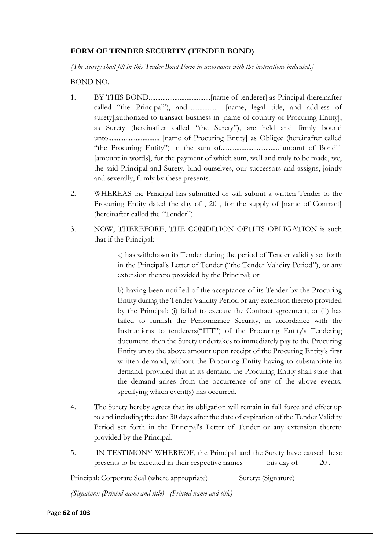## **FORM OF TENDER SECURITY (TENDER BOND)**

*[The Surety shall fill in this Tender Bond Form in accordance with the instructions indicated.]* 

BOND NO.

- 1. BY THIS BOND....................................[name of tenderer] as Principal (hereinafter called "the Principal"), and................... [name, legal title, and address of surety],authorized to transact business in [name of country of Procuring Entity], as Surety (hereinafter called "the Surety"), are held and firmly bound unto.............................. [name of Procuring Entity] as Obligee (hereinafter called "the Procuring Entity") in the sum of..................................[amount of Bond]1 [amount in words], for the payment of which sum, well and truly to be made, we, the said Principal and Surety, bind ourselves, our successors and assigns, jointly and severally, firmly by these presents.
- 2. WHEREAS the Principal has submitted or will submit a written Tender to the Procuring Entity dated the day of , 20 , for the supply of [name of Contract] (hereinafter called the "Tender").
- 3. NOW, THEREFORE, THE CONDITION OFTHIS OBLIGATION is such that if the Principal:

a) has withdrawn its Tender during the period of Tender validity set forth in the Principal's Letter of Tender ("the Tender Validity Period"), or any extension thereto provided by the Principal; or

b) having been notified of the acceptance of its Tender by the Procuring Entity during the Tender Validity Period or any extension thereto provided by the Principal; (i) failed to execute the Contract agreement; or (ii) has failed to furnish the Performance Security, in accordance with the Instructions to tenderers("ITT") of the Procuring Entity's Tendering document. then the Surety undertakes to immediately pay to the Procuring Entity up to the above amount upon receipt of the Procuring Entity's first written demand, without the Procuring Entity having to substantiate its demand, provided that in its demand the Procuring Entity shall state that the demand arises from the occurrence of any of the above events, specifying which event(s) has occurred.

- 4. The Surety hereby agrees that its obligation will remain in full force and effect up to and including the date 30 days after the date of expiration of the Tender Validity Period set forth in the Principal's Letter of Tender or any extension thereto provided by the Principal.
- 5. IN TESTIMONY WHEREOF, the Principal and the Surety have caused these presents to be executed in their respective names this day of 20.

Principal: Corporate Seal (where appropriate) Surety: (Signature)

*(Signature) (Printed name and title) (Printed name and title)*

Page **62** of **103**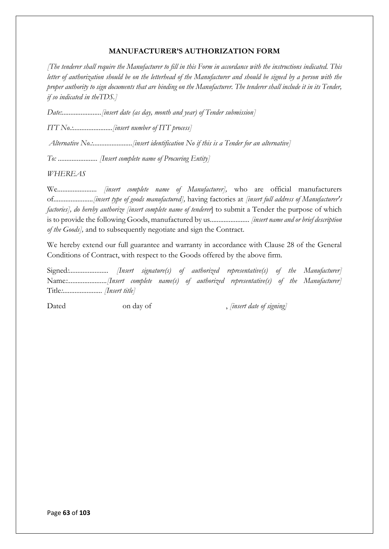## **MANUFACTURER'S AUTHORIZATION FORM**

*[The tenderer shall require the Manufacturer to fill in this Form in accordance with the instructions indicated. This letter of authorization should be on the letterhead of the Manufacturer and should be signed by a person with the proper authority to sign documents that are binding on the Manufacturer. The tenderer shall include it in its Tender, if so indicated in theTDS.]* 

*Date:.......................[insert date (as day, month and year) of Tender submission]* 

*ITT No.:.......................[insert number of ITT process]*

*Alternative No.:.......................[insert identification No if this is a Tender for an alternative]* 

*To: ....................... [Insert complete name of Procuring Entity]* 

*WHEREAS* 

We....................... *[insert complete name of Manufacturer],* who are official manufacturers of*.......................[insert type of goods manufactured],* having factories at *[insert full address of Manufacturer's factories], do hereby authorize [insert complete name of tenderer*] to submit a Tender the purpose of which is to provide the following Goods, manufactured by us*....................... [insert name and or brief description of the Goods],* and to subsequently negotiate and sign the Contract*.* 

We hereby extend our full guarantee and warranty in accordance with Clause 28 of the General Conditions of Contract, with respect to the Goods offered by the above firm*.* 

Signed*:....................... [Insert signature(s) of authorized representative(s) of the Manufacturer]*  Name*:.......................[Insert complete name(s) of authorized representative(s) of the Manufacturer]*  Title*:....................... [Insert title]* 

Dated on day of , *[insert date of signing]*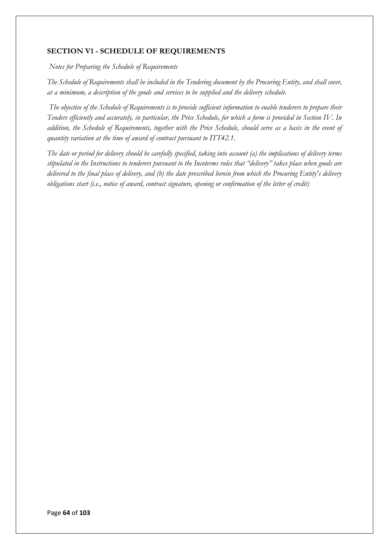## **SECTION V1 - SCHEDULE OF REQUIREMENTS**

*Notes for Preparing the Schedule of Requirements* 

*The Schedule of Requirements shall be included in the Tendering document by the Procuring Entity, and shall cover, at a minimum, a description of the goods and services to be supplied and the delivery schedule.*

*The objective of the Schedule of Requirements is to provide sufficient information to enable tenderers to prepare their Tenders efficiently and accurately, in particular, the Price Schedule, for which a form is provided in Section IV. In addition, the Schedule of Requirements, together with the Price Schedule, should serve as a basis in the event of quantity variation at the time of award of contract pursuant to ITT42.1.* 

*The date or period for delivery should be carefully specified, taking into account (a) the implications of delivery terms stipulated in the Instructions to tenderers pursuant to the Incoterms rules that "delivery" takes place when goods are delivered to the final place of delivery, and (b) the date prescribed herein from which the Procuring Entity's delivery obligations start (i.e., notice of award, contract signature, opening or confirmation of the letter of credit)*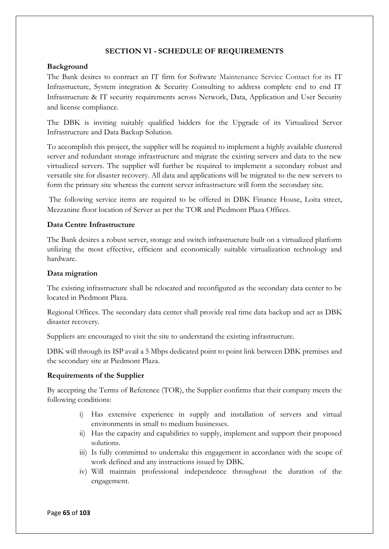## **SECTION VI - SCHEDULE OF REQUIREMENTS**

## **Background**

The Bank desires to contract an IT firm for Software Maintenance Service Contact for its IT Infrastructure, System integration & Security Consulting to address complete end to end IT Infrastructure & IT security requirements across Network, Data, Application and User Security and license compliance.

The DBK is inviting suitably qualified bidders for the Upgrade of its Virtualized Server Infrastructure and Data Backup Solution.

To accomplish this project, the supplier will be required to implement a highly available clustered server and redundant storage infrastructure and migrate the existing servers and data to the new virtualized servers. The supplier will further be required to implement a secondary robust and versatile site for disaster recovery. All data and applications will be migrated to the new servers to form the primary site whereas the current server infrastructure will form the secondary site.

The following service items are required to be offered in DBK Finance House, Loita street, Mezzanine floor location of Server as per the TOR and Piedmont Plaza Offices.

## **Data Centre Infrastructure**

The Bank desires a robust server, storage and switch infrastructure built on a virtualized platform utilizing the most effective, efficient and economically suitable virtualization technology and hardware.

## **Data migration**

The existing infrastructure shall be relocated and reconfigured as the secondary data center to be located in Piedmont Plaza.

Regional Offices. The secondary data center shall provide real time data backup and act as DBK disaster recovery.

Suppliers are encouraged to visit the site to understand the existing infrastructure.

DBK will through its ISP avail a 5 Mbps dedicated point to point link between DBK premises and the secondary site at Piedmont Plaza.

#### **Requirements of the Supplier**

By accepting the Terms of Reference (TOR), the Supplier confirms that their company meets the following conditions:

- i) Has extensive experience in supply and installation of servers and virtual environments in small to medium businesses.
- ii) Has the capacity and capabilities to supply, implement and support their proposed solutions.
- iii) Is fully committed to undertake this engagement in accordance with the scope of work defined and any instructions issued by DBK.
- iv) Will maintain professional independence throughout the duration of the engagement.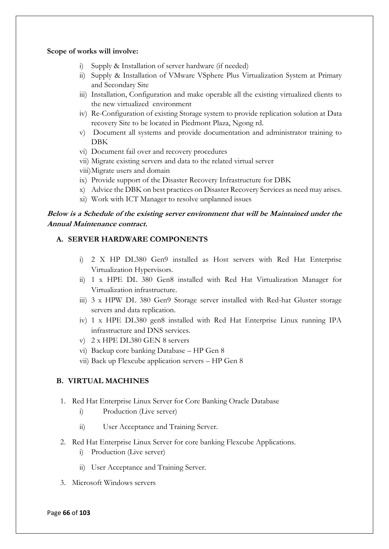## **Scope of works will involve:**

- i) Supply & Installation of server hardware (if needed)
- ii) Supply & Installation of VMware VSphere Plus Virtualization System at Primary and Secondary Site
- iii) Installation, Configuration and make operable all the existing virtualized clients to the new virtualized environment
- iv) Re-Configuration of existing Storage system to provide replication solution at Data recovery Site to be located in Piedmont Plaza, Ngong rd.
- v) Document all systems and provide documentation and administrator training to DBK
- vi) Document fail over and recovery procedures
- vii) Migrate existing servers and data to the related virtual server
- viii)Migrate users and domain
- ix) Provide support of the Disaster Recovery Infrastructure for DBK
- x) Advice the DBK on best practices on Disaster Recovery Services as need may arises.
- xi) Work with ICT Manager to resolve unplanned issues

# **Below is a Schedule of the existing server environment that will be Maintained under the Annual Maintenance contract.**

# **A. SERVER HARDWARE COMPONENTS**

- i) 2 X HP DL380 Gen9 installed as Host servers with Red Hat Enterprise Virtualization Hypervisors.
- ii) 1 x HPE DL 380 Gen8 installed with Red Hat Virtualization Manager for Virtualization infrastructure.
- iii) 3 x HPW DL 380 Gen9 Storage server installed with Red-hat Gluster storage servers and data replication.
- iv) 1 x HPE DL380 gen8 installed with Red Hat Enterprise Linux running IPA infrastructure and DNS services.
- v) 2 x HPE DL380 GEN 8 servers
- vi) Backup core banking Database HP Gen 8
- vii) Back up Flexcube application servers HP Gen 8

## **B. VIRTUAL MACHINES**

- 1. Red Hat Enterprise Linux Server for Core Banking Oracle Database
	- i) Production (Live server)
	- ii) User Acceptance and Training Server.
- 2. Red Hat Enterprise Linux Server for core banking Flexcube Applications.
	- i) Production (Live server)
	- ii) User Acceptance and Training Server.
- 3. Microsoft Windows servers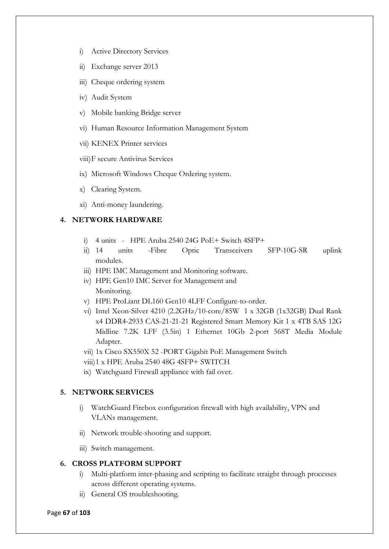- i) Active Directory Services
- ii) Exchange server 2013
- iii) Cheque ordering system
- iv) Audit System
- v) Mobile banking Bridge server
- vi) Human Resource Information Management System
- vii) KENEX Printer services
- viii)F secure Antivirus Services
- ix) Microsoft Windows Cheque Ordering system.
- x) Clearing System.
- xi) Anti-money laundering.

## **4. NETWORK HARDWARE**

- i)  $4 \text{ units}$  HPE Aruba 2540 24G PoE + Switch 4SFP+
- ii) 14 units -Fibre Optic Transceivers SFP-10G-SR uplink modules.
- iii) HPE IMC Management and Monitoring software.
- iv) HPE Gen10 IMC Server for Management and Monitoring.
- v) HPE ProLiant DL160 Gen10 4LFF Configure-to-order.
- vi) Intel Xeon-Silver 4210 (2.2GHz/10-core/85W 1 x 32GB (1x32GB) Dual Rank x4 DDR4-2933 CAS-21-21-21 Registered Smart Memory Kit 1 x 4TB SAS 12G Midline 7.2K LFF (3.5in) 1 Ethernet 10Gb 2-port 568T Media Module Adapter.
- vii) 1x Cisco SX550X 52 -PORT Gigabit PoE Management Switch
- viii)1 x HPE Aruba 2540 48G 4SFP+ SWITCH
- ix) Watchguard Firewall appliance with fail over.

## **5. NETWORK SERVICES**

- i) WatchGuard Firebox configuration firewall with high availability, VPN and VLANs management.
- ii) Network trouble-shooting and support.
- iii) Switch management.

#### **6. CROSS PLATFORM SUPPORT**

- i) Multi-platform inter-phasing and scripting to facilitate straight through processes across different operating systems.
- ii) General OS troubleshooting.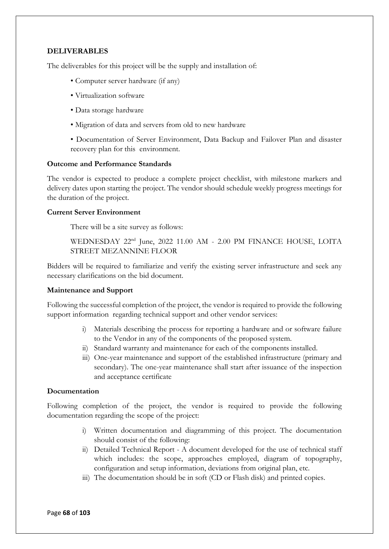## **DELIVERABLES**

The deliverables for this project will be the supply and installation of:

- Computer server hardware (if any)
- Virtualization software
- Data storage hardware
- Migration of data and servers from old to new hardware

• Documentation of Server Environment, Data Backup and Failover Plan and disaster recovery plan for this environment.

#### **Outcome and Performance Standards**

The vendor is expected to produce a complete project checklist, with milestone markers and delivery dates upon starting the project. The vendor should schedule weekly progress meetings for the duration of the project.

#### **Current Server Environment**

There will be a site survey as follows:

WEDNESDAY 22<sup>nd</sup> June, 2022 11.00 AM - 2.00 PM FINANCE HOUSE, LOITA STREET MEZANNINE FLOOR

Bidders will be required to familiarize and verify the existing server infrastructure and seek any necessary clarifications on the bid document.

## **Maintenance and Support**

Following the successful completion of the project, the vendor is required to provide the following support information regarding technical support and other vendor services:

- i) Materials describing the process for reporting a hardware and or software failure to the Vendor in any of the components of the proposed system.
- ii) Standard warranty and maintenance for each of the components installed.
- iii) One-year maintenance and support of the established infrastructure (primary and secondary). The one-year maintenance shall start after issuance of the inspection and acceptance certificate

#### **Documentation**

Following completion of the project, the vendor is required to provide the following documentation regarding the scope of the project:

- i) Written documentation and diagramming of this project. The documentation should consist of the following:
- ii) Detailed Technical Report A document developed for the use of technical staff which includes: the scope, approaches employed, diagram of topography, configuration and setup information, deviations from original plan, etc.
- iii) The documentation should be in soft (CD or Flash disk) and printed copies.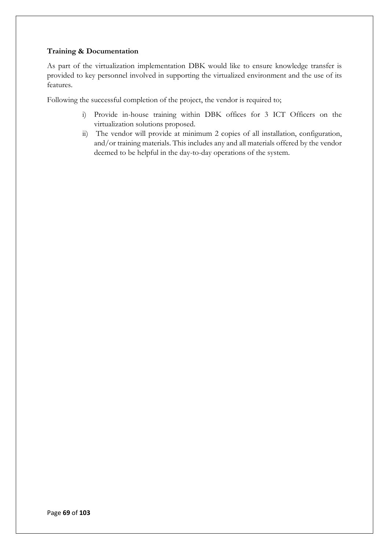## **Training & Documentation**

As part of the virtualization implementation DBK would like to ensure knowledge transfer is provided to key personnel involved in supporting the virtualized environment and the use of its features.

Following the successful completion of the project, the vendor is required to;

- i) Provide in-house training within DBK offices for 3 ICT Officers on the virtualization solutions proposed.
- ii) The vendor will provide at minimum 2 copies of all installation, configuration, and/or training materials. This includes any and all materials offered by the vendor deemed to be helpful in the day-to-day operations of the system.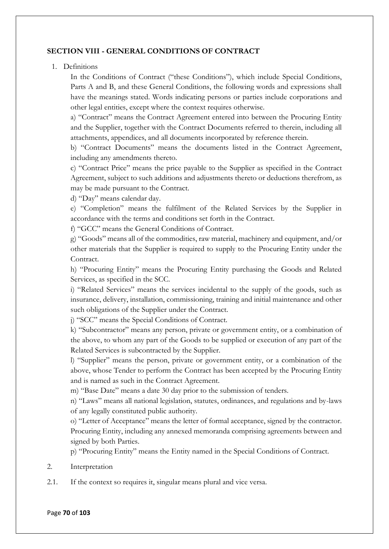## **SECTION VIII - GENERAL CONDITIONS OF CONTRACT**

1. Definitions

In the Conditions of Contract ("these Conditions"), which include Special Conditions, Parts A and B, and these General Conditions, the following words and expressions shall have the meanings stated. Words indicating persons or parties include corporations and other legal entities, except where the context requires otherwise.

a) "Contract" means the Contract Agreement entered into between the Procuring Entity and the Supplier, together with the Contract Documents referred to therein, including all attachments, appendices, and all documents incorporated by reference therein.

b) "Contract Documents" means the documents listed in the Contract Agreement, including any amendments thereto.

c) "Contract Price" means the price payable to the Supplier as specified in the Contract Agreement, subject to such additions and adjustments thereto or deductions therefrom, as may be made pursuant to the Contract.

d) "Day" means calendar day.

e) "Completion" means the fulfilment of the Related Services by the Supplier in accordance with the terms and conditions set forth in the Contract.

f) "GCC" means the General Conditions of Contract.

g) "Goods" means all of the commodities, raw material, machinery and equipment, and/or other materials that the Supplier is required to supply to the Procuring Entity under the Contract.

h) "Procuring Entity" means the Procuring Entity purchasing the Goods and Related Services, as specified in the SCC.

i) "Related Services" means the services incidental to the supply of the goods, such as insurance, delivery, installation, commissioning, training and initial maintenance and other such obligations of the Supplier under the Contract.

j) "SCC" means the Special Conditions of Contract.

k) "Subcontractor" means any person, private or government entity, or a combination of the above, to whom any part of the Goods to be supplied or execution of any part of the Related Services is subcontracted by the Supplier.

l) "Supplier" means the person, private or government entity, or a combination of the above, whose Tender to perform the Contract has been accepted by the Procuring Entity and is named as such in the Contract Agreement.

m) "Base Date" means a date 30 day prior to the submission of tenders.

n) "Laws" means all national legislation, statutes, ordinances, and regulations and by-laws of any legally constituted public authority.

o) "Letter of Acceptance" means the letter of formal acceptance, signed by the contractor. Procuring Entity, including any annexed memoranda comprising agreements between and signed by both Parties.

p) "Procuring Entity" means the Entity named in the Special Conditions of Contract.

- 2. Interpretation
- 2.1. If the context so requires it, singular means plural and vice versa.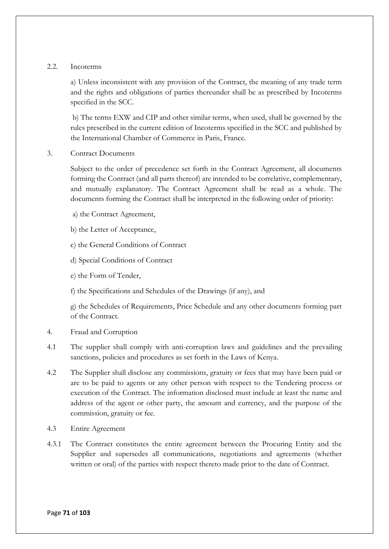## 2.2. Incoterms

a) Unless inconsistent with any provision of the Contract, the meaning of any trade term and the rights and obligations of parties thereunder shall be as prescribed by Incoterms specified in the SCC.

b) The terms EXW and CIP and other similar terms, when used, shall be governed by the rules prescribed in the current edition of Incoterms specified in the SCC and published by the International Chamber of Commerce in Paris, France.

3. Contract Documents

Subject to the order of precedence set forth in the Contract Agreement, all documents forming the Contract (and all parts thereof) are intended to be correlative, complementary, and mutually explanatory. The Contract Agreement shall be read as a whole. The documents forming the Contract shall be interpreted in the following order of priority:

- a) the Contract Agreement,
- b) the Letter of Acceptance,
- c) the General Conditions of Contract
- d) Special Conditions of Contract
- e) the Form of Tender,
- f) the Specifications and Schedules of the Drawings (if any), and

g) the Schedules of Requirements, Price Schedule and any other documents forming part of the Contract.

- 4. Fraud and Corruption
- 4.1 The supplier shall comply with anti-corruption laws and guidelines and the prevailing sanctions, policies and procedures as set forth in the Laws of Kenya.
- 4.2 The Supplier shall disclose any commissions, gratuity or fees that may have been paid or are to be paid to agents or any other person with respect to the Tendering process or execution of the Contract. The information disclosed must include at least the name and address of the agent or other party, the amount and currency, and the purpose of the commission, gratuity or fee.
- 4.3 Entire Agreement
- 4.3.1 The Contract constitutes the entire agreement between the Procuring Entity and the Supplier and supersedes all communications, negotiations and agreements (whether written or oral) of the parties with respect thereto made prior to the date of Contract.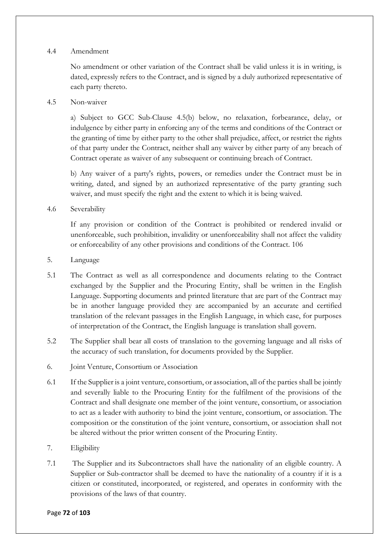## 4.4 Amendment

No amendment or other variation of the Contract shall be valid unless it is in writing, is dated, expressly refers to the Contract, and is signed by a duly authorized representative of each party thereto.

## 4.5 Non-waiver

a) Subject to GCC Sub-Clause 4.5(b) below, no relaxation, forbearance, delay, or indulgence by either party in enforcing any of the terms and conditions of the Contract or the granting of time by either party to the other shall prejudice, affect, or restrict the rights of that party under the Contract, neither shall any waiver by either party of any breach of Contract operate as waiver of any subsequent or continuing breach of Contract.

b) Any waiver of a party's rights, powers, or remedies under the Contract must be in writing, dated, and signed by an authorized representative of the party granting such waiver, and must specify the right and the extent to which it is being waived.

## 4.6 Severability

If any provision or condition of the Contract is prohibited or rendered invalid or unenforceable, such prohibition, invalidity or unenforceability shall not affect the validity or enforceability of any other provisions and conditions of the Contract. 106

- 5. Language
- 5.1 The Contract as well as all correspondence and documents relating to the Contract exchanged by the Supplier and the Procuring Entity, shall be written in the English Language. Supporting documents and printed literature that are part of the Contract may be in another language provided they are accompanied by an accurate and certified translation of the relevant passages in the English Language, in which case, for purposes of interpretation of the Contract, the English language is translation shall govern.
- 5.2 The Supplier shall bear all costs of translation to the governing language and all risks of the accuracy of such translation, for documents provided by the Supplier.
- 6. Joint Venture, Consortium or Association
- 6.1 If the Supplier is a joint venture, consortium, or association, all of the parties shall be jointly and severally liable to the Procuring Entity for the fulfilment of the provisions of the Contract and shall designate one member of the joint venture, consortium, or association to act as a leader with authority to bind the joint venture, consortium, or association. The composition or the constitution of the joint venture, consortium, or association shall not be altered without the prior written consent of the Procuring Entity.
- 7. Eligibility
- 7.1 The Supplier and its Subcontractors shall have the nationality of an eligible country. A Supplier or Sub-contractor shall be deemed to have the nationality of a country if it is a citizen or constituted, incorporated, or registered, and operates in conformity with the provisions of the laws of that country.

#### Page **72** of **103**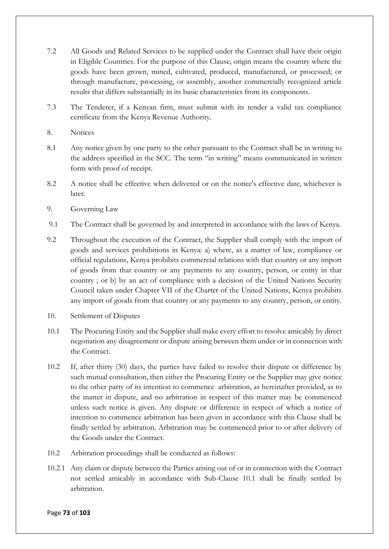- 7.2 All Goods and Related Services to be supplied under the Contract shall have their origin in Eligible Countries. For the purpose of this Clause, origin means the country where the goods have been grown, mined, cultivated, produced, manufactured, or processed; or through manufacture, processing, or assembly, another commercially recognized article results that differs substantially in its basic characteristics from its components.
- 7.3 The Tenderer, if a Kenyan firm, must submit with its tender a valid tax compliance certificate from the Kenya Revenue Authority.
- 8. Notices
- 8.1 Any notice given by one party to the other pursuant to the Contract shall be in writing to the address specified in the SCC. The term "in writing" means communicated in written form with proof of receipt.
- 8.2 A notice shall be effective when delivered or on the notice's effective date, whichever is later.
- 9. Governing Law
- 9.1 The Contract shall be governed by and interpreted in accordance with the laws of Kenya.
- 9.2 Throughout the execution of the Contract, the Supplier shall comply with the import of goods and services prohibitions in Kenya: a) where, as a matter of law, compliance or official regulations, Kenya prohibits commercial relations with that country or any import of goods from that country or any payments to any country, person, or entity in that country ; or b) by an act of compliance with a decision of the United Nations Security Council taken under Chapter VII of the Charter of the United Nations, Kenya prohibits any import of goods from that country or any payments to any country, person, or entity.
- 10. Settlement of Disputes
- 10.1 The Procuring Entity and the Supplier shall make every effort to resolve amicably by direct negotiation any disagreement or dispute arising between them under or in connection with the Contract.
- 10.2 If, after thirty (30) days, the parties have failed to resolve their dispute or difference by such mutual consultation, then either the Procuring Entity or the Supplier may give notice to the other party of its intention to commence arbitration, as hereinafter provided, as to the matter in dispute, and no arbitration in respect of this matter may be commenced unless such notice is given. Any dispute or difference in respect of which a notice of intention to commence arbitration has been given in accordance with this Clause shall be finally settled by arbitration. Arbitration may be commenced prior to or after delivery of the Goods under the Contract.
- 10.2 Arbitration proceedings shall be conducted as follows:
- 10.2.1 Any claim or dispute between the Parties arising out of or in connection with the Contract not settled amicably in accordance with Sub-Clause 10.1 shall be finally settled by arbitration.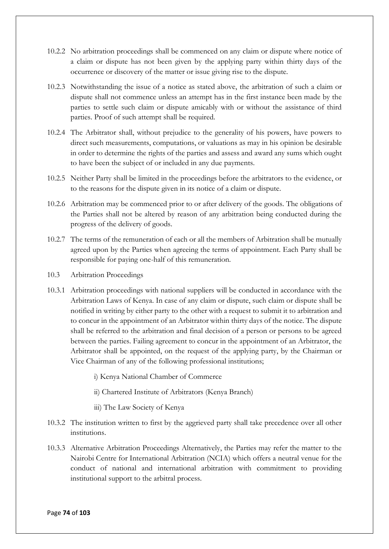- 10.2.2 No arbitration proceedings shall be commenced on any claim or dispute where notice of a claim or dispute has not been given by the applying party within thirty days of the occurrence or discovery of the matter or issue giving rise to the dispute.
- 10.2.3 Notwithstanding the issue of a notice as stated above, the arbitration of such a claim or dispute shall not commence unless an attempt has in the first instance been made by the parties to settle such claim or dispute amicably with or without the assistance of third parties. Proof of such attempt shall be required.
- 10.2.4 The Arbitrator shall, without prejudice to the generality of his powers, have powers to direct such measurements, computations, or valuations as may in his opinion be desirable in order to determine the rights of the parties and assess and award any sums which ought to have been the subject of or included in any due payments.
- 10.2.5 Neither Party shall be limited in the proceedings before the arbitrators to the evidence, or to the reasons for the dispute given in its notice of a claim or dispute.
- 10.2.6 Arbitration may be commenced prior to or after delivery of the goods. The obligations of the Parties shall not be altered by reason of any arbitration being conducted during the progress of the delivery of goods.
- 10.2.7 The terms of the remuneration of each or all the members of Arbitration shall be mutually agreed upon by the Parties when agreeing the terms of appointment. Each Party shall be responsible for paying one-half of this remuneration.
- 10.3 Arbitration Proceedings
- 10.3.1 Arbitration proceedings with national suppliers will be conducted in accordance with the Arbitration Laws of Kenya. In case of any claim or dispute, such claim or dispute shall be notified in writing by either party to the other with a request to submit it to arbitration and to concur in the appointment of an Arbitrator within thirty days of the notice. The dispute shall be referred to the arbitration and final decision of a person or persons to be agreed between the parties. Failing agreement to concur in the appointment of an Arbitrator, the Arbitrator shall be appointed, on the request of the applying party, by the Chairman or Vice Chairman of any of the following professional institutions;
	- i) Kenya National Chamber of Commerce
	- ii) Chartered Institute of Arbitrators (Kenya Branch)
	- iii) The Law Society of Kenya
- 10.3.2 The institution written to first by the aggrieved party shall take precedence over all other institutions.
- 10.3.3 Alternative Arbitration Proceedings Alternatively, the Parties may refer the matter to the Nairobi Centre for International Arbitration (NCIA) which offers a neutral venue for the conduct of national and international arbitration with commitment to providing institutional support to the arbitral process.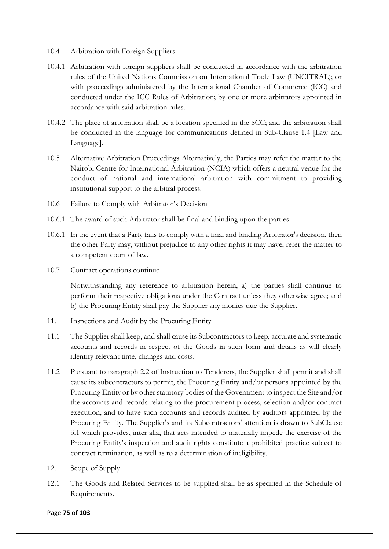- 10.4 Arbitration with Foreign Suppliers
- 10.4.1 Arbitration with foreign suppliers shall be conducted in accordance with the arbitration rules of the United Nations Commission on International Trade Law (UNCITRAL); or with proceedings administered by the International Chamber of Commerce (ICC) and conducted under the ICC Rules of Arbitration; by one or more arbitrators appointed in accordance with said arbitration rules.
- 10.4.2 The place of arbitration shall be a location specified in the SCC; and the arbitration shall be conducted in the language for communications defined in Sub-Clause 1.4 [Law and Language].
- 10.5 Alternative Arbitration Proceedings Alternatively, the Parties may refer the matter to the Nairobi Centre for International Arbitration (NCIA) which offers a neutral venue for the conduct of national and international arbitration with commitment to providing institutional support to the arbitral process.
- 10.6 Failure to Comply with Arbitrator's Decision
- 10.6.1 The award of such Arbitrator shall be final and binding upon the parties.
- 10.6.1 In the event that a Party fails to comply with a final and binding Arbitrator's decision, then the other Party may, without prejudice to any other rights it may have, refer the matter to a competent court of law.
- 10.7 Contract operations continue

Notwithstanding any reference to arbitration herein, a) the parties shall continue to perform their respective obligations under the Contract unless they otherwise agree; and b) the Procuring Entity shall pay the Supplier any monies due the Supplier.

- 11. Inspections and Audit by the Procuring Entity
- 11.1 The Supplier shall keep, and shall cause its Subcontractors to keep, accurate and systematic accounts and records in respect of the Goods in such form and details as will clearly identify relevant time, changes and costs.
- 11.2 Pursuant to paragraph 2.2 of Instruction to Tenderers, the Supplier shall permit and shall cause its subcontractors to permit, the Procuring Entity and/or persons appointed by the Procuring Entity or by other statutory bodies of the Government to inspect the Site and/or the accounts and records relating to the procurement process, selection and/or contract execution, and to have such accounts and records audited by auditors appointed by the Procuring Entity. The Supplier's and its Subcontractors' attention is drawn to SubClause 3.1 which provides, inter alia, that acts intended to materially impede the exercise of the Procuring Entity's inspection and audit rights constitute a prohibited practice subject to contract termination, as well as to a determination of ineligibility.
- 12. Scope of Supply
- 12.1 The Goods and Related Services to be supplied shall be as specified in the Schedule of Requirements.

#### Page **75** of **103**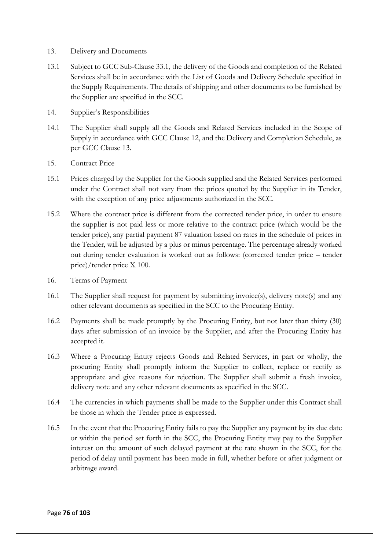- 13. Delivery and Documents
- 13.1 Subject to GCC Sub-Clause 33.1, the delivery of the Goods and completion of the Related Services shall be in accordance with the List of Goods and Delivery Schedule specified in the Supply Requirements. The details of shipping and other documents to be furnished by the Supplier are specified in the SCC.
- 14. Supplier's Responsibilities
- 14.1 The Supplier shall supply all the Goods and Related Services included in the Scope of Supply in accordance with GCC Clause 12, and the Delivery and Completion Schedule, as per GCC Clause 13.
- 15. Contract Price
- 15.1 Prices charged by the Supplier for the Goods supplied and the Related Services performed under the Contract shall not vary from the prices quoted by the Supplier in its Tender, with the exception of any price adjustments authorized in the SCC.
- 15.2 Where the contract price is different from the corrected tender price, in order to ensure the supplier is not paid less or more relative to the contract price (which would be the tender price), any partial payment 87 valuation based on rates in the schedule of prices in the Tender, will be adjusted by a plus or minus percentage. The percentage already worked out during tender evaluation is worked out as follows: (corrected tender price – tender price)/tender price X 100.
- 16. Terms of Payment
- 16.1 The Supplier shall request for payment by submitting invoice(s), delivery note(s) and any other relevant documents as specified in the SCC to the Procuring Entity.
- 16.2 Payments shall be made promptly by the Procuring Entity, but not later than thirty (30) days after submission of an invoice by the Supplier, and after the Procuring Entity has accepted it.
- 16.3 Where a Procuring Entity rejects Goods and Related Services, in part or wholly, the procuring Entity shall promptly inform the Supplier to collect, replace or rectify as appropriate and give reasons for rejection. The Supplier shall submit a fresh invoice, delivery note and any other relevant documents as specified in the SCC.
- 16.4 The currencies in which payments shall be made to the Supplier under this Contract shall be those in which the Tender price is expressed.
- 16.5 In the event that the Procuring Entity fails to pay the Supplier any payment by its due date or within the period set forth in the SCC, the Procuring Entity may pay to the Supplier interest on the amount of such delayed payment at the rate shown in the SCC, for the period of delay until payment has been made in full, whether before or after judgment or arbitrage award.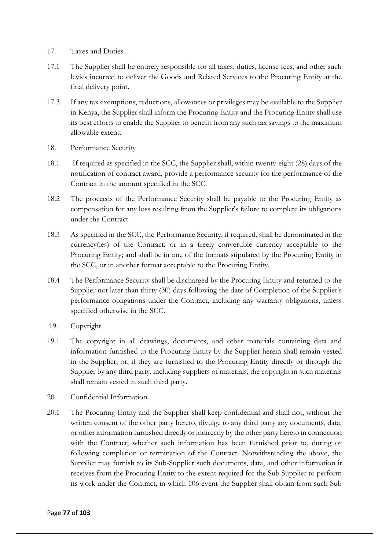- 17. Taxes and Duties
- 17.1 The Supplier shall be entirely responsible for all taxes, duties, license fees, and other such levies incurred to deliver the Goods and Related Services to the Procuring Entity at the final delivery point.
- 17.3 If any tax exemptions, reductions, allowances or privileges may be available to the Supplier in Kenya, the Supplier shall inform the Procuring Entity and the Procuring Entity shall use its best efforts to enable the Supplier to benefit from any such tax savings to the maximum allowable extent.
- 18. Performance Security
- 18.1 If required as specified in the SCC, the Supplier shall, within twenty-eight (28) days of the notification of contract award, provide a performance security for the performance of the Contract in the amount specified in the SCC.
- 18.2 The proceeds of the Performance Security shall be payable to the Procuring Entity as compensation for any loss resulting from the Supplier's failure to complete its obligations under the Contract.
- 18.3 As specified in the SCC, the Performance Security, if required, shall be denominated in the currency(ies) of the Contract, or in a freely convertible currency acceptable to the Procuring Entity; and shall be in one of the formats stipulated by the Procuring Entity in the SCC, or in another format acceptable to the Procuring Entity.
- 18.4 The Performance Security shall be discharged by the Procuring Entity and returned to the Supplier not later than thirty (30) days following the date of Completion of the Supplier's performance obligations under the Contract, including any warranty obligations, unless specified otherwise in the SCC.
- 19. Copyright
- 19.1 The copyright in all drawings, documents, and other materials containing data and information furnished to the Procuring Entity by the Supplier herein shall remain vested in the Supplier, or, if they are furnished to the Procuring Entity directly or through the Supplier by any third party, including suppliers of materials, the copyright in such materials shall remain vested in such third party.
- 20. Confidential Information
- 20.1 The Procuring Entity and the Supplier shall keep confidential and shall not, without the written consent of the other party hereto, divulge to any third party any documents, data, or other information furnished directly or indirectly by the other party hereto in connection with the Contract, whether such information has been furnished prior to, during or following completion or termination of the Contract. Notwithstanding the above, the Supplier may furnish to its Sub-Supplier such documents, data, and other information it receives from the Procuring Entity to the extent required for the Sub Supplier to perform its work under the Contract, in which 106 event the Supplier shall obtain from such Sub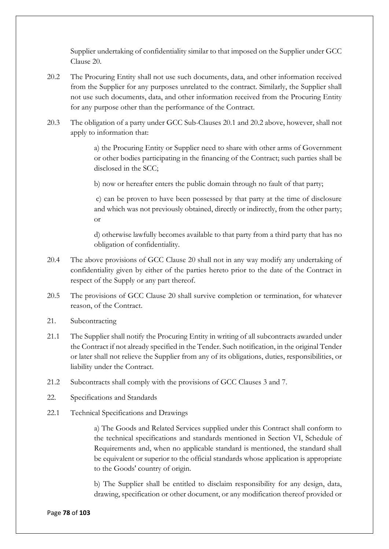Supplier undertaking of confidentiality similar to that imposed on the Supplier under GCC Clause 20.

- 20.2 The Procuring Entity shall not use such documents, data, and other information received from the Supplier for any purposes unrelated to the contract. Similarly, the Supplier shall not use such documents, data, and other information received from the Procuring Entity for any purpose other than the performance of the Contract.
- 20.3 The obligation of a party under GCC Sub-Clauses 20.1 and 20.2 above, however, shall not apply to information that:

a) the Procuring Entity or Supplier need to share with other arms of Government or other bodies participating in the financing of the Contract; such parties shall be disclosed in the SCC;

b) now or hereafter enters the public domain through no fault of that party;

c) can be proven to have been possessed by that party at the time of disclosure and which was not previously obtained, directly or indirectly, from the other party; or

d) otherwise lawfully becomes available to that party from a third party that has no obligation of confidentiality.

- 20.4 The above provisions of GCC Clause 20 shall not in any way modify any undertaking of confidentiality given by either of the parties hereto prior to the date of the Contract in respect of the Supply or any part thereof.
- 20.5 The provisions of GCC Clause 20 shall survive completion or termination, for whatever reason, of the Contract.
- 21. Subcontracting
- 21.1 The Supplier shall notify the Procuring Entity in writing of all subcontracts awarded under the Contract if not already specified in the Tender. Such notification, in the original Tender or later shall not relieve the Supplier from any of its obligations, duties, responsibilities, or liability under the Contract.
- 21.2 Subcontracts shall comply with the provisions of GCC Clauses 3 and 7.
- 22. Specifications and Standards
- 22.1 Technical Specifications and Drawings

a) The Goods and Related Services supplied under this Contract shall conform to the technical specifications and standards mentioned in Section VI, Schedule of Requirements and, when no applicable standard is mentioned, the standard shall be equivalent or superior to the official standards whose application is appropriate to the Goods' country of origin.

b) The Supplier shall be entitled to disclaim responsibility for any design, data, drawing, specification or other document, or any modification thereof provided or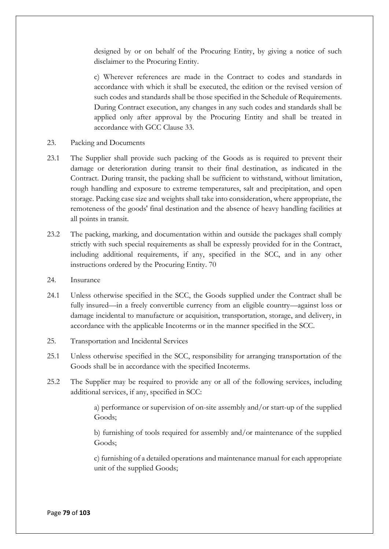designed by or on behalf of the Procuring Entity, by giving a notice of such disclaimer to the Procuring Entity.

c) Wherever references are made in the Contract to codes and standards in accordance with which it shall be executed, the edition or the revised version of such codes and standards shall be those specified in the Schedule of Requirements. During Contract execution, any changes in any such codes and standards shall be applied only after approval by the Procuring Entity and shall be treated in accordance with GCC Clause 33.

- 23. Packing and Documents
- 23.1 The Supplier shall provide such packing of the Goods as is required to prevent their damage or deterioration during transit to their final destination, as indicated in the Contract. During transit, the packing shall be sufficient to withstand, without limitation, rough handling and exposure to extreme temperatures, salt and precipitation, and open storage. Packing case size and weights shall take into consideration, where appropriate, the remoteness of the goods' final destination and the absence of heavy handling facilities at all points in transit.
- 23.2 The packing, marking, and documentation within and outside the packages shall comply strictly with such special requirements as shall be expressly provided for in the Contract, including additional requirements, if any, specified in the SCC, and in any other instructions ordered by the Procuring Entity. 70
- 24. Insurance
- 24.1 Unless otherwise specified in the SCC, the Goods supplied under the Contract shall be fully insured—in a freely convertible currency from an eligible country—against loss or damage incidental to manufacture or acquisition, transportation, storage, and delivery, in accordance with the applicable Incoterms or in the manner specified in the SCC.
- 25. Transportation and Incidental Services
- 25.1 Unless otherwise specified in the SCC, responsibility for arranging transportation of the Goods shall be in accordance with the specified Incoterms.
- 25.2 The Supplier may be required to provide any or all of the following services, including additional services, if any, specified in SCC:

a) performance or supervision of on-site assembly and/or start-up of the supplied Goods;

b) furnishing of tools required for assembly and/or maintenance of the supplied Goods;

c) furnishing of a detailed operations and maintenance manual for each appropriate unit of the supplied Goods;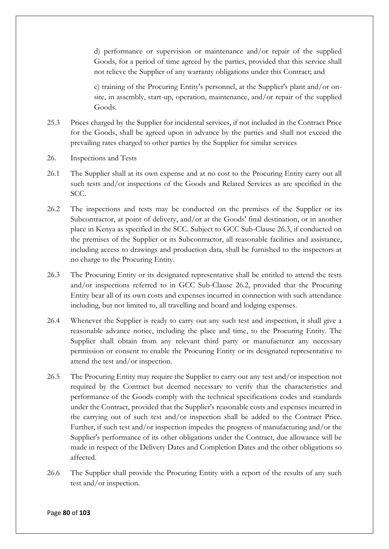d) performance or supervision or maintenance and/or repair of the supplied Goods, for a period of time agreed by the parties, provided that this service shall not relieve the Supplier of any warranty obligations under this Contract; and

e) training of the Procuring Entity's personnel, at the Supplier's plant and/or onsite, in assembly, start-up, operation, maintenance, and/or repair of the supplied Goods.

- 25.3 Prices charged by the Supplier for incidental services, if not included in the Contract Price for the Goods, shall be agreed upon in advance by the parties and shall not exceed the prevailing rates charged to other parties by the Supplier for similar services
- 26. Inspections and Tests
- 26.1 The Supplier shall at its own expense and at no cost to the Procuring Entity carry out all such tests and/or inspections of the Goods and Related Services as are specified in the SCC.
- 26.2 The inspections and tests may be conducted on the premises of the Supplier or its Subcontractor, at point of delivery, and/or at the Goods' final destination, or in another place in Kenya as specified in the SCC. Subject to GCC Sub-Clause 26.3, if conducted on the premises of the Supplier or its Subcontractor, all reasonable facilities and assistance, including access to drawings and production data, shall be furnished to the inspectors at no charge to the Procuring Entity.
- 26.3 The Procuring Entity or its designated representative shall be entitled to attend the tests and/or inspections referred to in GCC Sub-Clause 26.2, provided that the Procuring Entity bear all of its own costs and expenses incurred in connection with such attendance including, but not limited to, all travelling and board and lodging expenses.
- 26.4 Whenever the Supplier is ready to carry out any such test and inspection, it shall give a reasonable advance notice, including the place and time, to the Procuring Entity. The Supplier shall obtain from any relevant third party or manufacturer any necessary permission or consent to enable the Procuring Entity or its designated representative to attend the test and/or inspection.
- 26.5 The Procuring Entity may require the Supplier to carry out any test and/or inspection not required by the Contract but deemed necessary to verify that the characteristics and performance of the Goods comply with the technical specifications codes and standards under the Contract, provided that the Supplier's reasonable costs and expenses incurred in the carrying out of such test and/or inspection shall be added to the Contract Price. Further, if such test and/or inspection impedes the progress of manufacturing and/or the Supplier's performance of its other obligations under the Contract, due allowance will be made in respect of the Delivery Dates and Completion Dates and the other obligations so affected.
- 26.6 The Supplier shall provide the Procuring Entity with a report of the results of any such test and/or inspection.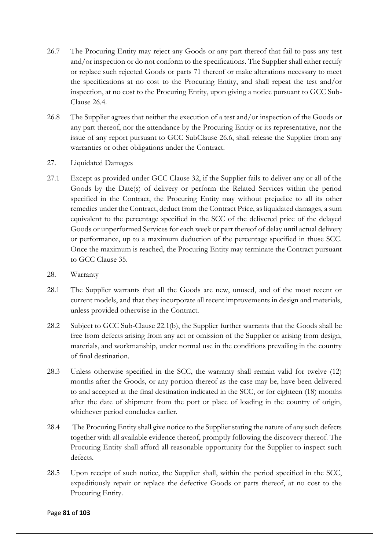- 26.7 The Procuring Entity may reject any Goods or any part thereof that fail to pass any test and/or inspection or do not conform to the specifications. The Supplier shall either rectify or replace such rejected Goods or parts 71 thereof or make alterations necessary to meet the specifications at no cost to the Procuring Entity, and shall repeat the test and/or inspection, at no cost to the Procuring Entity, upon giving a notice pursuant to GCC Sub-Clause 26.4.
- 26.8 The Supplier agrees that neither the execution of a test and/or inspection of the Goods or any part thereof, nor the attendance by the Procuring Entity or its representative, nor the issue of any report pursuant to GCC SubClause 26.6, shall release the Supplier from any warranties or other obligations under the Contract.
- 27. Liquidated Damages
- 27.1 Except as provided under GCC Clause 32, if the Supplier fails to deliver any or all of the Goods by the Date(s) of delivery or perform the Related Services within the period specified in the Contract, the Procuring Entity may without prejudice to all its other remedies under the Contract, deduct from the Contract Price, as liquidated damages, a sum equivalent to the percentage specified in the SCC of the delivered price of the delayed Goods or unperformed Services for each week or part thereof of delay until actual delivery or performance, up to a maximum deduction of the percentage specified in those SCC. Once the maximum is reached, the Procuring Entity may terminate the Contract pursuant to GCC Clause 35.
- 28. Warranty
- 28.1 The Supplier warrants that all the Goods are new, unused, and of the most recent or current models, and that they incorporate all recent improvements in design and materials, unless provided otherwise in the Contract.
- 28.2 Subject to GCC Sub-Clause 22.1(b), the Supplier further warrants that the Goods shall be free from defects arising from any act or omission of the Supplier or arising from design, materials, and workmanship, under normal use in the conditions prevailing in the country of final destination.
- 28.3 Unless otherwise specified in the SCC, the warranty shall remain valid for twelve (12) months after the Goods, or any portion thereof as the case may be, have been delivered to and accepted at the final destination indicated in the SCC, or for eighteen (18) months after the date of shipment from the port or place of loading in the country of origin, whichever period concludes earlier.
- 28.4 The Procuring Entity shall give notice to the Supplier stating the nature of any such defects together with all available evidence thereof, promptly following the discovery thereof. The Procuring Entity shall afford all reasonable opportunity for the Supplier to inspect such defects.
- 28.5 Upon receipt of such notice, the Supplier shall, within the period specified in the SCC, expeditiously repair or replace the defective Goods or parts thereof, at no cost to the Procuring Entity.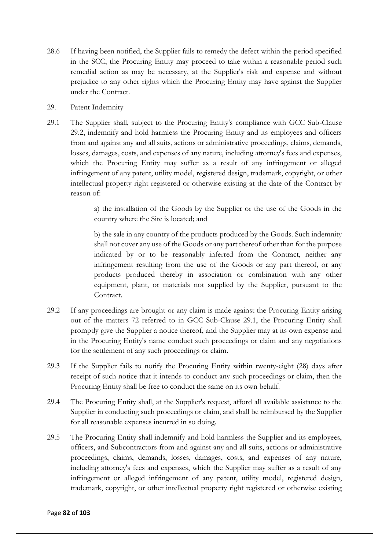- 28.6 If having been notified, the Supplier fails to remedy the defect within the period specified in the SCC, the Procuring Entity may proceed to take within a reasonable period such remedial action as may be necessary, at the Supplier's risk and expense and without prejudice to any other rights which the Procuring Entity may have against the Supplier under the Contract.
- 29. Patent Indemnity
- 29.1 The Supplier shall, subject to the Procuring Entity's compliance with GCC Sub-Clause 29.2, indemnify and hold harmless the Procuring Entity and its employees and officers from and against any and all suits, actions or administrative proceedings, claims, demands, losses, damages, costs, and expenses of any nature, including attorney's fees and expenses, which the Procuring Entity may suffer as a result of any infringement or alleged infringement of any patent, utility model, registered design, trademark, copyright, or other intellectual property right registered or otherwise existing at the date of the Contract by reason of:

a) the installation of the Goods by the Supplier or the use of the Goods in the country where the Site is located; and

b) the sale in any country of the products produced by the Goods. Such indemnity shall not cover any use of the Goods or any part thereof other than for the purpose indicated by or to be reasonably inferred from the Contract, neither any infringement resulting from the use of the Goods or any part thereof, or any products produced thereby in association or combination with any other equipment, plant, or materials not supplied by the Supplier, pursuant to the Contract.

- 29.2 If any proceedings are brought or any claim is made against the Procuring Entity arising out of the matters 72 referred to in GCC Sub-Clause 29.1, the Procuring Entity shall promptly give the Supplier a notice thereof, and the Supplier may at its own expense and in the Procuring Entity's name conduct such proceedings or claim and any negotiations for the settlement of any such proceedings or claim.
- 29.3 If the Supplier fails to notify the Procuring Entity within twenty-eight (28) days after receipt of such notice that it intends to conduct any such proceedings or claim, then the Procuring Entity shall be free to conduct the same on its own behalf.
- 29.4 The Procuring Entity shall, at the Supplier's request, afford all available assistance to the Supplier in conducting such proceedings or claim, and shall be reimbursed by the Supplier for all reasonable expenses incurred in so doing.
- 29.5 The Procuring Entity shall indemnify and hold harmless the Supplier and its employees, officers, and Subcontractors from and against any and all suits, actions or administrative proceedings, claims, demands, losses, damages, costs, and expenses of any nature, including attorney's fees and expenses, which the Supplier may suffer as a result of any infringement or alleged infringement of any patent, utility model, registered design, trademark, copyright, or other intellectual property right registered or otherwise existing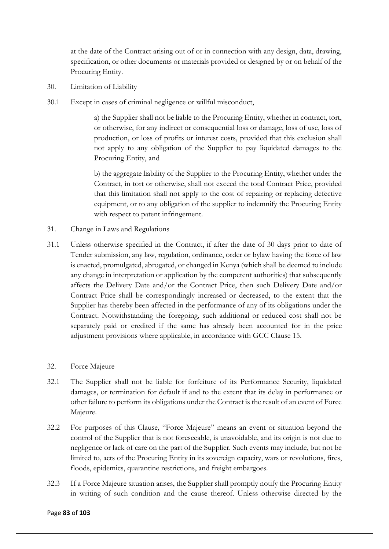at the date of the Contract arising out of or in connection with any design, data, drawing, specification, or other documents or materials provided or designed by or on behalf of the Procuring Entity.

- 30. Limitation of Liability
- 30.1 Except in cases of criminal negligence or willful misconduct,

a) the Supplier shall not be liable to the Procuring Entity, whether in contract, tort, or otherwise, for any indirect or consequential loss or damage, loss of use, loss of production, or loss of profits or interest costs, provided that this exclusion shall not apply to any obligation of the Supplier to pay liquidated damages to the Procuring Entity, and

b) the aggregate liability of the Supplier to the Procuring Entity, whether under the Contract, in tort or otherwise, shall not exceed the total Contract Price, provided that this limitation shall not apply to the cost of repairing or replacing defective equipment, or to any obligation of the supplier to indemnify the Procuring Entity with respect to patent infringement.

- 31. Change in Laws and Regulations
- 31.1 Unless otherwise specified in the Contract, if after the date of 30 days prior to date of Tender submission, any law, regulation, ordinance, order or bylaw having the force of law is enacted, promulgated, abrogated, or changed in Kenya (which shall be deemed to include any change in interpretation or application by the competent authorities) that subsequently affects the Delivery Date and/or the Contract Price, then such Delivery Date and/or Contract Price shall be correspondingly increased or decreased, to the extent that the Supplier has thereby been affected in the performance of any of its obligations under the Contract. Notwithstanding the foregoing, such additional or reduced cost shall not be separately paid or credited if the same has already been accounted for in the price adjustment provisions where applicable, in accordance with GCC Clause 15.

### 32. Force Majeure

- 32.1 The Supplier shall not be liable for forfeiture of its Performance Security, liquidated damages, or termination for default if and to the extent that its delay in performance or other failure to perform its obligations under the Contract is the result of an event of Force Majeure.
- 32.2 For purposes of this Clause, "Force Majeure" means an event or situation beyond the control of the Supplier that is not foreseeable, is unavoidable, and its origin is not due to negligence or lack of care on the part of the Supplier. Such events may include, but not be limited to, acts of the Procuring Entity in its sovereign capacity, wars or revolutions, fires, floods, epidemics, quarantine restrictions, and freight embargoes.
- 32.3 If a Force Majeure situation arises, the Supplier shall promptly notify the Procuring Entity in writing of such condition and the cause thereof. Unless otherwise directed by the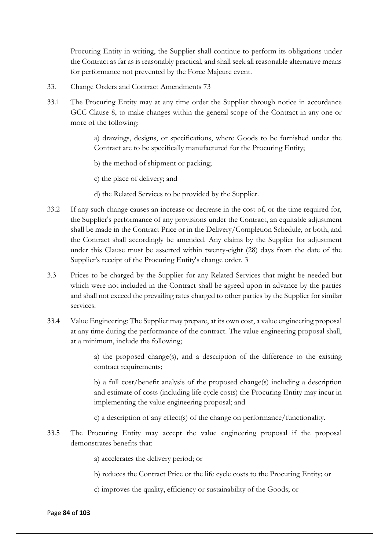Procuring Entity in writing, the Supplier shall continue to perform its obligations under the Contract as far as is reasonably practical, and shall seek all reasonable alternative means for performance not prevented by the Force Majeure event.

- 33. Change Orders and Contract Amendments 73
- 33.1 The Procuring Entity may at any time order the Supplier through notice in accordance GCC Clause 8, to make changes within the general scope of the Contract in any one or more of the following:

a) drawings, designs, or specifications, where Goods to be furnished under the Contract are to be specifically manufactured for the Procuring Entity;

b) the method of shipment or packing;

c) the place of delivery; and

- d) the Related Services to be provided by the Supplier.
- 33.2 If any such change causes an increase or decrease in the cost of, or the time required for, the Supplier's performance of any provisions under the Contract, an equitable adjustment shall be made in the Contract Price or in the Delivery/Completion Schedule, or both, and the Contract shall accordingly be amended. Any claims by the Supplier for adjustment under this Clause must be asserted within twenty-eight (28) days from the date of the Supplier's receipt of the Procuring Entity's change order. 3
- 3.3 Prices to be charged by the Supplier for any Related Services that might be needed but which were not included in the Contract shall be agreed upon in advance by the parties and shall not exceed the prevailing rates charged to other parties by the Supplier for similar services.
- 33.4 Value Engineering: The Supplier may prepare, at its own cost, a value engineering proposal at any time during the performance of the contract. The value engineering proposal shall, at a minimum, include the following;

a) the proposed change(s), and a description of the difference to the existing contract requirements;

b) a full cost/benefit analysis of the proposed change(s) including a description and estimate of costs (including life cycle costs) the Procuring Entity may incur in implementing the value engineering proposal; and

c) a description of any effect(s) of the change on performance/functionality.

33.5 The Procuring Entity may accept the value engineering proposal if the proposal demonstrates benefits that:

a) accelerates the delivery period; or

b) reduces the Contract Price or the life cycle costs to the Procuring Entity; or

c) improves the quality, efficiency or sustainability of the Goods; or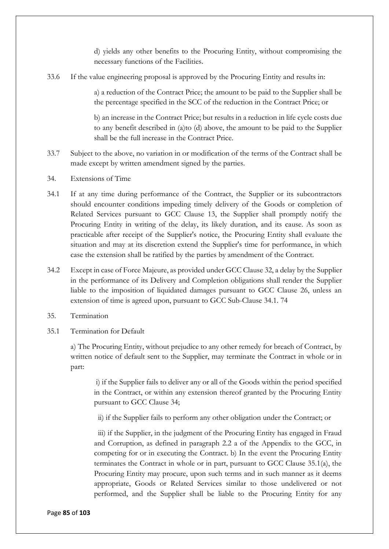d) yields any other benefits to the Procuring Entity, without compromising the necessary functions of the Facilities.

33.6 If the value engineering proposal is approved by the Procuring Entity and results in:

a) a reduction of the Contract Price; the amount to be paid to the Supplier shall be the percentage specified in the SCC of the reduction in the Contract Price; or

b) an increase in the Contract Price; but results in a reduction in life cycle costs due to any benefit described in (a)to (d) above, the amount to be paid to the Supplier shall be the full increase in the Contract Price.

- 33.7 Subject to the above, no variation in or modification of the terms of the Contract shall be made except by written amendment signed by the parties.
- 34. Extensions of Time
- 34.1 If at any time during performance of the Contract, the Supplier or its subcontractors should encounter conditions impeding timely delivery of the Goods or completion of Related Services pursuant to GCC Clause 13, the Supplier shall promptly notify the Procuring Entity in writing of the delay, its likely duration, and its cause. As soon as practicable after receipt of the Supplier's notice, the Procuring Entity shall evaluate the situation and may at its discretion extend the Supplier's time for performance, in which case the extension shall be ratified by the parties by amendment of the Contract.
- 34.2 Except in case of Force Majeure, as provided under GCC Clause 32, a delay by the Supplier in the performance of its Delivery and Completion obligations shall render the Supplier liable to the imposition of liquidated damages pursuant to GCC Clause 26, unless an extension of time is agreed upon, pursuant to GCC Sub-Clause 34.1. 74
- 35. Termination
- 35.1 Termination for Default

a) The Procuring Entity, without prejudice to any other remedy for breach of Contract, by written notice of default sent to the Supplier, may terminate the Contract in whole or in part:

i) if the Supplier fails to deliver any or all of the Goods within the period specified in the Contract, or within any extension thereof granted by the Procuring Entity pursuant to GCC Clause 34;

ii) if the Supplier fails to perform any other obligation under the Contract; or

iii) if the Supplier, in the judgment of the Procuring Entity has engaged in Fraud and Corruption, as defined in paragraph 2.2 a of the Appendix to the GCC, in competing for or in executing the Contract. b) In the event the Procuring Entity terminates the Contract in whole or in part, pursuant to GCC Clause 35.1(a), the Procuring Entity may procure, upon such terms and in such manner as it deems appropriate, Goods or Related Services similar to those undelivered or not performed, and the Supplier shall be liable to the Procuring Entity for any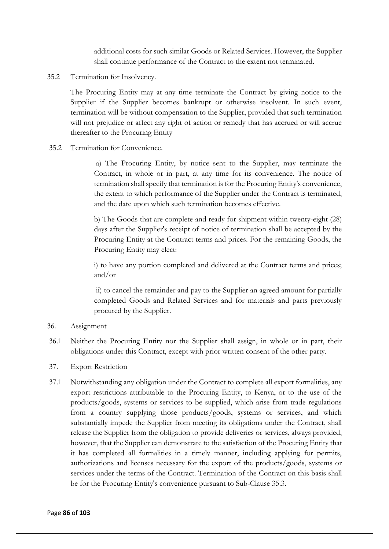additional costs for such similar Goods or Related Services. However, the Supplier shall continue performance of the Contract to the extent not terminated.

35.2 Termination for Insolvency.

The Procuring Entity may at any time terminate the Contract by giving notice to the Supplier if the Supplier becomes bankrupt or otherwise insolvent. In such event, termination will be without compensation to the Supplier, provided that such termination will not prejudice or affect any right of action or remedy that has accrued or will accrue thereafter to the Procuring Entity

#### 35.2 Termination for Convenience.

a) The Procuring Entity, by notice sent to the Supplier, may terminate the Contract, in whole or in part, at any time for its convenience. The notice of termination shall specify that termination is for the Procuring Entity's convenience, the extent to which performance of the Supplier under the Contract is terminated, and the date upon which such termination becomes effective.

b) The Goods that are complete and ready for shipment within twenty-eight (28) days after the Supplier's receipt of notice of termination shall be accepted by the Procuring Entity at the Contract terms and prices. For the remaining Goods, the Procuring Entity may elect:

i) to have any portion completed and delivered at the Contract terms and prices; and/or

ii) to cancel the remainder and pay to the Supplier an agreed amount for partially completed Goods and Related Services and for materials and parts previously procured by the Supplier.

- 36. Assignment
- 36.1 Neither the Procuring Entity nor the Supplier shall assign, in whole or in part, their obligations under this Contract, except with prior written consent of the other party.
- 37. Export Restriction
- 37.1 Notwithstanding any obligation under the Contract to complete all export formalities, any export restrictions attributable to the Procuring Entity, to Kenya, or to the use of the products/goods, systems or services to be supplied, which arise from trade regulations from a country supplying those products/goods, systems or services, and which substantially impede the Supplier from meeting its obligations under the Contract, shall release the Supplier from the obligation to provide deliveries or services, always provided, however, that the Supplier can demonstrate to the satisfaction of the Procuring Entity that it has completed all formalities in a timely manner, including applying for permits, authorizations and licenses necessary for the export of the products/goods, systems or services under the terms of the Contract. Termination of the Contract on this basis shall be for the Procuring Entity's convenience pursuant to Sub-Clause 35.3.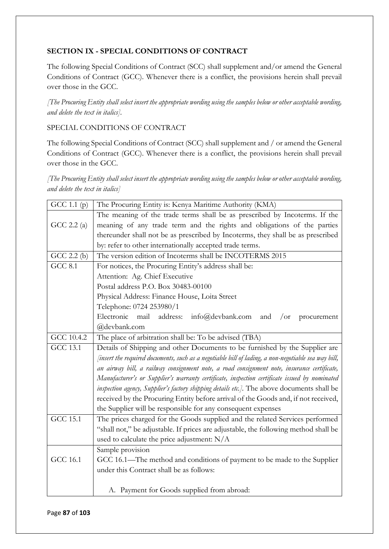## **SECTION IX - SPECIAL CONDITIONS OF CONTRACT**

The following Special Conditions of Contract (SCC) shall supplement and/or amend the General Conditions of Contract (GCC). Whenever there is a conflict, the provisions herein shall prevail over those in the GCC.

*[The Procuring Entity shall select insert the appropriate wording using the samples below or other acceptable wording, and delete the text in italics].* 

## SPECIAL CONDITIONS OF CONTRACT

The following Special Conditions of Contract (SCC) shall supplement and / or amend the General Conditions of Contract (GCC). Whenever there is a conflict, the provisions herein shall prevail over those in the GCC.

*[The Procuring Entity shall select insert the appropriate wording using the samples below or other acceptable wording, and delete the text in italics]*

| GCC 1.1 (p)     | The Procuring Entity is: Kenya Maritime Authority (KMA)                                             |  |  |  |  |  |  |
|-----------------|-----------------------------------------------------------------------------------------------------|--|--|--|--|--|--|
|                 | The meaning of the trade terms shall be as prescribed by Incoterms. If the                          |  |  |  |  |  |  |
| GCC 2.2 $(a)$   | meaning of any trade term and the rights and obligations of the parties                             |  |  |  |  |  |  |
|                 | thereunder shall not be as prescribed by Incoterms, they shall be as prescribed                     |  |  |  |  |  |  |
|                 | by: refer to other internationally accepted trade terms.                                            |  |  |  |  |  |  |
| $GCC$ 2.2 $(b)$ | The version edition of Incoterms shall be INCOTERMS 2015                                            |  |  |  |  |  |  |
| <b>GCC 8.1</b>  | For notices, the Procuring Entity's address shall be:                                               |  |  |  |  |  |  |
|                 | Attention: Ag. Chief Executive                                                                      |  |  |  |  |  |  |
|                 | Postal address P.O. Box 30483-00100                                                                 |  |  |  |  |  |  |
|                 | Physical Address: Finance House, Loita Street                                                       |  |  |  |  |  |  |
|                 | Telephone: 0724 253980/1                                                                            |  |  |  |  |  |  |
|                 | Electronic mail<br>address:<br>info@devbank.com and<br>$\sigma$<br>procurement                      |  |  |  |  |  |  |
|                 | @devbank.com                                                                                        |  |  |  |  |  |  |
| GCC 10.4.2      | The place of arbitration shall be: To be advised (TBA)                                              |  |  |  |  |  |  |
| <b>GCC 13.1</b> | Details of Shipping and other Documents to be furnished by the Supplier are                         |  |  |  |  |  |  |
|                 | [insert the required documents, such as a negotiable bill of lading, a non-negotiable sea way bill, |  |  |  |  |  |  |
|                 | an airway bill, a railway consignment note, a road consignment note, insurance certificate,         |  |  |  |  |  |  |
|                 | Manufacturer's or Supplier's warranty certificate, inspection certificate issued by nominated       |  |  |  |  |  |  |
|                 | inspection agency, Supplier's factory shipping details etc.]. The above documents shall be          |  |  |  |  |  |  |
|                 | received by the Procuring Entity before arrival of the Goods and, if not received,                  |  |  |  |  |  |  |
|                 | the Supplier will be responsible for any consequent expenses                                        |  |  |  |  |  |  |
| <b>GCC 15.1</b> | The prices charged for the Goods supplied and the related Services performed                        |  |  |  |  |  |  |
|                 | "shall not," be adjustable. If prices are adjustable, the following method shall be                 |  |  |  |  |  |  |
|                 | used to calculate the price adjustment: N/A                                                         |  |  |  |  |  |  |
|                 | Sample provision                                                                                    |  |  |  |  |  |  |
| <b>GCC 16.1</b> | GCC 16.1—The method and conditions of payment to be made to the Supplier                            |  |  |  |  |  |  |
|                 | under this Contract shall be as follows:                                                            |  |  |  |  |  |  |
|                 |                                                                                                     |  |  |  |  |  |  |
|                 | A. Payment for Goods supplied from abroad:                                                          |  |  |  |  |  |  |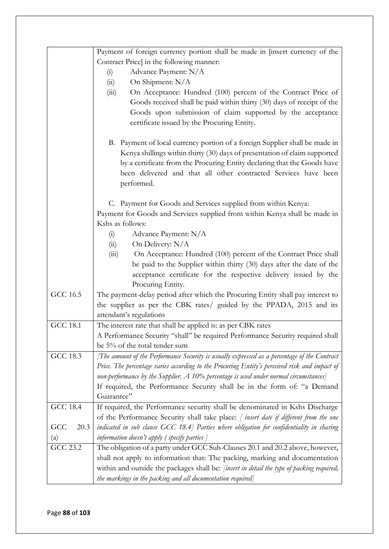|                 | Payment of foreign currency portion shall be made in [insert currency of the                      |  |  |  |  |  |  |  |
|-----------------|---------------------------------------------------------------------------------------------------|--|--|--|--|--|--|--|
|                 | Contract Price] in the following manner:                                                          |  |  |  |  |  |  |  |
|                 | Advance Payment: N/A<br>(i)                                                                       |  |  |  |  |  |  |  |
|                 | On Shipment: N/A<br>(ii)                                                                          |  |  |  |  |  |  |  |
|                 | On Acceptance: Hundred (100) percent of the Contract Price of<br>(iii)                            |  |  |  |  |  |  |  |
|                 | Goods received shall be paid within thirty (30) days of receipt of the                            |  |  |  |  |  |  |  |
|                 | Goods upon submission of claim supported by the acceptance                                        |  |  |  |  |  |  |  |
|                 | certificate issued by the Procuring Entity.                                                       |  |  |  |  |  |  |  |
|                 | B. Payment of local currency portion of a foreign Supplier shall be made in                       |  |  |  |  |  |  |  |
|                 | Kenya shillings within thirty (30) days of presentation of claim supported                        |  |  |  |  |  |  |  |
|                 | by a certificate from the Procuring Entity declaring that the Goods have                          |  |  |  |  |  |  |  |
|                 | been delivered and that all other contracted Services have been                                   |  |  |  |  |  |  |  |
|                 | performed.                                                                                        |  |  |  |  |  |  |  |
|                 | C. Payment for Goods and Services supplied from within Kenya:                                     |  |  |  |  |  |  |  |
|                 | Payment for Goods and Services supplied from within Kenya shall be made in                        |  |  |  |  |  |  |  |
|                 | Kshs as follows:                                                                                  |  |  |  |  |  |  |  |
|                 | Advance Payment: N/A<br>(i)                                                                       |  |  |  |  |  |  |  |
|                 | On Delivery: N/A<br>(ii)                                                                          |  |  |  |  |  |  |  |
|                 | On Acceptance: Hundred (100) percent of the Contract Price shall<br>(iii)                         |  |  |  |  |  |  |  |
|                 | be paid to the Supplier within thirty (30) days after the date of the                             |  |  |  |  |  |  |  |
|                 | acceptance certificate for the respective delivery issued by the                                  |  |  |  |  |  |  |  |
|                 | Procuring Entity.                                                                                 |  |  |  |  |  |  |  |
| GCC 16.5        | The payment-delay period after which the Procuring Entity shall pay interest to                   |  |  |  |  |  |  |  |
|                 | the supplier as per the CBK rates/ guided by the PPADA, 2015 and its                              |  |  |  |  |  |  |  |
|                 | attendant's regulations                                                                           |  |  |  |  |  |  |  |
| <b>GCC 18.1</b> | The interest rate that shall be applied is: as per CBK rates                                      |  |  |  |  |  |  |  |
|                 | A Performance Security "shall" be required Performance Security required shall                    |  |  |  |  |  |  |  |
|                 | be 5% of the total tender sum                                                                     |  |  |  |  |  |  |  |
| <b>GCC 18.3</b> | [The amount of the Performance Security is usually expressed as a percentage of the Contract      |  |  |  |  |  |  |  |
|                 | Price. The percentage varies according to the Procuring Entity's perceived risk and impact of     |  |  |  |  |  |  |  |
|                 | non-performance by the Supplier. A 10% percentage is used under normal circumstances]             |  |  |  |  |  |  |  |
|                 | If required, the Performance Security shall be in the form of: "a Demand                          |  |  |  |  |  |  |  |
|                 | Guarantee"                                                                                        |  |  |  |  |  |  |  |
| <b>GCC 18.4</b> | If required, the Performance security shall be denominated in Kshs Discharge                      |  |  |  |  |  |  |  |
|                 | of the Performance Security shall take place: $\int$ insert date if different from the one        |  |  |  |  |  |  |  |
| 20.3<br>GCC     | indicated in sub clause GCC 18.4] Parties where obligation for confidentiality in sharing         |  |  |  |  |  |  |  |
| (a)             | information doesn't apply (specify parties $\bar{\ }$                                             |  |  |  |  |  |  |  |
| GCC 23.2        | The obligation of a party under GCC Sub-Clauses 20.1 and 20.2 above, however,                     |  |  |  |  |  |  |  |
|                 | shall not apply to information that: The packing, marking and documentation                       |  |  |  |  |  |  |  |
|                 | within and outside the packages shall be: <i>[insert in detail the type of packing required</i> , |  |  |  |  |  |  |  |
|                 | the markings in the packing and all documentation required]                                       |  |  |  |  |  |  |  |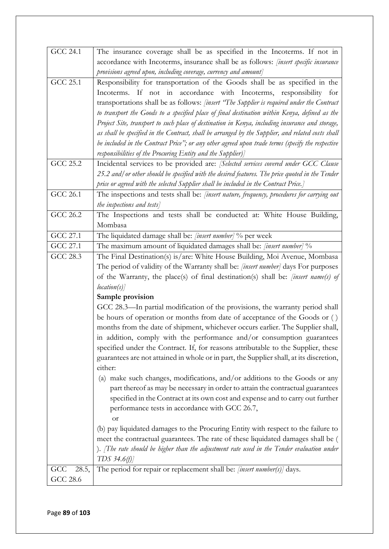| GCC 24.1     | The insurance coverage shall be as specified in the Incoterms. If not in                          |
|--------------|---------------------------------------------------------------------------------------------------|
|              | accordance with Incoterms, insurance shall be as follows: <i>[insert specific insurance</i>       |
|              | provisions agreed upon, including coverage, currency and amount]                                  |
| GCC 25.1     | Responsibility for transportation of the Goods shall be as specified in the                       |
|              | Incoterms. If not in accordance with Incoterms, responsibility for                                |
|              | transportations shall be as follows: <i>[insert "The Supplier is required under the Contract</i>  |
|              | to transport the Goods to a specified place of final destination within Kenya, defined as the     |
|              | Project Site, transport to such place of destination in Kenya, including insurance and storage,   |
|              | as shall be specified in the Contract, shall be arranged by the Supplier, and related costs shall |
|              | be included in the Contract Price"; or any other agreed upon trade terms (specify the respective  |
|              | responsibilities of the Procuring Entity and the Supplier) $\rceil$                               |
| GCC 25.2     | Incidental services to be provided are: [Selected services covered under GCC Clause               |
|              | 25.2 and/ or other should be specified with the desired features. The price quoted in the Tender  |
|              | price or agreed with the selected Supplier shall be included in the Contract Price.]              |
| GCC 26.1     | The inspections and tests shall be: [insert nature, frequency, procedures for carrying out        |
|              | the inspections and tests]                                                                        |
| GCC $26.2$   | The Inspections and tests shall be conducted at: White House Building,                            |
|              | Mombasa                                                                                           |
| GCC 27.1     | The liquidated damage shall be: [insert number] % per week                                        |
| GCC 27.1     | The maximum amount of liquidated damages shall be: [insert number] %                              |
| GCC 28.3     | The Final Destination(s) is/are: White House Building, Moi Avenue, Mombasa                        |
|              | The period of validity of the Warranty shall be: [insert number] days For purposes                |
|              | of the Warranty, the place(s) of final destination(s) shall be: [insert name(s) of                |
|              | location(s)                                                                                       |
|              | Sample provision                                                                                  |
|              | GCC 28.3—In partial modification of the provisions, the warranty period shall                     |
|              | be hours of operation or months from date of acceptance of the Goods or ()                        |
|              | months from the date of shipment, whichever occurs earlier. The Supplier shall,                   |
|              | in addition, comply with the performance and/or consumption guarantees                            |
|              | specified under the Contract. If, for reasons attributable to the Supplier, these                 |
|              | guarantees are not attained in whole or in part, the Supplier shall, at its discretion,           |
|              | either:                                                                                           |
|              | make such changes, modifications, and/or additions to the Goods or any<br>$\left( a\right)$       |
|              | part thereof as may be necessary in order to attain the contractual guarantees                    |
|              | specified in the Contract at its own cost and expense and to carry out further                    |
|              | performance tests in accordance with GCC 26.7,                                                    |
|              | <b>or</b>                                                                                         |
|              | (b) pay liquidated damages to the Procuring Entity with respect to the failure to                 |
|              | meet the contractual guarantees. The rate of these liquidated damages shall be (                  |
|              | ). The rate should be higher than the adjustment rate used in the Tender evaluation under         |
|              | TDS $34.6(f)$                                                                                     |
| GCC<br>28.5, | The period for repair or replacement shall be: [insert number(s)] days.                           |
| GCC 28.6     |                                                                                                   |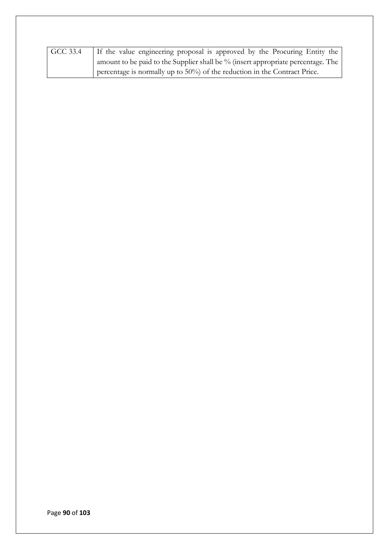| GCC 33.4 | If the value engineering proposal is approved by the Procuring Entity the           |
|----------|-------------------------------------------------------------------------------------|
|          | amount to be paid to the Supplier shall be $\%$ (insert appropriate percentage. The |
|          | percentage is normally up to $50\%$ of the reduction in the Contract Price.         |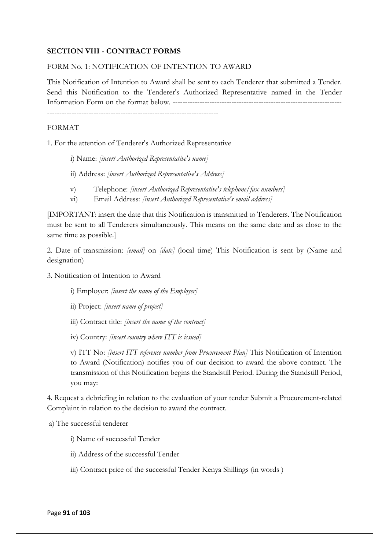### **SECTION VIII - CONTRACT FORMS**

### FORM No. 1: NOTIFICATION OF INTENTION TO AWARD

This Notification of Intention to Award shall be sent to each Tenderer that submitted a Tender. Send this Notification to the Tenderer's Authorized Representative named in the Tender Information Form on the format below. --------------------------------------------------------------------- ----------------------------------------------------------------------

#### FORMAT

1. For the attention of Tenderer's Authorized Representative

- i) Name: *[insert Authorized Representative's name]*
- ii) Address: *[insert Authorized Representative's Address]*
- v) Telephone: *[insert Authorized Representative's telephone/fax numbers]*
- vi) Email Address: *[insert Authorized Representative's email address]*

[IMPORTANT: insert the date that this Notification is transmitted to Tenderers. The Notification must be sent to all Tenderers simultaneously. This means on the same date and as close to the same time as possible.]

2. Date of transmission: *[email]* on *[date]* (local time) This Notification is sent by (Name and designation)

#### 3. Notification of Intention to Award

i) Employer: *[insert the name of the Employer]*

- ii) Project: *[insert name of project]*
- iii) Contract title: *[insert the name of the contract]*
- iv) Country: *[insert country where ITT is issued]*

v) ITT No: *[insert ITT reference number from Procurement Plan]* This Notification of Intention to Award (Notification) notifies you of our decision to award the above contract. The transmission of this Notification begins the Standstill Period. During the Standstill Period, you may:

4. Request a debriefing in relation to the evaluation of your tender Submit a Procurement-related Complaint in relation to the decision to award the contract.

a) The successful tenderer

- i) Name of successful Tender
- ii) Address of the successful Tender
- iii) Contract price of the successful Tender Kenya Shillings (in words )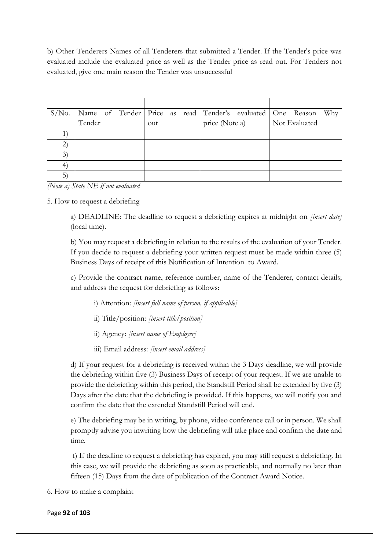b) Other Tenderers Names of all Tenderers that submitted a Tender. If the Tender's price was evaluated include the evaluated price as well as the Tender price as read out. For Tenders not evaluated, give one main reason the Tender was unsuccessful

|                   |        |  |     |  |                | S/No.   Name of Tender   Price as read   Tender's evaluated   One Reason |               | Why |
|-------------------|--------|--|-----|--|----------------|--------------------------------------------------------------------------|---------------|-----|
|                   | Tender |  | out |  | price (Note a) |                                                                          | Not Evaluated |     |
|                   |        |  |     |  |                |                                                                          |               |     |
| $\left( 2\right)$ |        |  |     |  |                |                                                                          |               |     |
| 3)                |        |  |     |  |                |                                                                          |               |     |
| $\ket{4}$         |        |  |     |  |                |                                                                          |               |     |
| 5)                |        |  |     |  |                |                                                                          |               |     |

*(Note a) State NE if not evaluated* 

5. How to request a debriefing

a) DEADLINE: The deadline to request a debriefing expires at midnight on *[insert date]* (local time).

b) You may request a debriefing in relation to the results of the evaluation of your Tender. If you decide to request a debriefing your written request must be made within three (5) Business Days of receipt of this Notification of Intention to Award.

c) Provide the contract name, reference number, name of the Tenderer, contact details; and address the request for debriefing as follows:

i) Attention: *[insert full name of person, if applicable]*

ii) Title/position: *[insert title/position]* 

ii) Agency: *[insert name of Employer]*

iii) Email address: *[insert email address]*

d) If your request for a debriefing is received within the 3 Days deadline, we will provide the debriefing within five (3) Business Days of receipt of your request. If we are unable to provide the debriefing within this period, the Standstill Period shall be extended by five (3) Days after the date that the debriefing is provided. If this happens, we will notify you and confirm the date that the extended Standstill Period will end.

e) The debriefing may be in writing, by phone, video conference call or in person. We shall promptly advise you inwriting how the debriefing will take place and confirm the date and time.

f) If the deadline to request a debriefing has expired, you may still request a debriefing. In this case, we will provide the debriefing as soon as practicable, and normally no later than fifteen (15) Days from the date of publication of the Contract Award Notice.

6. How to make a complaint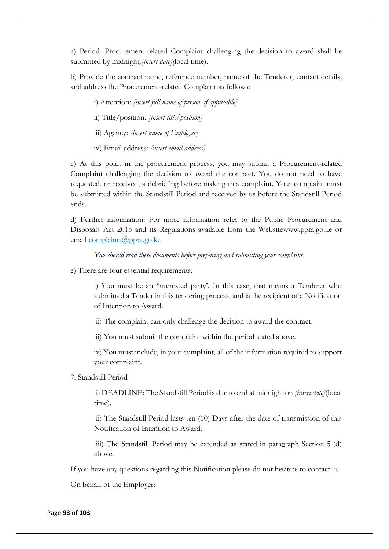a) Period: Procurement-related Complaint challenging the decision to award shall be submitted by midnight*,[insert date](*local time).

b) Provide the contract name, reference number, name of the Tenderer, contact details; and address the Procurement-related Complaint as follows:

i) Attention: *[insert full name of person, if applicable]*

ii) Title/position: *[insert title/position]*

iii) Agency: *[insert name of Employer]*

iv) Email address: *[insert email address]*

c) At this point in the procurement process, you may submit a Procurement-related Complaint challenging the decision to award the contract. You do not need to have requested, or received, a debriefing before making this complaint. Your complaint must be submitted within the Standstill Period and received by us before the Standstill Period ends.

d) Further information: For more information refer to the Public Procurement and Disposals Act 2015 and its Regulations available from the Websitewww.ppra.go.ke or email [complaints@ppra.go.ke](mailto:complaints@ppra.go.ke)

*You should read these documents before preparing and submitting your complaint.* 

e) There are four essential requirements:

i) You must be an 'interested party'. In this case, that means a Tenderer who submitted a Tender in this tendering process, and is the recipient of a Notification of Intention to Award.

ii) The complaint can only challenge the decision to award the contract.

iii) You must submit the complaint within the period stated above.

iv) You must include, in your complaint, all of the information required to support your complaint.

7. Standstill Period

i) DEADLINE: The Standstill Period is due to end at midnight on *[insert date]*(local time).

ii) The Standstill Period lasts ten (10) Days after the date of transmission of this Notification of Intention to Award.

iii) The Standstill Period may be extended as stated in paragraph Section 5 (d) above.

If you have any questions regarding this Notification please do not hesitate to contact us.

On behalf of the Employer: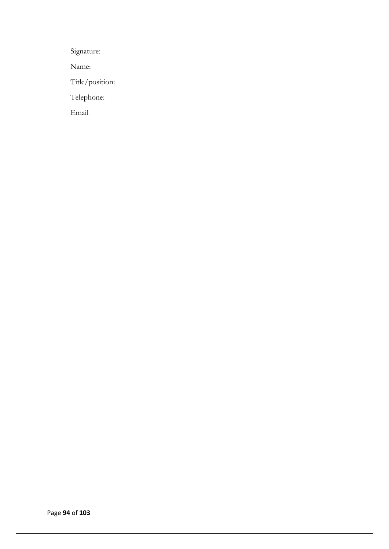Signature:

Name:

Title/position:

Telephone:

Email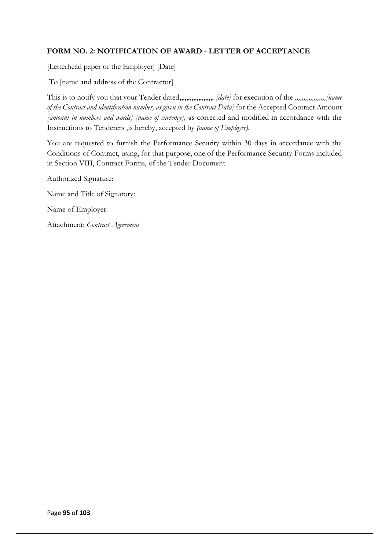## **FORM NO. 2: NOTIFICATION OF AWARD - LETTER OF ACCEPTANCE**

[Letterhead paper of the Employer] [Date]

To [name and address of the Contractor]

This is to notify you that your Tender dated,,,,,,,,,,,,,,,,,,,, *[date]* for execution of the *,,,,,,,,,,,,,,,,,,[name of the Contract and identification number, as given in the Contract Data]* for the Accepted Contract Amount *[amount in numbers and words] [name of currency],* as corrected and modified in accordance with the Instructions to Tenderers ,is hereby, accepted by *(name of Employer).*

You are requested to furnish the Performance Security within 30 days in accordance with the Conditions of Contract, using, for that purpose, one of the Performance Security Forms included in Section VIII, Contract Forms, of the Tender Document.

Authorized Signature: Name and Title of Signatory: Name of Employer: Attachment: *Contract Agreement*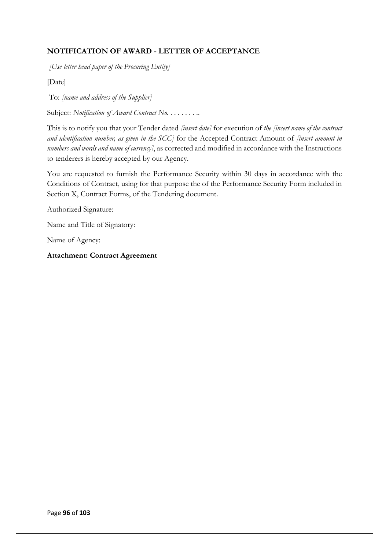# **NOTIFICATION OF AWARD - LETTER OF ACCEPTANCE**

*[Use letter head paper of the Procuring Entity]*

[Date]

To: *[name and address of the Supplier]*

Subject: *Notification of Award Contract No.* . . . . . . . .

This is to notify you that your Tender dated *[insert date]* for execution of *the [insert name of the contract and identification number, as given in the SCC]* for the Accepted Contract Amount of *[insert amount in numbers and words and name of currency]*, as corrected and modified in accordance with the Instructions to tenderers is hereby accepted by our Agency.

You are requested to furnish the Performance Security within 30 days in accordance with the Conditions of Contract, using for that purpose the of the Performance Security Form included in Section X, Contract Forms, of the Tendering document.

Authorized Signature:

Name and Title of Signatory:

Name of Agency:

**Attachment: Contract Agreement**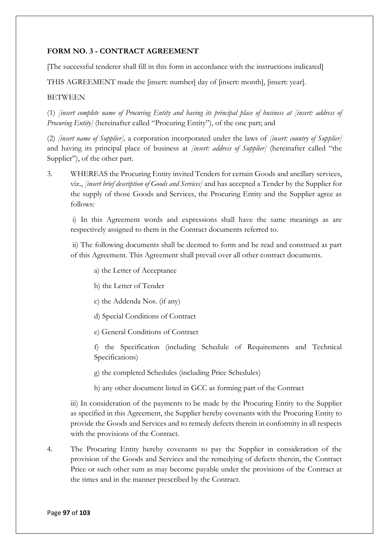## **FORM NO. 3 - CONTRACT AGREEMENT**

[The successful tenderer shall fill in this form in accordance with the instructions indicated]

THIS AGREEMENT made the [insert: number] day of [insert: month], [insert: year].

## **BETWEEN**

(1) *[insert complete name of Procuring Entity and having its principal place of business at [insert: address of Procuring Entity*] (hereinafter called "Procuring Entity"), of the one part; and

(2) *[insert name of Supplier],* a corporation incorporated under the laws of *[insert: country of Supplier]* and having its principal place of business at *[insert: address of Supplier]* (hereinafter called "the Supplier"), of the other part.

3. WHEREAS the Procuring Entity invited Tenders for certain Goods and ancillary services, viz., *[insert brief description of Goods and Services]* and has accepted a Tender by the Supplier for the supply of those Goods and Services, the Procuring Entity and the Supplier agree as follows:

i) In this Agreement words and expressions shall have the same meanings as are respectively assigned to them in the Contract documents referred to.

ii) The following documents shall be deemed to form and be read and construed as part of this Agreement. This Agreement shall prevail over all other contract documents.

- a) the Letter of Acceptance
- b) the Letter of Tender
- c) the Addenda Nos. (if any)
- d) Special Conditions of Contract
- e) General Conditions of Contract

f) the Specification (including Schedule of Requirements and Technical Specifications)

g) the completed Schedules (including Price Schedules)

h) any other document listed in GCC as forming part of the Contract

iii) In consideration of the payments to be made by the Procuring Entity to the Supplier as specified in this Agreement, the Supplier hereby covenants with the Procuring Entity to provide the Goods and Services and to remedy defects therein in conformity in all respects with the provisions of the Contract.

4. The Procuring Entity hereby covenants to pay the Supplier in consideration of the provision of the Goods and Services and the remedying of defects therein, the Contract Price or such other sum as may become payable under the provisions of the Contract at the times and in the manner prescribed by the Contract.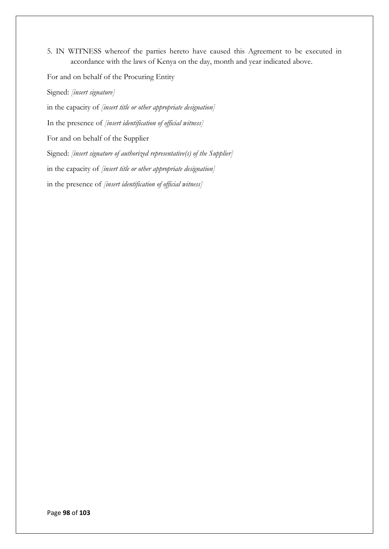5. IN WITNESS whereof the parties hereto have caused this Agreement to be executed in accordance with the laws of Kenya on the day, month and year indicated above.

For and on behalf of the Procuring Entity Signed: *[insert signature]* in the capacity of *[insert title or other appropriate designation]*  In the presence of *[insert identification of official witness]* For and on behalf of the Supplier Signed: *[insert signature of authorized representative(s) of the Supplier]*  in the capacity of *[insert title or other appropriate designation]* in the presence of *[insert identification of official witness]*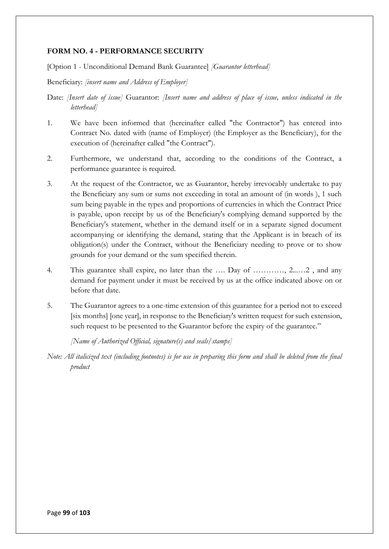### **FORM NO. 4 - PERFORMANCE SECURITY**

[Option 1 - Unconditional Demand Bank Guarantee] *[Guarantor letterhead]* 

Beneficiary: *[insert name and Address of Employer]*

Date: *[Insert date of issue]* Guarantor: *[Insert name and address of place of issue, unless indicated in the letterhead]* 

- 1. We have been informed that (hereinafter called "the Contractor") has entered into Contract No. dated with (name of Employer) (the Employer as the Beneficiary), for the execution of (hereinafter called "the Contract").
- 2. Furthermore, we understand that, according to the conditions of the Contract, a performance guarantee is required.
- 3. At the request of the Contractor, we as Guarantor, hereby irrevocably undertake to pay the Beneficiary any sum or sums not exceeding in total an amount of (in words ), 1 such sum being payable in the types and proportions of currencies in which the Contract Price is payable, upon receipt by us of the Beneficiary's complying demand supported by the Beneficiary's statement, whether in the demand itself or in a separate signed document accompanying or identifying the demand, stating that the Applicant is in breach of its obligation(s) under the Contract, without the Beneficiary needing to prove or to show grounds for your demand or the sum specified therein.
- 4. This guarantee shall expire, no later than the …. Day of …………, 2...…2 , and any demand for payment under it must be received by us at the office indicated above on or before that date.
- 5. The Guarantor agrees to a one-time extension of this guarantee for a period not to exceed [six months] [one year], in response to the Beneficiary's written request for such extension, such request to be presented to the Guarantor before the expiry of the guarantee."

*[Name of Authorized Official, signature(s) and seals/stamps]* 

*Note: All italicized text (including footnotes) is for use in preparing this form and shall be deleted from the final product*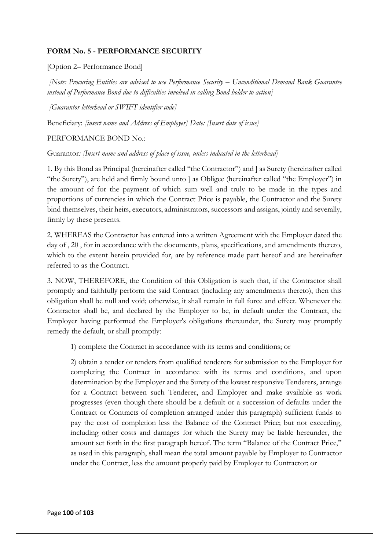### **FORM No. 5 - PERFORMANCE SECURITY**

[Option 2– Performance Bond]

*[Note: Procuring Entities are advised to use Performance Security – Unconditional Demand Bank Guarantee instead of Performance Bond due to difficulties involved in calling Bond holder to action]*

*[Guarantor letterhead or SWIFT identifier code]* 

Beneficiary: *[insert name and Address of Employer] Date: [Insert date of issue]* 

PERFORMANCE BOND No.:

Guarantor*: [Insert name and address of place of issue, unless indicated in the letterhead]*

1. By this Bond as Principal (hereinafter called "the Contractor") and ] as Surety (hereinafter called "the Surety"), are held and firmly bound unto ] as Obligee (hereinafter called "the Employer") in the amount of for the payment of which sum well and truly to be made in the types and proportions of currencies in which the Contract Price is payable, the Contractor and the Surety bind themselves, their heirs, executors, administrators, successors and assigns, jointly and severally, firmly by these presents.

2. WHEREAS the Contractor has entered into a written Agreement with the Employer dated the day of , 20 , for in accordance with the documents, plans, specifications, and amendments thereto, which to the extent herein provided for, are by reference made part hereof and are hereinafter referred to as the Contract.

3. NOW, THEREFORE, the Condition of this Obligation is such that, if the Contractor shall promptly and faithfully perform the said Contract (including any amendments thereto), then this obligation shall be null and void; otherwise, it shall remain in full force and effect. Whenever the Contractor shall be, and declared by the Employer to be, in default under the Contract, the Employer having performed the Employer's obligations thereunder, the Surety may promptly remedy the default, or shall promptly:

1) complete the Contract in accordance with its terms and conditions; or

2) obtain a tender or tenders from qualified tenderers for submission to the Employer for completing the Contract in accordance with its terms and conditions, and upon determination by the Employer and the Surety of the lowest responsive Tenderers, arrange for a Contract between such Tenderer, and Employer and make available as work progresses (even though there should be a default or a succession of defaults under the Contract or Contracts of completion arranged under this paragraph) sufficient funds to pay the cost of completion less the Balance of the Contract Price; but not exceeding, including other costs and damages for which the Surety may be liable hereunder, the amount set forth in the first paragraph hereof. The term "Balance of the Contract Price," as used in this paragraph, shall mean the total amount payable by Employer to Contractor under the Contract, less the amount properly paid by Employer to Contractor; or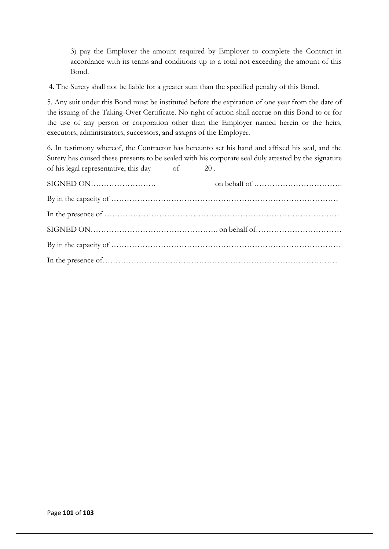3) pay the Employer the amount required by Employer to complete the Contract in accordance with its terms and conditions up to a total not exceeding the amount of this Bond.

4. The Surety shall not be liable for a greater sum than the specified penalty of this Bond.

5. Any suit under this Bond must be instituted before the expiration of one year from the date of the issuing of the Taking-Over Certificate. No right of action shall accrue on this Bond to or for the use of any person or corporation other than the Employer named herein or the heirs, executors, administrators, successors, and assigns of the Employer.

6. In testimony whereof, the Contractor has hereunto set his hand and affixed his seal, and the Surety has caused these presents to be sealed with his corporate seal duly attested by the signature of his legal representative, this day of 20 .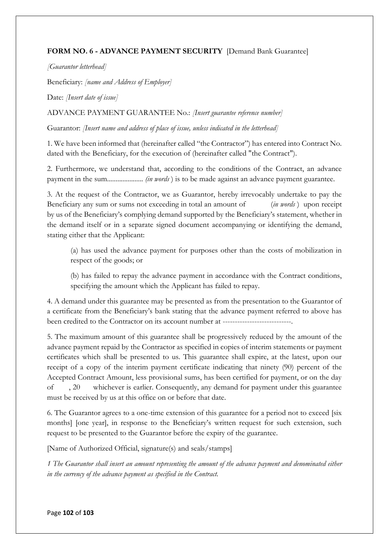## **FORM NO. 6 - ADVANCE PAYMENT SECURITY** [Demand Bank Guarantee]

*[Guarantor letterhead]* 

Beneficiary: *[name and Address of Employer]* 

Date: *[Insert date of issue]*

ADVANCE PAYMENT GUARANTEE No.: *[Insert guarantee reference number]*

Guarantor: *[Insert name and address of place of issue, unless indicated in the letterhead]*

1. We have been informed that (hereinafter called "the Contractor") has entered into Contract No. dated with the Beneficiary, for the execution of (hereinafter called "the Contract").

2. Furthermore, we understand that, according to the conditions of the Contract, an advance payment in the sum..................... *(in words* ) is to be made against an advance payment guarantee.

3. At the request of the Contractor, we as Guarantor, hereby irrevocably undertake to pay the Beneficiary any sum or sums not exceeding in total an amount of (*in words* ) upon receipt by us of the Beneficiary's complying demand supported by the Beneficiary's statement, whether in the demand itself or in a separate signed document accompanying or identifying the demand, stating either that the Applicant:

(a) has used the advance payment for purposes other than the costs of mobilization in respect of the goods; or

(b) has failed to repay the advance payment in accordance with the Contract conditions, specifying the amount which the Applicant has failed to repay.

4. A demand under this guarantee may be presented as from the presentation to the Guarantor of a certificate from the Beneficiary's bank stating that the advance payment referred to above has been credited to the Contractor on its account number at ----------------------------.

5. The maximum amount of this guarantee shall be progressively reduced by the amount of the advance payment repaid by the Contractor as specified in copies of interim statements or payment certificates which shall be presented to us. This guarantee shall expire, at the latest, upon our receipt of a copy of the interim payment certificate indicating that ninety (90) percent of the Accepted Contract Amount, less provisional sums, has been certified for payment, or on the day of , 20 whichever is earlier. Consequently, any demand for payment under this guarantee must be received by us at this office on or before that date.

6. The Guarantor agrees to a one-time extension of this guarantee for a period not to exceed [six months] [one year], in response to the Beneficiary's written request for such extension, such request to be presented to the Guarantor before the expiry of the guarantee.

[Name of Authorized Official, signature(s) and seals/stamps]

*1 The Guarantor shall insert an amount representing the amount of the advance payment and denominated either in the currency of the advance payment as specified in the Contract.*